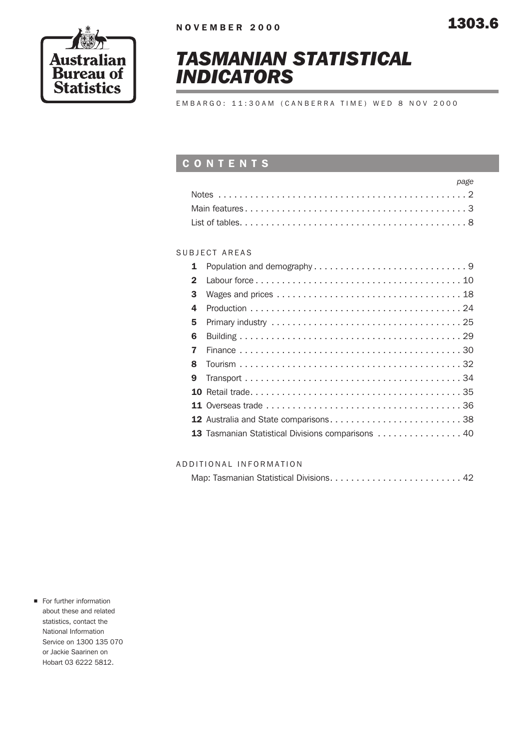

# TASMANIAN STATISTICAL INDICATORS

EMBARGO: 11:30AM (CANBERRA TIME) WED 8 NOV 2000

### **CONTENTS**

| page |
|------|
|      |
|      |
|      |

### SUBJECT AREAS

| 1              |                                                   |
|----------------|---------------------------------------------------|
| $\mathbf{2}$   |                                                   |
| 3              |                                                   |
| $\overline{4}$ |                                                   |
| 5              |                                                   |
| 6              |                                                   |
| 7              |                                                   |
| 8              |                                                   |
| 9              |                                                   |
|                |                                                   |
|                |                                                   |
|                | 12 Australia and State comparisons38              |
|                | 13 Tasmanian Statistical Divisions comparisons 40 |
|                |                                                   |

### ADDITIONAL INFORMATION

|--|--|--|--|

**n** For further information about these and related statistics, contact the National Information Service on 1300 135 070 or Jackie Saarinen on Hobart 03 6222 5812.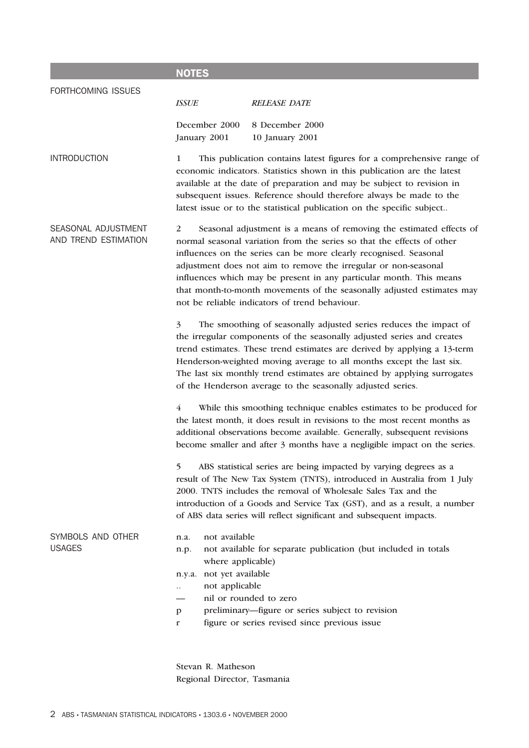|                                             | <b>NOTES</b>                                                                                                                                                                                                                                                                                                                                                                                                                                                                                  |                                                                                                                                                                                                                                                                                                                                                                    |  |  |  |  |
|---------------------------------------------|-----------------------------------------------------------------------------------------------------------------------------------------------------------------------------------------------------------------------------------------------------------------------------------------------------------------------------------------------------------------------------------------------------------------------------------------------------------------------------------------------|--------------------------------------------------------------------------------------------------------------------------------------------------------------------------------------------------------------------------------------------------------------------------------------------------------------------------------------------------------------------|--|--|--|--|
| FORTHCOMING ISSUES                          | <b>ISSUE</b>                                                                                                                                                                                                                                                                                                                                                                                                                                                                                  | <b>RELEASE DATE</b>                                                                                                                                                                                                                                                                                                                                                |  |  |  |  |
|                                             | December 2000<br>January 2001                                                                                                                                                                                                                                                                                                                                                                                                                                                                 | 8 December 2000<br>10 January 2001                                                                                                                                                                                                                                                                                                                                 |  |  |  |  |
| <b>INTRODUCTION</b>                         | This publication contains latest figures for a comprehensive range of<br>1<br>economic indicators. Statistics shown in this publication are the latest<br>available at the date of preparation and may be subject to revision in<br>subsequent issues. Reference should therefore always be made to the<br>latest issue or to the statistical publication on the specific subject                                                                                                             |                                                                                                                                                                                                                                                                                                                                                                    |  |  |  |  |
| SEASONAL ADJUSTMENT<br>AND TREND ESTIMATION | 2<br>Seasonal adjustment is a means of removing the estimated effects of<br>normal seasonal variation from the series so that the effects of other<br>influences on the series can be more clearly recognised. Seasonal<br>adjustment does not aim to remove the irregular or non-seasonal<br>influences which may be present in any particular month. This means<br>that month-to-month movements of the seasonally adjusted estimates may<br>not be reliable indicators of trend behaviour. |                                                                                                                                                                                                                                                                                                                                                                    |  |  |  |  |
|                                             | $\overline{3}$<br>The smoothing of seasonally adjusted series reduces the impact of<br>the irregular components of the seasonally adjusted series and creates<br>trend estimates. These trend estimates are derived by applying a 13-term<br>Henderson-weighted moving average to all months except the last six.<br>The last six monthly trend estimates are obtained by applying surrogates<br>of the Henderson average to the seasonally adjusted series.                                  |                                                                                                                                                                                                                                                                                                                                                                    |  |  |  |  |
|                                             | 4<br>While this smoothing technique enables estimates to be produced for<br>the latest month, it does result in revisions to the most recent months as<br>additional observations become available. Generally, subsequent revisions<br>become smaller and after 3 months have a negligible impact on the series.                                                                                                                                                                              |                                                                                                                                                                                                                                                                                                                                                                    |  |  |  |  |
|                                             | 5                                                                                                                                                                                                                                                                                                                                                                                                                                                                                             | ABS statistical series are being impacted by varying degrees as a<br>result of The New Tax System (TNTS), introduced in Australia from 1 July<br>2000. TNTS includes the removal of Wholesale Sales Tax and the<br>introduction of a Goods and Service Tax (GST), and as a result, a number<br>of ABS data series will reflect significant and subsequent impacts. |  |  |  |  |
| SYMBOLS AND OTHER<br><b>USAGES</b>          | not available<br>n.a.<br>n.p.<br>where applicable)<br>not yet available<br>n.y.a.<br>not applicable<br>$\ddotsc$<br>p<br>$\mathbf r$                                                                                                                                                                                                                                                                                                                                                          | not available for separate publication (but included in totals<br>nil or rounded to zero<br>preliminary-figure or series subject to revision<br>figure or series revised since previous issue                                                                                                                                                                      |  |  |  |  |

Stevan R. Matheson Regional Director, Tasmania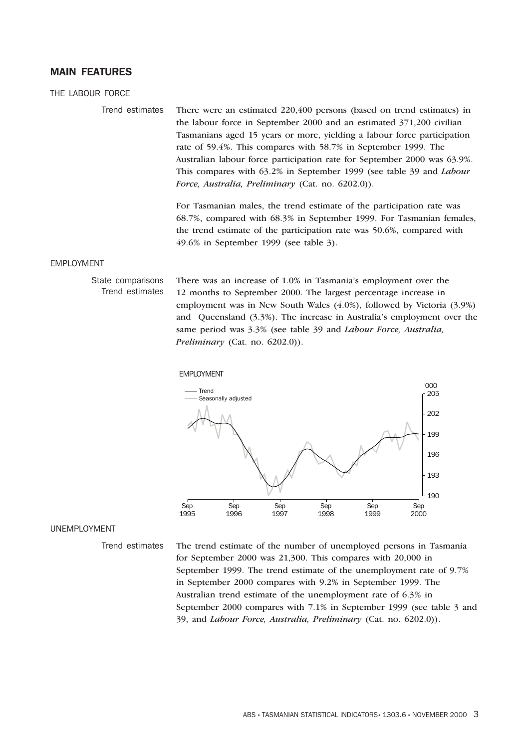#### **MAIN FEATURES**

THE LABOUR FORCE

Trend estimates There were an estimated 220,400 persons (based on trend estimates) in the labour force in September 2000 and an estimated 371,200 civilian Tasmanians aged 15 years or more, yielding a labour force participation rate of 59.4%. This compares with 58.7% in September 1999. The Australian labour force participation rate for September 2000 was 63.9%. This compares with 63.2% in September 1999 (see table 39 and *Labour Force, Australia, Preliminary* (Cat. no. 6202.0)).

> For Tasmanian males, the trend estimate of the participation rate was 68.7%, compared with 68.3% in September 1999. For Tasmanian females, the trend estimate of the participation rate was 50.6%, compared with 49.6% in September 1999 (see table 3).

#### EMPLOYMENT

State comparisons Trend estimates There was an increase of 1.0% in Tasmania's employment over the 12 months to September 2000. The largest percentage increase in employment was in New South Wales (4.0%), followed by Victoria (3.9%) and Queensland (3.3%). The increase in Australia's employment over the same period was 3.3% (see table 39 and *Labour Force, Australia, Preliminary* (Cat. no. 6202.0)).



#### UNEMPLOYMENT

Trend estimates The trend estimate of the number of unemployed persons in Tasmania for September 2000 was 21,300. This compares with 20,000 in September 1999. The trend estimate of the unemployment rate of 9.7% in September 2000 compares with 9.2% in September 1999. The Australian trend estimate of the unemployment rate of 6.3% in September 2000 compares with 7.1% in September 1999 (see table 3 and 39, and *Labour Force, Australia, Preliminary* (Cat. no. 6202.0)).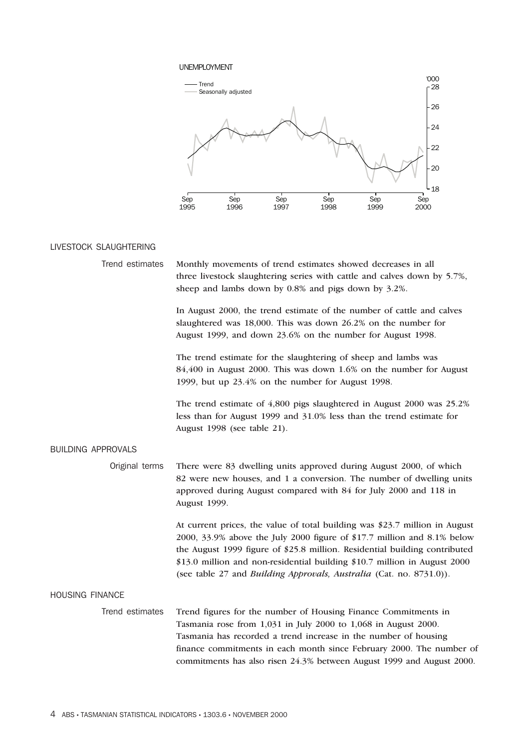#### UNEMPLOYMENT



#### LIVESTOCK SLAUGHTERING

| Trend estimates           | Monthly movements of trend estimates showed decreases in all<br>three livestock slaughtering series with cattle and calves down by 5.7%,<br>sheep and lambs down by 0.8% and pigs down by 3.2%.                                                                                                                                                                                          |
|---------------------------|------------------------------------------------------------------------------------------------------------------------------------------------------------------------------------------------------------------------------------------------------------------------------------------------------------------------------------------------------------------------------------------|
|                           | In August 2000, the trend estimate of the number of cattle and calves<br>slaughtered was 18,000. This was down 26.2% on the number for<br>August 1999, and down 23.6% on the number for August 1998.                                                                                                                                                                                     |
|                           | The trend estimate for the slaughtering of sheep and lambs was<br>84,400 in August 2000. This was down 1.6% on the number for August<br>1999, but up 23.4% on the number for August 1998.                                                                                                                                                                                                |
|                           | The trend estimate of 4,800 pigs slaughtered in August 2000 was 25.2%<br>less than for August 1999 and 31.0% less than the trend estimate for<br>August 1998 (see table 21).                                                                                                                                                                                                             |
| <b>BUILDING APPROVALS</b> |                                                                                                                                                                                                                                                                                                                                                                                          |
| Original terms            | There were 83 dwelling units approved during August 2000, of which<br>82 were new houses, and 1 a conversion. The number of dwelling units<br>approved during August compared with 84 for July 2000 and 118 in<br>August 1999.                                                                                                                                                           |
|                           | At current prices, the value of total building was \$23.7 million in August<br>2000, 33.9% above the July 2000 figure of \$17.7 million and 8.1% below<br>the August 1999 figure of \$25.8 million. Residential building contributed<br>\$13.0 million and non-residential building \$10.7 million in August 2000<br>(see table 27 and Building Approvals, Australia (Cat. no. 8731.0)). |
| <b>HOUSING FINANCE</b>    |                                                                                                                                                                                                                                                                                                                                                                                          |
| Trend estimates           | Trend figures for the number of Housing Finance Commitments in<br>Tasmania rose from 1,031 in July 2000 to 1,068 in August 2000.<br>Tasmania has recorded a trend increase in the number of housing<br>finance commitments in each month since February 2000. The number of                                                                                                              |

commitments has also risen 24.3% between August 1999 and August 2000.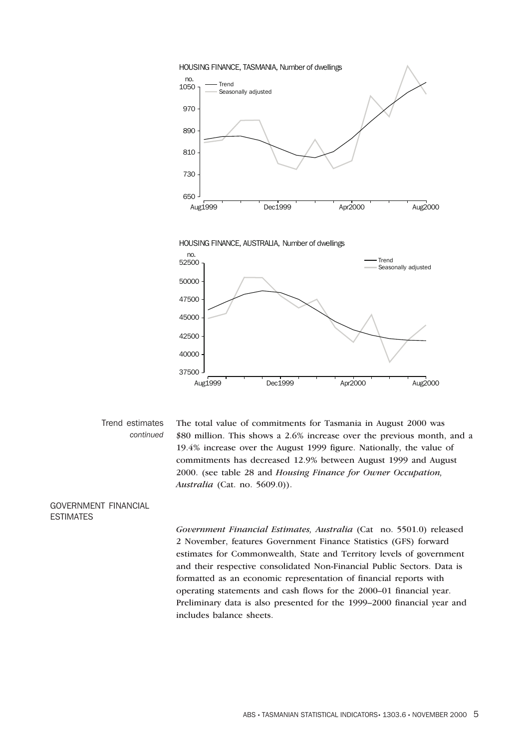

Trend estimates *continued* The total value of commitments for Tasmania in August 2000 was \$80 million. This shows a 2.6% increase over the previous month, and a 19.4% increase over the August 1999 figure. Nationally, the value of commitments has decreased 12.9% between August 1999 and August 2000. (see table 28 and *Housing Finance for Owner Occupation, Australia* (Cat. no. 5609.0)).

GOVERNMENT FINANCIAL ESTIMATES

> *Government Financial Estimates, Australia* (Cat no. 5501.0) released 2 November, features Government Finance Statistics (GFS) forward estimates for Commonwealth, State and Territory levels of government and their respective consolidated Non-Financial Public Sectors. Data is formatted as an economic representation of financial reports with operating statements and cash flows for the 2000–01 financial year. Preliminary data is also presented for the 1999–2000 financial year and includes balance sheets.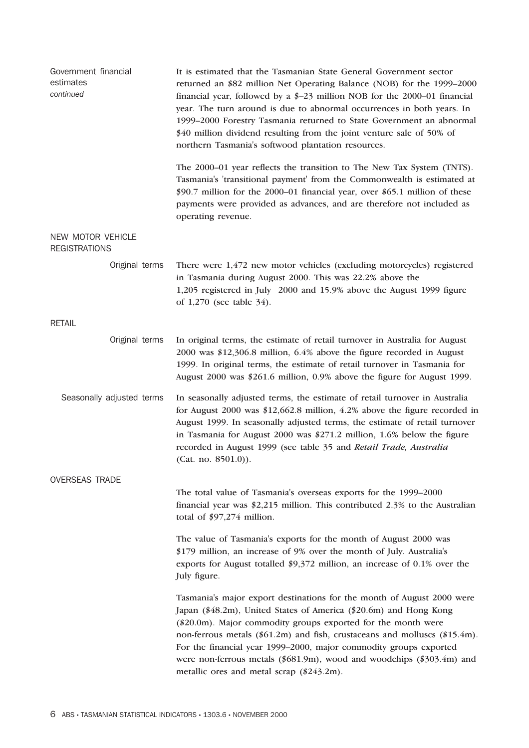| Government financial<br>estimates<br>continued | It is estimated that the Tasmanian State General Government sector<br>returned an \$82 million Net Operating Balance (NOB) for the 1999–2000<br>financial year, followed by a $$-23$ million NOB for the 2000-01 financial<br>year. The turn around is due to abnormal occurrences in both years. In<br>1999–2000 Forestry Tasmania returned to State Government an abnormal<br>\$40 million dividend resulting from the joint venture sale of 50% of<br>northern Tasmania's softwood plantation resources. |  |  |  |  |
|------------------------------------------------|-------------------------------------------------------------------------------------------------------------------------------------------------------------------------------------------------------------------------------------------------------------------------------------------------------------------------------------------------------------------------------------------------------------------------------------------------------------------------------------------------------------|--|--|--|--|
|                                                | The 2000–01 year reflects the transition to The New Tax System (TNTS).<br>Tasmania's 'transitional payment' from the Commonwealth is estimated at<br>\$90.7 million for the 2000–01 financial year, over \$65.1 million of these<br>payments were provided as advances, and are therefore not included as<br>operating revenue.                                                                                                                                                                             |  |  |  |  |
| NEW MOTOR VEHICLE<br><b>REGISTRATIONS</b>      |                                                                                                                                                                                                                                                                                                                                                                                                                                                                                                             |  |  |  |  |
| Original terms                                 | There were $1,472$ new motor vehicles (excluding motorcycles) registered<br>in Tasmania during August 2000. This was 22.2% above the<br>1,205 registered in July 2000 and 15.9% above the August 1999 figure<br>of 1,270 (see table 34).                                                                                                                                                                                                                                                                    |  |  |  |  |
| <b>RETAIL</b>                                  |                                                                                                                                                                                                                                                                                                                                                                                                                                                                                                             |  |  |  |  |
| Original terms                                 | In original terms, the estimate of retail turnover in Australia for August<br>2000 was \$12,306.8 million, 6.4% above the figure recorded in August<br>1999. In original terms, the estimate of retail turnover in Tasmania for<br>August 2000 was \$261.6 million, 0.9% above the figure for August 1999.                                                                                                                                                                                                  |  |  |  |  |
| Seasonally adjusted terms                      | In seasonally adjusted terms, the estimate of retail turnover in Australia<br>for August 2000 was $$12,662.8$ million, 4.2% above the figure recorded in<br>August 1999. In seasonally adjusted terms, the estimate of retail turnover<br>in Tasmania for August 2000 was \$271.2 million, 1.6% below the figure<br>recorded in August 1999 (see table 35 and Retail Trade, Australia<br>$(Cat. no. 8501.0)$ .                                                                                              |  |  |  |  |
| <b>OVERSEAS TRADE</b>                          |                                                                                                                                                                                                                                                                                                                                                                                                                                                                                                             |  |  |  |  |
|                                                | The total value of Tasmania's overseas exports for the 1999-2000<br>financial year was $$2,215$ million. This contributed 2.3% to the Australian<br>total of $$97,274$ million.                                                                                                                                                                                                                                                                                                                             |  |  |  |  |
|                                                | The value of Tasmania's exports for the month of August 2000 was<br>\$179 million, an increase of 9% over the month of July. Australia's<br>exports for August totalled \$9,372 million, an increase of 0.1% over the<br>July figure.                                                                                                                                                                                                                                                                       |  |  |  |  |
|                                                | Tasmania's major export destinations for the month of August 2000 were<br>Japan (\$48.2m), United States of America (\$20.6m) and Hong Kong<br>$(\$20.0m)$ . Major commodity groups exported for the month were<br>non-ferrous metals $(\$61.2m)$ and fish, crustaceans and molluscs $(\$15.4m)$ .<br>For the financial year 1999-2000, major commodity groups exported<br>were non-ferrous metals $(\$681.9m)$ , wood and woodchips $(\$303.4m)$ and<br>metallic ores and metal scrap (\$243.2m).          |  |  |  |  |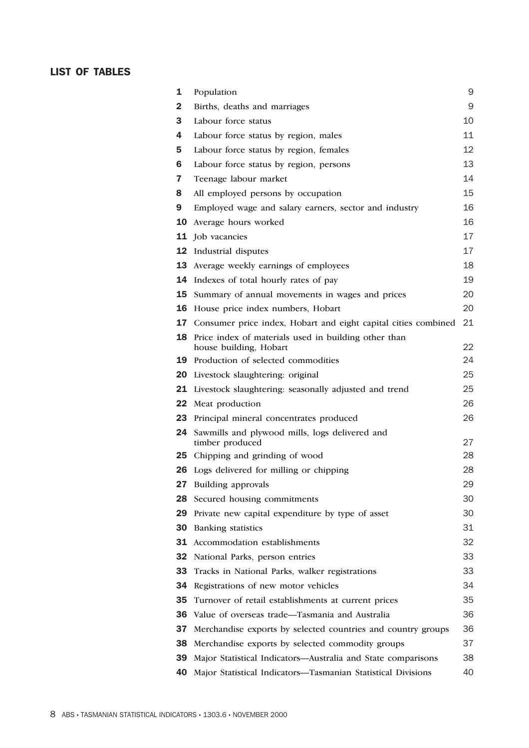### **LIST OF TABLES**

| 1  | Population                                                                     | 9  |
|----|--------------------------------------------------------------------------------|----|
| 2  | Births, deaths and marriages                                                   | 9  |
| 3  | Labour force status                                                            | 10 |
| 4  | Labour force status by region, males                                           | 11 |
| 5  | Labour force status by region, females                                         | 12 |
| 6  | Labour force status by region, persons                                         | 13 |
| 7  | Teenage labour market                                                          | 14 |
| 8  | All employed persons by occupation                                             | 15 |
| 9  | Employed wage and salary earners, sector and industry                          | 16 |
| 10 | Average hours worked                                                           | 16 |
|    | <b>11</b> Job vacancies                                                        | 17 |
|    | <b>12</b> Industrial disputes                                                  | 17 |
|    | 13 Average weekly earnings of employees                                        | 18 |
| 14 | Indexes of total hourly rates of pay                                           | 19 |
| 15 | Summary of annual movements in wages and prices                                | 20 |
| 16 | House price index numbers, Hobart                                              | 20 |
| 17 | Consumer price index, Hobart and eight capital cities combined                 | 21 |
| 18 | Price index of materials used in building other than<br>house building, Hobart | 22 |
|    | 19 Production of selected commodities                                          | 24 |
|    | 20 Livestock slaughtering: original                                            | 25 |
|    | 21 Livestock slaughtering: seasonally adjusted and trend                       | 25 |
|    | 22 Meat production                                                             | 26 |
| 23 | Principal mineral concentrates produced                                        | 26 |
| 24 | Sawmills and plywood mills, logs delivered and<br>timber produced              | 27 |
| 25 | Chipping and grinding of wood                                                  | 28 |
|    | <b>26</b> Logs delivered for milling or chipping                               | 28 |
|    | 27 Building approvals                                                          | 29 |
| 28 | Secured housing commitments                                                    | 30 |
| 29 | Private new capital expenditure by type of asset                               | 30 |
| 30 | <b>Banking</b> statistics                                                      | 31 |
| 31 | Accommodation establishments                                                   | 32 |
| 32 | National Parks, person entries                                                 | 33 |
| 33 | Tracks in National Parks, walker registrations                                 | 33 |
| 34 | Registrations of new motor vehicles                                            | 34 |
| 35 | Turnover of retail establishments at current prices                            | 35 |
| 36 | Value of overseas trade-Tasmania and Australia                                 | 36 |
| 37 | Merchandise exports by selected countries and country groups                   | 36 |
| 38 | Merchandise exports by selected commodity groups                               | 37 |
| 39 | Major Statistical Indicators-Australia and State comparisons                   | 38 |
| 40 | Major Statistical Indicators-Tasmanian Statistical Divisions                   | 40 |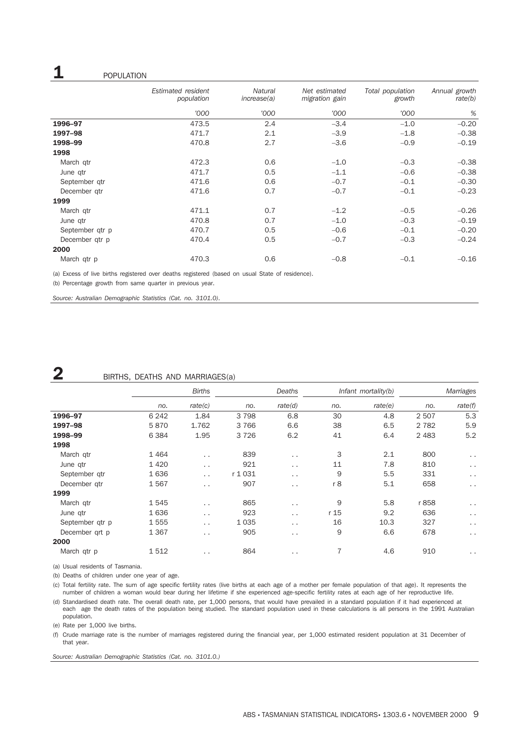### **1** POPULATION

|                 | Estimated resident<br>population | <b>Natural</b><br>increase(a) | Net estimated<br>migration gain | Total population<br>growth | Annual growth<br>rate(b) |
|-----------------|----------------------------------|-------------------------------|---------------------------------|----------------------------|--------------------------|
|                 | '000                             | '000                          | '000                            | '000                       | %                        |
| 1996-97         | 473.5                            | 2.4                           | $-3.4$                          | $-1.0$                     | $-0.20$                  |
| 1997-98         | 471.7                            | 2.1                           | $-3.9$                          | $-1.8$                     | $-0.38$                  |
| 1998-99         | 470.8                            | 2.7                           | $-3.6$                          | $-0.9$                     | $-0.19$                  |
| 1998            |                                  |                               |                                 |                            |                          |
| March qtr       | 472.3                            | 0.6                           | $-1.0$                          | $-0.3$                     | $-0.38$                  |
| June qtr        | 471.7                            | 0.5                           | $-1.1$                          | $-0.6$                     | $-0.38$                  |
| September gtr   | 471.6                            | 0.6                           | $-0.7$                          | $-0.1$                     | $-0.30$                  |
| December gtr    | 471.6                            | 0.7                           | $-0.7$                          | $-0.1$                     | $-0.23$                  |
| 1999            |                                  |                               |                                 |                            |                          |
| March qtr       | 471.1                            | 0.7                           | $-1.2$                          | $-0.5$                     | $-0.26$                  |
| June qtr        | 470.8                            | 0.7                           | $-1.0$                          | $-0.3$                     | $-0.19$                  |
| September qtr p | 470.7                            | 0.5                           | $-0.6$                          | $-0.1$                     | $-0.20$                  |
| December gtr p  | 470.4                            | 0.5                           | $-0.7$                          | $-0.3$                     | $-0.24$                  |
| 2000            |                                  |                               |                                 |                            |                          |
| March qtr p     | 470.3                            | 0.6                           | $-0.8$                          | $-0.1$                     | $-0.16$                  |

(a) Excess of live births registered over deaths registered (based on usual State of residence).

(b) Percentage growth from same quarter in previous year.

*Source: Australian Demographic Statistics (Cat. no. 3101.0).*

### **2** BIRTHS, DEATHS AND MARRIAGES(a)

|                 | <b>Births</b> |                      | Deaths  |                      | Infant mortality(b) |         | Marriages |               |
|-----------------|---------------|----------------------|---------|----------------------|---------------------|---------|-----------|---------------|
|                 | no.           | rate(c)              | no.     | rate(d)              | no.                 | rate(e) | no.       | rate(f)       |
| 1996-97         | 6 2 4 2       | 1.84                 | 3798    | 6.8                  | 30                  | 4.8     | 2 5 0 7   | 5.3           |
| 1997-98         | 5870          | 1.762                | 3766    | 6.6                  | 38                  | 6.5     | 2 7 8 2   | 5.9           |
| 1998-99         | 6 3 8 4       | 1.95                 | 3726    | 6.2                  | 41                  | 6.4     | 2 4 8 3   | 5.2           |
| 1998            |               |                      |         |                      |                     |         |           |               |
| March qtr       | 1464          | $\ddot{\phantom{0}}$ | 839     | $\ddot{\phantom{1}}$ | 3                   | 2.1     | 800       | $\sim$ $\sim$ |
| June qtr        | 1420          | $\sim$ $\sim$        | 921     | $\ddot{\phantom{1}}$ | 11                  | 7.8     | 810       | $\sim$ $\sim$ |
| September gtr   | 1636          | $\ddot{\phantom{0}}$ | r 1031  | $\cdot$ .            | 9                   | 5.5     | 331       | $\sim$ $\sim$ |
| December gtr    | 1567          | $\ddotsc$            | 907     | $\ddot{\phantom{1}}$ | r 8                 | 5.1     | 658       | $\sim$ $\sim$ |
| 1999            |               |                      |         |                      |                     |         |           |               |
| March gtr       | 1545          | $\ddotsc$            | 865     | $\cdot$ .            | 9                   | 5.8     | r 858     | $\sim$ $\sim$ |
| June qtr        | 1636          | $\ddot{\phantom{1}}$ | 923     | $\ddotsc$            | r 15                | 9.2     | 636       | $\sim$ $\sim$ |
| September gtr p | 1555          | $\ddot{\phantom{0}}$ | 1 0 3 5 | . .                  | 16                  | 10.3    | 327       | $\sim$ $\sim$ |
| December art p  | 1 3 6 7       | $\cdot$ .            | 905     | . .                  | 9                   | 6.6     | 678       | $\sim$ $\sim$ |
| 2000            |               |                      |         |                      |                     |         |           |               |
| March qtr p     | 1512          | $\ddotsc$            | 864     | $\cdot$ .            | 7                   | 4.6     | 910       | $\sim$ $\sim$ |

(a) Usual residents of Tasmania.

(b) Deaths of children under one year of age.

(c) Total fertility rate. The sum of age specific fertility rates (live births at each age of a mother per female population of that age). It represents the number of children a woman would bear during her lifetime if she experienced age-specific fertility rates at each age of her reproductive life. (d) Standardised death rate. The overall death rate, per 1,000 persons, that would have prevailed in a standard population if it had experienced at

each age the death rates of the population being studied. The standard population used in these calculations is all persons in the 1991 Australian population.

(e) Rate per 1,000 live births.

(f) Crude marriage rate is the number of marriages registered during the financial year, per 1,000 estimated resident population at 31 December of that year.

*Source: Australian Demographic Statistics (Cat. no. 3101.0.)*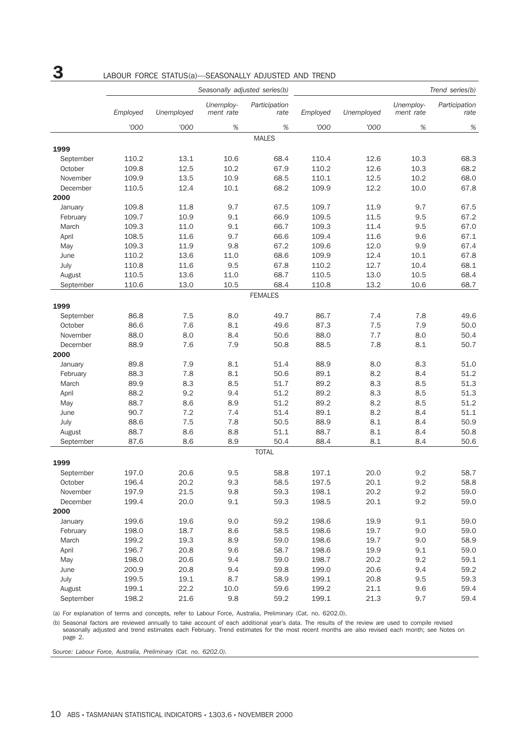# **3** LABOUR FORCE STATUS(a)—SEASONALLY ADJUSTED AND TREND

|           | Seasonally adjusted series(b) |            |                        |                       |          |            | Trend series(b)        |                       |
|-----------|-------------------------------|------------|------------------------|-----------------------|----------|------------|------------------------|-----------------------|
|           | Employed                      | Unemployed | Unemploy-<br>ment rate | Participation<br>rate | Employed | Unemployed | Unemploy-<br>ment rate | Participation<br>rate |
|           | '000                          | '000       | %                      | $\%$                  | '000     | '000       | $\%$                   | $\%$                  |
|           |                               |            |                        | <b>MALES</b>          |          |            |                        |                       |
| 1999      |                               |            |                        |                       |          |            |                        |                       |
| September | 110.2                         | 13.1       | 10.6                   | 68.4                  | 110.4    | 12.6       | 10.3                   | 68.3                  |
| October   | 109.8                         | 12.5       | 10.2                   | 67.9                  | 110.2    | 12.6       | 10.3                   | 68.2                  |
| November  | 109.9                         | 13.5       | 10.9                   | 68.5                  | 110.1    | 12.5       | 10.2                   | 68.0                  |
| December  | 110.5                         | 12.4       | 10.1                   | 68.2                  | 109.9    | 12.2       | 10.0                   | 67.8                  |
| 2000      |                               |            |                        |                       |          |            |                        |                       |
| January   | 109.8                         | 11.8       | 9.7                    | 67.5                  | 109.7    | 11.9       | 9.7                    | 67.5                  |
| February  | 109.7                         | 10.9       | 9.1                    | 66.9                  | 109.5    | 11.5       | 9.5                    | 67.2                  |
| March     | 109.3                         | 11.0       | 9.1                    | 66.7                  | 109.3    | 11.4       | 9.5                    | 67.0                  |
| April     | 108.5                         | 11.6       | 9.7                    | 66.6                  | 109.4    | 11.6       | 9.6                    | 67.1                  |
| May       | 109.3                         | 11.9       | 9.8                    | 67.2                  | 109.6    | 12.0       | 9.9                    | 67.4                  |
| June      | 110.2                         | 13.6       | 11.0                   | 68.6                  | 109.9    | 12.4       | 10.1                   | 67.8                  |
| July      | 110.8                         | 11.6       | 9.5                    | 67.8                  | 110.2    | 12.7       | 10.4                   | 68.1                  |
| August    | 110.5                         | 13.6       | 11.0                   | 68.7                  | 110.5    | 13.0       | 10.5                   | 68.4                  |
| September | 110.6                         | 13.0       | 10.5                   | 68.4                  | 110.8    | 13.2       | 10.6                   | 68.7                  |
|           |                               |            |                        | <b>FEMALES</b>        |          |            |                        |                       |
| 1999      |                               |            |                        |                       |          |            |                        |                       |
| September | 86.8                          | 7.5        | 8.0                    | 49.7                  | 86.7     | 7.4        | 7.8                    | 49.6                  |
| October   | 86.6                          | 7.6        | 8.1                    | 49.6                  | 87.3     | 7.5        | 7.9                    | 50.0                  |
| November  | 88.0                          | 8.0        | 8.4                    | 50.6                  | 88.0     | 7.7        | 8.0                    | 50.4                  |
| December  | 88.9                          | 7.6        | 7.9                    | 50.8                  | 88.5     | 7.8        | 8.1                    | 50.7                  |
| 2000      |                               |            |                        |                       |          |            |                        |                       |
| January   | 89.8                          | 7.9        | 8.1                    | 51.4                  | 88.9     | 8.0        | 8.3                    | 51.0                  |
| February  | 88.3                          | 7.8        | 8.1                    | 50.6                  | 89.1     | 8.2        | 8.4                    | 51.2                  |
| March     | 89.9                          | 8.3        | 8.5                    | 51.7                  | 89.2     | 8.3        | 8.5                    | 51.3                  |
| April     | 88.2                          | 9.2        | 9.4                    | 51.2                  | 89.2     | 8.3        | 8.5                    | 51.3                  |
| May       | 88.7                          | 8.6        | 8.9                    | 51.2                  | 89.2     | 8.2        | 8.5                    | 51.2                  |
| June      | 90.7                          | 7.2        | 7.4                    | 51.4                  | 89.1     | 8.2        | 8.4                    | 51.1                  |
| July      | 88.6                          | 7.5        | 7.8                    | 50.5                  | 88.9     | 8.1        | 8.4                    | 50.9                  |
| August    | 88.7                          | 8.6        | 8.8                    | 51.1                  | 88.7     | 8.1        | 8.4                    | 50.8                  |
| September | 87.6                          | 8.6        | 8.9                    | 50.4                  | 88.4     | 8.1        | 8.4                    | 50.6                  |
|           |                               |            |                        | <b>TOTAL</b>          |          |            |                        |                       |
| 1999      |                               |            |                        |                       |          |            |                        |                       |
| September | 197.0                         | 20.6       | 9.5                    | 58.8                  | 197.1    | 20.0       | 9.2                    | 58.7                  |
| October   | 196.4                         | 20.2       | 9.3                    | 58.5                  | 197.5    | 20.1       | 9.2                    | 58.8                  |
| November  | 197.9                         | 21.5       | 9.8                    | 59.3                  | 198.1    | 20.2       | 9.2                    | 59.0                  |
| December  | 199.4                         | 20.0       | 9.1                    | 59.3                  | 198.5    | 20.1       | 9.2                    | 59.0                  |
| 2000      |                               |            |                        |                       |          |            |                        |                       |
| January   | 199.6                         | 19.6       | 9.0                    | 59.2                  | 198.6    | 19.9       | 9.1                    | 59.0                  |
| February  | 198.0                         | 18.7       | 8.6                    | 58.5                  | 198.6    | 19.7       | 9.0                    | 59.0                  |
| March     | 199.2                         | 19.3       | 8.9                    | 59.0                  | 198.6    | 19.7       | 9.0                    | 58.9                  |
| April     | 196.7                         | 20.8       | 9.6                    | 58.7                  | 198.6    | 19.9       | 9.1                    | 59.0                  |
| May       | 198.0                         | 20.6       | 9.4                    | 59.0                  | 198.7    | 20.2       | 9.2                    | 59.1                  |
| June      | 200.9                         | 20.8       | 9.4                    | 59.8                  | 199.0    | 20.6       | 9.4                    | 59.2                  |
| July      | 199.5                         | 19.1       | 8.7                    | 58.9                  | 199.1    | 20.8       | 9.5                    | 59.3                  |
| August    | 199.1                         | 22.2       | 10.0                   | 59.6                  | 199.2    | 21.1       | 9.6                    | 59.4                  |
| September | 198.2                         | 21.6       | 9.8                    | 59.2                  | 199.1    | 21.3       | 9.7                    | 59.4                  |

(a) For explanation of terms and concepts, refer to Labour Force, Australia, Preliminary (Cat. no. 6202.0).

(b) Seasonal factors are reviewed annually to take account of each additional year's data. The results of the review are used to compile revised seasonally adjusted and trend estimates each February. Trend estimates for the most recent months are also revised each month; see Notes on page 2.

*Source: Labour Force, Australia, Preliminary (Cat. no. 6202.0).*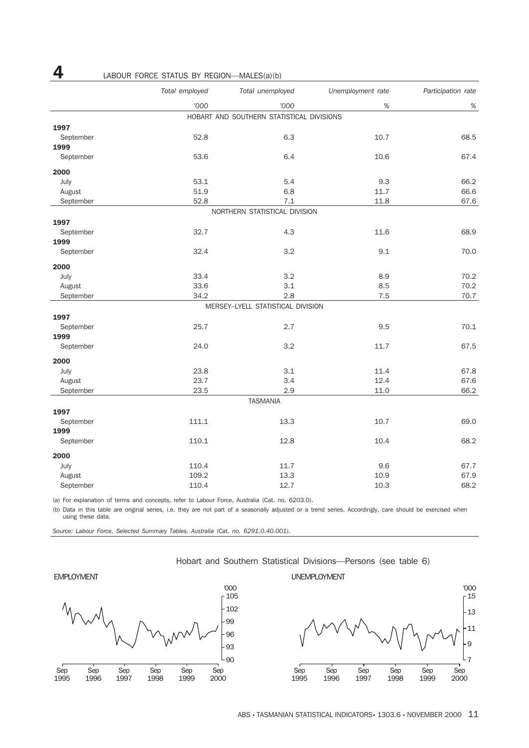|           | Total employed | Total unemployed                          | Unemployment rate | Participation rate |
|-----------|----------------|-------------------------------------------|-------------------|--------------------|
|           | '000           | '000                                      | $\%$              | $\%$               |
|           |                | HOBART AND SOUTHERN STATISTICAL DIVISIONS |                   |                    |
| 1997      |                |                                           |                   |                    |
| September | 52.8           | 6.3                                       | 10.7              | 68.5               |
| 1999      |                |                                           |                   |                    |
| September | 53.6           | 6.4                                       | 10.6              | 67.4               |
| 2000      |                |                                           |                   |                    |
| July      | 53.1           | 5.4                                       | 9.3               | 66.2               |
| August    | 51.9           | 6.8                                       | 11.7              | 66.6               |
| September | 52.8           | 7.1                                       | 11.8              | 67.6               |
|           |                | NORTHERN STATISTICAL DIVISION             |                   |                    |
| 1997      |                |                                           |                   |                    |
| September | 32.7           | 4.3                                       | 11.6              | 68.9               |
| 1999      |                |                                           |                   |                    |
| September | 32.4           | 3.2                                       | 9.1               | 70.0               |
| 2000      |                |                                           |                   |                    |
| July      | 33.4           | 3.2                                       | 8.9               | 70.2               |
| August    | 33.6           | 3.1                                       | 8.5               | 70.2               |
| September | 34.2           | 2.8                                       | 7.5               | 70.7               |
|           |                | MERSEY-LYELL STATISTICAL DIVISION         |                   |                    |
| 1997      |                |                                           |                   |                    |
| September | 25.7           | 2.7                                       | 9.5               | 70.1               |
| 1999      |                |                                           |                   |                    |
| September | 24.0           | 3.2                                       | 11.7              | 67.5               |
| 2000      |                |                                           |                   |                    |
| July      | 23.8           | 3.1                                       | 11.4              | 67.8               |
| August    | 23.7           | 3.4                                       | 12.4              | 67.6               |
| September | 23.5           | 2.9                                       | 11.0              | 66.2               |
|           |                | <b>TASMANIA</b>                           |                   |                    |
| 1997      |                |                                           |                   |                    |
| September | 111.1          | 13.3                                      | 10.7              | 69.0               |
| 1999      |                |                                           |                   |                    |
| September | 110.1          | 12.8                                      | 10.4              | 68.2               |
| 2000      |                |                                           |                   |                    |
| July      | 110.4          | 11.7                                      | 9.6               | 67.7               |
| August    | 109.2          | 13.3                                      | 10.9              | 67.9               |
| September | 110.4          | 12.7                                      | 10.3              | 68.2               |

(a) For explanation of terms and concepts, refer to Labour Force, Australia (Cat. no. 6203.0).

(b) Data in this table are original series, i.e. they are not part of a seasonally adjusted or a trend series. Accordingly, care should be exercised when using these data.

*Source: Labour Force, Selected Summary Tables, Australia (Cat. no. 6291.0.40.001).*

#### Hobart and Southern Statistical Divisions—Persons (see table 6)







## **4** LABOUR FORCE STATUS BY REGION—MALES(a)(b)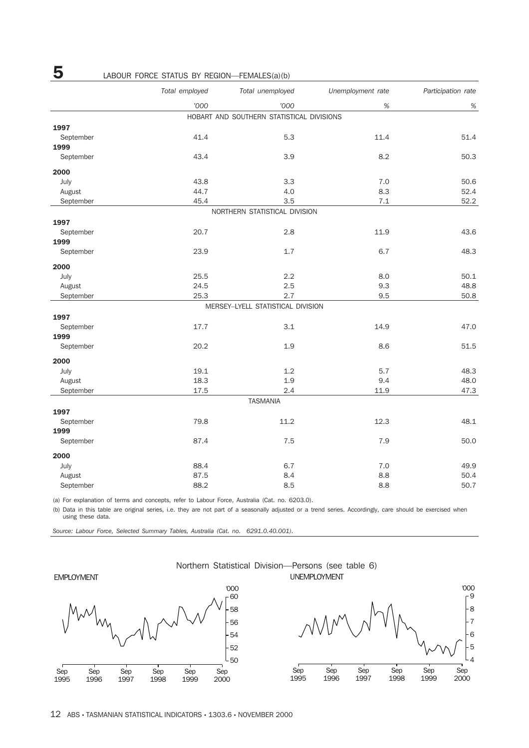|           | Total employed | Total unemployed                          | Unemployment rate | Participation rate |
|-----------|----------------|-------------------------------------------|-------------------|--------------------|
|           | '000           | '000                                      | $\%$              | $\%$               |
|           |                | HOBART AND SOUTHERN STATISTICAL DIVISIONS |                   |                    |
| 1997      |                |                                           |                   |                    |
| September | 41.4           | 5.3                                       | 11.4              | 51.4               |
| 1999      |                |                                           |                   |                    |
| September | 43.4           | 3.9                                       | 8.2               | 50.3               |
| 2000      |                |                                           |                   |                    |
| July      | 43.8           | 3.3                                       | 7.0               | 50.6               |
| August    | 44.7           | 4.0                                       | 8.3               | 52.4               |
| September | 45.4           | 3.5                                       | 7.1               | 52.2               |
|           |                | NORTHERN STATISTICAL DIVISION             |                   |                    |
| 1997      |                |                                           |                   |                    |
| September | 20.7           | 2.8                                       | 11.9              | 43.6               |
| 1999      |                |                                           |                   |                    |
| September | 23.9           | 1.7                                       | 6.7               | 48.3               |
| 2000      |                |                                           |                   |                    |
| July      | 25.5           | 2.2                                       | 8.0               | 50.1               |
| August    | 24.5           | 2.5                                       | 9.3               | 48.8               |
| September | 25.3           | 2.7                                       | 9.5               | 50.8               |
|           |                | MERSEY-LYELL STATISTICAL DIVISION         |                   |                    |
| 1997      |                |                                           |                   |                    |
| September | 17.7           | 3.1                                       | 14.9              | 47.0               |
| 1999      |                |                                           |                   |                    |
| September | 20.2           | 1.9                                       | 8.6               | 51.5               |
| 2000      |                |                                           |                   |                    |
| July      | 19.1           | 1.2                                       | 5.7               | 48.3               |
| August    | 18.3           | 1.9                                       | 9.4               | 48.0               |
| September | 17.5           | 2.4                                       | 11.9              | 47.3               |
|           |                | <b>TASMANIA</b>                           |                   |                    |
| 1997      |                |                                           |                   |                    |
| September | 79.8           | 11.2                                      | 12.3              | 48.1               |
| 1999      |                |                                           |                   |                    |
| September | 87.4           | 7.5                                       | 7.9               | 50.0               |
| 2000      |                |                                           |                   |                    |

# **5** LABOUR FORCE STATUS BY REGION—FEMALES(a)(b)

(a) For explanation of terms and concepts, refer to Labour Force, Australia (Cat. no. 6203.0).

(b) Data in this table are original series, i.e. they are not part of a seasonally adjusted or a trend series. Accordingly, care should be exercised when using these data.

July 88.4 6.7 7.0 49.9 August 87.5 8.4 8.8 50.4 September 68.2 88.2 8.5 8.8 8.8 50.7

*Source: Labour Force, Selected Summary Tables, Australia (Cat. no. 6291.0.40.001).*



Northern Statistical Division—Persons (see table 6)



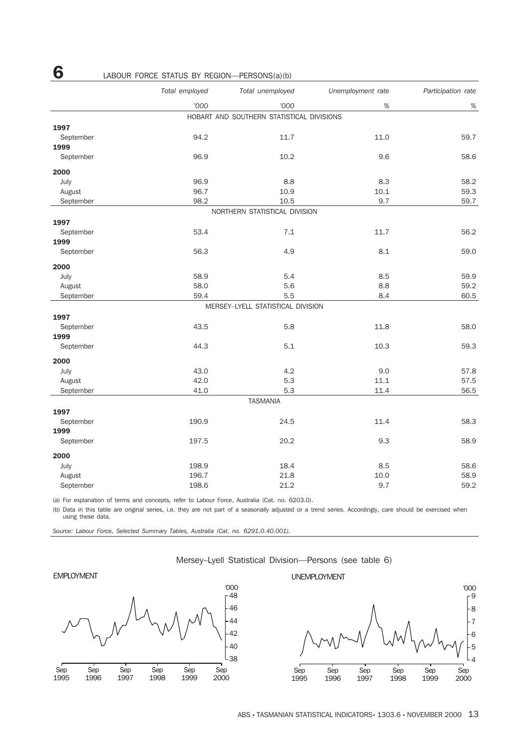|           | Total employed | Total unemployed                          |      | Participation rate |
|-----------|----------------|-------------------------------------------|------|--------------------|
|           | '000           | '000                                      | $\%$ | $\%$               |
|           |                | HOBART AND SOUTHERN STATISTICAL DIVISIONS |      |                    |
| 1997      |                |                                           |      |                    |
| September | 94.2           | 11.7                                      | 11.0 | 59.7               |
| 1999      |                |                                           |      |                    |
| September | 96.9           | 10.2                                      | 9.6  | 58.6               |
| 2000      |                |                                           |      |                    |
| July      | 96.9           | 8.8                                       | 8.3  | 58.2               |
| August    | 96.7           | 10.9                                      | 10.1 | 59.3               |
| September | 98.2           | 10.5                                      | 9.7  | 59.7               |
|           |                | NORTHERN STATISTICAL DIVISION             |      |                    |
| 1997      |                |                                           |      |                    |
| September | 53.4           | 7.1                                       | 11.7 | 56.2               |
| 1999      |                |                                           |      |                    |
| September | 56.3           | 4.9                                       | 8.1  | 59.0               |
| 2000      |                |                                           |      |                    |
| July      | 58.9           | 5.4                                       | 8.5  | 59.9               |
| August    | 58.0           | 5.6                                       | 8.8  | 59.2               |
| September | 59.4           | 5.5                                       | 8.4  | 60.5               |
|           |                | MERSEY-LYELL STATISTICAL DIVISION         |      |                    |
| 1997      |                |                                           |      |                    |
| September | 43.5           | 5.8                                       | 11.8 | 58.0               |
| 1999      |                |                                           |      |                    |
| September | 44.3           | 5.1                                       | 10.3 | 59.3               |
| 2000      |                |                                           |      |                    |
| July      | 43.0           | 4.2                                       | 9.0  | 57.8               |
| August    | 42.0           | 5.3                                       | 11.1 | 57.5               |
| September | 41.0           | 5.3                                       | 11.4 | 56.5               |
|           |                | <b>TASMANIA</b>                           |      |                    |
| 1997      |                |                                           |      |                    |
| September | 190.9          | 24.5                                      | 11.4 | 58.3               |
| 1999      |                |                                           |      |                    |
| September | 197.5          | 20.2                                      | 9.3  | 58.9               |
| 2000      |                |                                           |      |                    |

### **6** LABOUR FORCE STATUS BY REGION—PERSONS(a)(b)

(a) For explanation of terms and concepts, refer to Labour Force, Australia (Cat. no. 6203.0).

(b) Data in this table are original series, i.e. they are not part of a seasonally adjusted or a trend series. Accordingly, care should be exercised when using these data.

July 198.9 18.4 8.5 58.6 August 196.7 21.8 10.0 58.9 September 198.6 21.2 9.7 59.2

*Source: Labour Force, Selected Summary Tables, Australia (Cat. no. 6291.0.40.001).*

#### Mersey–Lyell Statistical Division—Persons (see table 6)

#### EMPLOYMENT



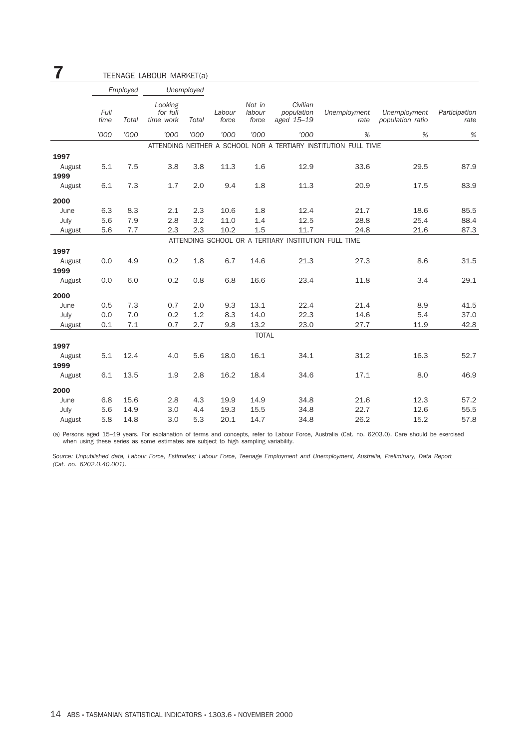| 7              |              |          | TEENAGE LABOUR MARKET(a)         |              |                 |                           |                                                      |                                                                 |                                  |                       |
|----------------|--------------|----------|----------------------------------|--------------|-----------------|---------------------------|------------------------------------------------------|-----------------------------------------------------------------|----------------------------------|-----------------------|
|                |              | Employed |                                  | Unemployed   |                 |                           |                                                      |                                                                 |                                  |                       |
|                | Full<br>time | Total    | Looking<br>for full<br>time work | <b>Total</b> | Labour<br>force | Not in<br>labour<br>force | Civilian<br>population<br>aged 15-19                 | Unemployment<br>rate                                            | Unemployment<br>population ratio | Participation<br>rate |
|                | '000         | '000     | '000                             | '000         | '000            | '000                      | '000                                                 | %                                                               | %                                | %                     |
|                |              |          |                                  |              |                 |                           |                                                      | ATTENDING NEITHER A SCHOOL NOR A TERTIARY INSTITUTION FULL TIME |                                  |                       |
| 1997           |              |          |                                  |              |                 |                           |                                                      |                                                                 |                                  |                       |
| August<br>1999 | 5.1          | 7.5      | 3.8                              | 3.8          | 11.3            | 1.6                       | 12.9                                                 | 33.6                                                            | 29.5                             | 87.9                  |
| August         | 6.1          | 7.3      | 1.7                              | 2.0          | 9.4             | 1.8                       | 11.3                                                 | 20.9                                                            | 17.5                             | 83.9                  |
| 2000           |              |          |                                  |              |                 |                           |                                                      |                                                                 |                                  |                       |
| June           | 6.3          | 8.3      | 2.1                              | 2.3          | 10.6            | 1.8                       | 12.4                                                 | 21.7                                                            | 18.6                             | 85.5                  |
| July           | 5.6          | 7.9      | 2.8                              | 3.2          | 11.0            | 1.4                       | 12.5                                                 | 28.8                                                            | 25.4                             | 88.4                  |
| August         | 5.6          | 7.7      | 2.3                              | 2.3          | 10.2            | 1.5                       | 11.7                                                 | 24.8                                                            | 21.6                             | 87.3                  |
|                |              |          |                                  |              |                 |                           | ATTENDING SCHOOL OR A TERTIARY INSTITUTION FULL TIME |                                                                 |                                  |                       |
| 1997           |              |          |                                  |              |                 |                           |                                                      |                                                                 |                                  |                       |
| August<br>1999 | 0.0          | 4.9      | 0.2                              | 1.8          | 6.7             | 14.6                      | 21.3                                                 | 27.3                                                            | 8.6                              | 31.5                  |
| August         | 0.0          | 6.0      | 0.2                              | 0.8          | 6.8             | 16.6                      | 23.4                                                 | 11.8                                                            | 3.4                              | 29.1                  |
| 2000           |              |          |                                  |              |                 |                           |                                                      |                                                                 |                                  |                       |
| June           | 0.5          | 7.3      | 0.7                              | 2.0          | 9.3             | 13.1                      | 22.4                                                 | 21.4                                                            | 8.9                              | 41.5                  |
| July           | 0.0          | 7.0      | 0.2                              | 1.2          | 8.3             | 14.0                      | 22.3                                                 | 14.6                                                            | 5.4                              | 37.0                  |
| August         | 0.1          | 7.1      | 0.7                              | 2.7          | 9.8             | 13.2                      | 23.0                                                 | 27.7                                                            | 11.9                             | 42.8                  |
|                |              |          |                                  |              |                 | <b>TOTAL</b>              |                                                      |                                                                 |                                  |                       |
| 1997           |              |          |                                  |              |                 |                           |                                                      |                                                                 |                                  |                       |
| August<br>1999 | 5.1          | 12.4     | 4.0                              | 5.6          | 18.0            | 16.1                      | 34.1                                                 | 31.2                                                            | 16.3                             | 52.7                  |
| August         | 6.1          | 13.5     | 1.9                              | 2.8          | 16.2            | 18.4                      | 34.6                                                 | 17.1                                                            | 8.0                              | 46.9                  |
| 2000           |              |          |                                  |              |                 |                           |                                                      |                                                                 |                                  |                       |
| June           | 6.8          | 15.6     | 2.8                              | 4.3          | 19.9            | 14.9                      | 34.8                                                 | 21.6                                                            | 12.3                             | 57.2                  |
| July           | 5.6          | 14.9     | 3.0                              | 4.4          | 19.3            | 15.5                      | 34.8                                                 | 22.7                                                            | 12.6                             | 55.5                  |
| August         | 5.8          | 14.8     | 3.0                              | 5.3          | 20.1            | 14.7                      | 34.8                                                 | 26.2                                                            | 15.2                             | 57.8                  |

(a) Persons aged 15–19 years. For explanation of terms and concepts, refer to Labour Force, Australia (Cat. no. 6203.0). Care should be exercised when using these series as some estimates are subject to high sampling variability.

*Source: Unpublished data, Labour Force, Estimates; Labour Force, Teenage Employment and Unemployment, Australia, Preliminary, Data Report (Cat. no. 6202.0.40.001).*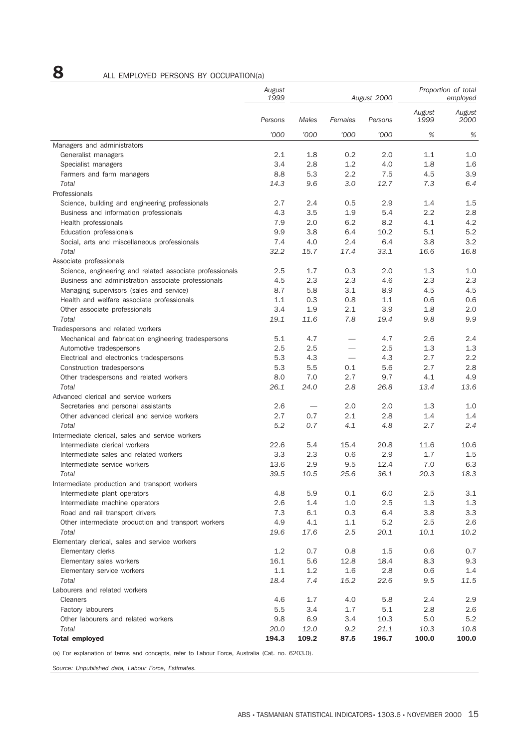# **8** ALL EMPLOYED PERSONS BY OCCUPATION(a)

|                                                          | August<br>1999 | August 2000 |            |            | Proportion of total<br>employed |                |
|----------------------------------------------------------|----------------|-------------|------------|------------|---------------------------------|----------------|
|                                                          | Persons        | Males       | Females    | Persons    | August<br>1999                  | August<br>2000 |
|                                                          | '000           | '000        | '000       | '000       | %                               | $\%$           |
| Managers and administrators                              |                |             |            |            |                                 |                |
| Generalist managers                                      | 2.1            | 1.8         | 0.2        | 2.0        | 1.1                             | 1.0            |
| Specialist managers                                      | 3.4            | 2.8         | 1.2        | 4.0        | 1.8                             | 1.6            |
| Farmers and farm managers                                | 8.8            | 5.3         | 2.2        | 7.5        | 4.5                             | 3.9            |
| Total                                                    | 14.3           | 9.6         | 3.0        | 12.7       | 7.3                             | 6.4            |
| Professionals                                            |                |             |            |            |                                 |                |
| Science, building and engineering professionals          | 2.7            | 2.4         | 0.5        | 2.9        | 1.4                             | 1.5            |
| Business and information professionals                   | 4.3            | 3.5         | 1.9        | 5.4        | 2.2                             | 2.8            |
| Health professionals                                     | 7.9            | 2.0         | 6.2        | 8.2        | 4.1                             | 4.2            |
| Education professionals                                  | 9.9            | 3.8         | 6.4        | 10.2       | 5.1                             | 5.2            |
| Social, arts and miscellaneous professionals             | 7.4            | 4.0         | 2.4        | 6.4        | 3.8                             | 3.2            |
| Total                                                    | 32.2           | 15.7        | 17.4       | 33.1       | 16.6                            | 16.8           |
| Associate professionals                                  |                |             |            |            |                                 |                |
| Science, engineering and related associate professionals | 2.5            | 1.7         | 0.3        | 2.0        | 1.3                             | 1.0            |
| Business and administration associate professionals      | 4.5            | 2.3         | 2.3        | 4.6        | 2.3                             | 2.3            |
| Managing supervisors (sales and service)                 | 8.7            | 5.8         | 3.1        | 8.9        | 4.5                             | 4.5<br>0.6     |
| Health and welfare associate professionals               | 1.1            | 0.3         | 0.8<br>2.1 | 1.1<br>3.9 | 0.6                             |                |
| Other associate professionals<br>Total                   | 3.4<br>19.1    | 1.9<br>11.6 | 7.8        | 19.4       | 1.8<br>9.8                      | 2.0<br>9.9     |
| Tradespersons and related workers                        |                |             |            |            |                                 |                |
| Mechanical and fabrication engineering tradespersons     | 5.1            | 4.7         |            | 4.7        | 2.6                             | 2.4            |
| Automotive tradespersons                                 | 2.5            | 2.5         |            | 2.5        | 1.3                             | 1.3            |
| Electrical and electronics tradespersons                 | 5.3            | 4.3         |            | 4.3        | 2.7                             | 2.2            |
| Construction tradespersons                               | 5.3            | 5.5         | 0.1        | 5.6        | 2.7                             | 2.8            |
| Other tradespersons and related workers                  | 8.0            | 7.0         | 2.7        | 9.7        | 4.1                             | 4.9            |
| Total                                                    | 26.1           | 24.0        | 2.8        | 26.8       | 13.4                            | 13.6           |
| Advanced clerical and service workers                    |                |             |            |            |                                 |                |
| Secretaries and personal assistants                      | 2.6            |             | 2.0        | 2.0        | 1.3                             | 1.0            |
| Other advanced clerical and service workers              | 2.7            | 0.7         | 2.1        | 2.8        | 1.4                             | 1.4            |
| Total                                                    | 5.2            | 0.7         | 4.1        | 4.8        | 2.7                             | 2.4            |
| Intermediate clerical, sales and service workers         |                |             |            |            |                                 |                |
| Intermediate clerical workers                            | 22.6           | 5.4         | 15.4       | 20.8       | 11.6                            | 10.6           |
| Intermediate sales and related workers                   | 3.3            | 2.3         | 0.6        | 2.9        | 1.7                             | 1.5            |
| Intermediate service workers                             | 13.6           | 2.9         | 9.5        | 12.4       | 7.0                             | 6.3            |
| Total                                                    | 39.5           | 10.5        | 25.6       | 36.1       | 20.3                            | 18.3           |
| Intermediate production and transport workers            |                |             |            |            |                                 |                |
| Intermediate plant operators                             | 4.8            | 5.9         | 0.1        | 6.0        | 2.5                             | 3.1            |
| Intermediate machine operators                           | 2.6            | 1.4         | 1.0        | 2.5        | 1.3                             | 1.3            |
| Road and rail transport drivers                          | 7.3            | 6.1         | 0.3        | 6.4        | 3.8                             | 3.3            |
| Other intermediate production and transport workers      | 4.9            | 4.1         | 1.1        | 5.2        | 2.5                             | 2.6            |
| Total                                                    | 19.6           | 17.6        | 2.5        | 20.1       | 10.1                            | 10.2           |
| Elementary clerical, sales and service workers           |                |             |            |            |                                 |                |
| Elementary clerks                                        | 1.2            | 0.7         | 0.8        | 1.5        | 0.6                             | 0.7            |
| Elementary sales workers                                 | 16.1           | 5.6         | 12.8       | 18.4       | 8.3                             | 9.3            |
| Elementary service workers                               | $1.1\,$        | 1.2         | 1.6        | 2.8        | 0.6                             | 1.4            |
| Total                                                    | 18.4           | 7.4         | 15.2       | 22.6       | 9.5                             | 11.5           |
| Labourers and related workers                            |                |             |            |            |                                 |                |
| <b>Cleaners</b>                                          | 4.6            | 1.7         | 4.0        | 5.8        | 2.4                             | 2.9            |
| Factory labourers                                        | 5.5            | 3.4         | 1.7        | 5.1        | 2.8                             | 2.6            |
| Other labourers and related workers                      | 9.8            | 6.9         | 3.4        | 10.3       | 5.0                             | 5.2            |
| Total                                                    | 20.0           | 12.0        | 9.2        | 21.1       | 10.3                            | 10.8           |
| <b>Total employed</b>                                    | 194.3          | 109.2       | 87.5       | 196.7      | 100.0                           | 100.0          |

(a) For explanation of terms and concepts, refer to Labour Force, Australia (Cat. no. 6203.0).

*Source: Unpublished data, Labour Force, Estimates.*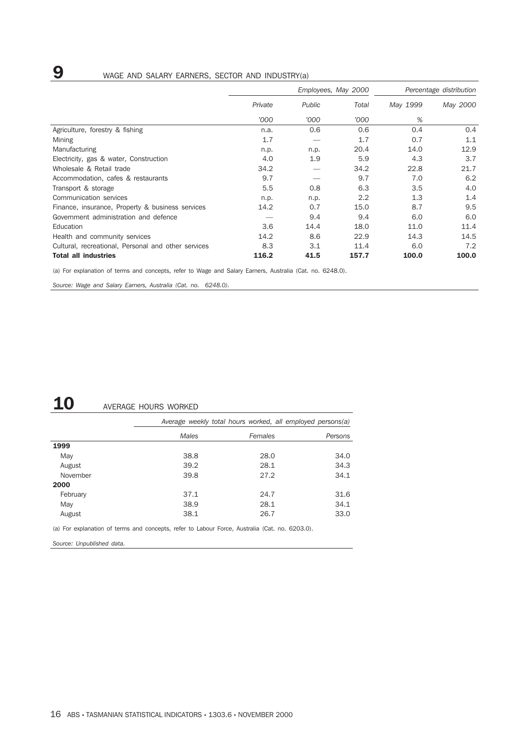# **9** WAGE AND SALARY EARNERS, SECTOR AND INDUSTRY(a)

|                                                     | Employees, May 2000 |        |       | Percentage distribution |          |  |
|-----------------------------------------------------|---------------------|--------|-------|-------------------------|----------|--|
|                                                     | Private             | Public | Total | May 1999                | May 2000 |  |
|                                                     | '000                | '000   | '000  | %                       |          |  |
| Agriculture, forestry & fishing                     | n.a.                | 0.6    | 0.6   | 0.4                     | 0.4      |  |
| Mining                                              | 1.7                 |        | 1.7   | 0.7                     | 1.1      |  |
| Manufacturing                                       | n.p.                | n.p.   | 20.4  | 14.0                    | 12.9     |  |
| Electricity, gas & water, Construction              | 4.0                 | 1.9    | 5.9   | 4.3                     | 3.7      |  |
| Wholesale & Retail trade                            | 34.2                |        | 34.2  | 22.8                    | 21.7     |  |
| Accommodation, cafes & restaurants                  | 9.7                 |        | 9.7   | 7.0                     | 6.2      |  |
| Transport & storage                                 | 5.5                 | 0.8    | 6.3   | 3.5                     | 4.0      |  |
| Communication services                              | n.p.                | n.p.   | 2.2   | 1.3                     | 1.4      |  |
| Finance, insurance, Property & business services    | 14.2                | 0.7    | 15.0  | 8.7                     | 9.5      |  |
| Government administration and defence               |                     | 9.4    | 9.4   | 6.0                     | 6.0      |  |
| Education                                           | 3.6                 | 14.4   | 18.0  | 11.0                    | 11.4     |  |
| Health and community services                       | 14.2                | 8.6    | 22.9  | 14.3                    | 14.5     |  |
| Cultural, recreational, Personal and other services | 8.3                 | 3.1    | 11.4  | 6.0                     | 7.2      |  |
| <b>Total all industries</b>                         | 116.2               | 41.5   | 157.7 | 100.0                   | 100.0    |  |

(a) For explanation of terms and concepts, refer to Wage and Salary Earners, Australia (Cat. no. 6248.0).

*Source: Wage and Salary Earners, Australia (Cat. no. 6248.0).*

# 10 AVERAGE HOURS WORKED

|          |       | Average weekly total hours worked, all employed persons(a) |         |
|----------|-------|------------------------------------------------------------|---------|
|          | Males | Females                                                    | Persons |
| 1999     |       |                                                            |         |
| May      | 38.8  | 28.0                                                       | 34.0    |
| August   | 39.2  | 28.1                                                       | 34.3    |
| November | 39.8  | 27.2                                                       | 34.1    |
| 2000     |       |                                                            |         |
| February | 37.1  | 24.7                                                       | 31.6    |
| May      | 38.9  | 28.1                                                       | 34.1    |
| August   | 38.1  | 26.7                                                       | 33.0    |

(a) For explanation of terms and concepts, refer to Labour Force, Australia (Cat. no. 6203.0).

*Source: Unpublished data.*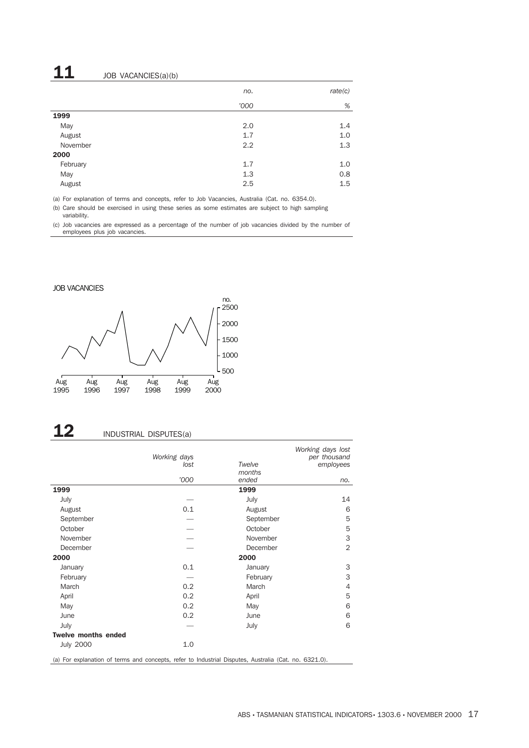# $11$  JOB VACANCIES(a)(b)

|          | no.  | rate(c) |
|----------|------|---------|
|          | '000 | $\%$    |
| 1999     |      |         |
| May      | 2.0  | 1.4     |
| August   | 1.7  | 1.0     |
| November | 2.2  | 1.3     |
| 2000     |      |         |
| February | 1.7  | 1.0     |
| May      | 1.3  | 0.8     |
| August   | 2.5  | 1.5     |

(a) For explanation of terms and concepts, refer to Job Vacancies, Australia (Cat. no. 6354.0).

(b) Care should be exercised in using these series as some estimates are subject to high sampling variability.

(c) Job vacancies are expressed as a percentage of the number of job vacancies divided by the number of employees plus job vacancies.

#### JOB VACANCIES



# **12** INDUSTRIAL DISPUTES(a)

|                                                                                                       | Working days |                  | Working days lost<br>per thousand |
|-------------------------------------------------------------------------------------------------------|--------------|------------------|-----------------------------------|
|                                                                                                       | lost         | Twelve<br>months | employees                         |
|                                                                                                       | '000         | ended            | no.                               |
| 1999                                                                                                  |              | 1999             |                                   |
| July                                                                                                  |              | July             | 14                                |
| August                                                                                                | 0.1          | August           | 6                                 |
| September                                                                                             |              | September        | 5                                 |
| October                                                                                               |              | October          | 5                                 |
| November                                                                                              |              | November         | 3                                 |
| December                                                                                              |              | December         | $\overline{2}$                    |
| 2000                                                                                                  |              | 2000             |                                   |
| January                                                                                               | 0.1          | January          | 3                                 |
| February                                                                                              |              | February         | 3                                 |
| March                                                                                                 | 0.2          | March            | 4                                 |
| April                                                                                                 | 0.2          | April            | 5                                 |
| May                                                                                                   | 0.2          | May              | 6                                 |
| June                                                                                                  | 0.2          | June             | 6                                 |
| July                                                                                                  |              | July             | 6                                 |
| <b>Twelve months ended</b>                                                                            |              |                  |                                   |
| <b>July 2000</b>                                                                                      | 1.0          |                  |                                   |
| (a) For explanation of terms and concepts, refer to Industrial Disputes, Australia (Cat. no. 6321.0). |              |                  |                                   |

ABS • TASMANIAN STATISTICAL INDICATORS• 1303.6 • NOVEMBER 2000 17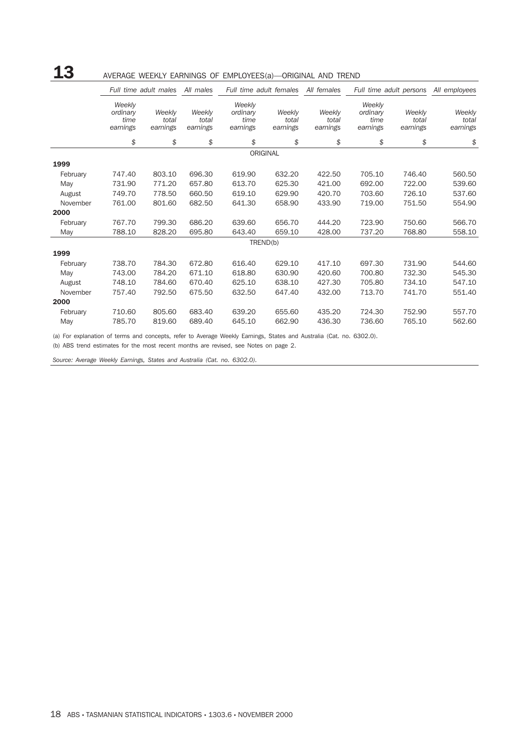# 13 AVERAGE WEEKLY EARNINGS OF EMPLOYEES(a)—ORIGINAL AND TREND

|          |                                        | Full time adult males       | All males                   |                                        | Full time adult females     | All females                 |                                        | Full time adult persons     | All employees               |
|----------|----------------------------------------|-----------------------------|-----------------------------|----------------------------------------|-----------------------------|-----------------------------|----------------------------------------|-----------------------------|-----------------------------|
|          | Weekly<br>ordinary<br>time<br>earnings | Weekly<br>total<br>earnings | Weekly<br>total<br>earnings | Weekly<br>ordinary<br>time<br>earnings | Weekly<br>total<br>earnings | Weekly<br>total<br>earnings | Weekly<br>ordinary<br>time<br>earnings | Weekly<br>total<br>earnings | Weekly<br>total<br>earnings |
|          | \$                                     | \$                          | \$                          | \$                                     | \$                          | \$                          | \$                                     | \$                          | \$                          |
|          |                                        |                             |                             |                                        | ORIGINAL                    |                             |                                        |                             |                             |
| 1999     |                                        |                             |                             |                                        |                             |                             |                                        |                             |                             |
| February | 747.40                                 | 803.10                      | 696.30                      | 619.90                                 | 632.20                      | 422.50                      | 705.10                                 | 746.40                      | 560.50                      |
| May      | 731.90                                 | 771.20                      | 657.80                      | 613.70                                 | 625.30                      | 421.00                      | 692.00                                 | 722.00                      | 539.60                      |
| August   | 749.70                                 | 778.50                      | 660.50                      | 619.10                                 | 629.90                      | 420.70                      | 703.60                                 | 726.10                      | 537.60                      |
| November | 761.00                                 | 801.60                      | 682.50                      | 641.30                                 | 658.90                      | 433.90                      | 719.00                                 | 751.50                      | 554.90                      |
| 2000     |                                        |                             |                             |                                        |                             |                             |                                        |                             |                             |
| February | 767.70                                 | 799.30                      | 686.20                      | 639.60                                 | 656.70                      | 444.20                      | 723.90                                 | 750.60                      | 566.70                      |
| May      | 788.10                                 | 828.20                      | 695.80                      | 643.40                                 | 659.10                      | 428.00                      | 737.20                                 | 768.80                      | 558.10                      |
|          |                                        |                             |                             |                                        | TREND(b)                    |                             |                                        |                             |                             |
| 1999     |                                        |                             |                             |                                        |                             |                             |                                        |                             |                             |
| February | 738.70                                 | 784.30                      | 672.80                      | 616.40                                 | 629.10                      | 417.10                      | 697.30                                 | 731.90                      | 544.60                      |
| May      | 743.00                                 | 784.20                      | 671.10                      | 618.80                                 | 630.90                      | 420.60                      | 700.80                                 | 732.30                      | 545.30                      |
| August   | 748.10                                 | 784.60                      | 670.40                      | 625.10                                 | 638.10                      | 427.30                      | 705.80                                 | 734.10                      | 547.10                      |
| November | 757.40                                 | 792.50                      | 675.50                      | 632.50                                 | 647.40                      | 432.00                      | 713.70                                 | 741.70                      | 551.40                      |
| 2000     |                                        |                             |                             |                                        |                             |                             |                                        |                             |                             |
| February | 710.60                                 | 805.60                      | 683.40                      | 639.20                                 | 655.60                      | 435.20                      | 724.30                                 | 752.90                      | 557.70                      |
| May      | 785.70                                 | 819.60                      | 689.40                      | 645.10                                 | 662.90                      | 436.30                      | 736.60                                 | 765.10                      | 562.60                      |

(a) For explanation of terms and concepts, refer to Average Weekly Earnings, States and Australia (Cat. no. 6302.0).

(b) ABS trend estimates for the most recent months are revised, see Notes on page 2.

*Source: Average Weekly Earnings, States and Australia (Cat. no. 6302.0).*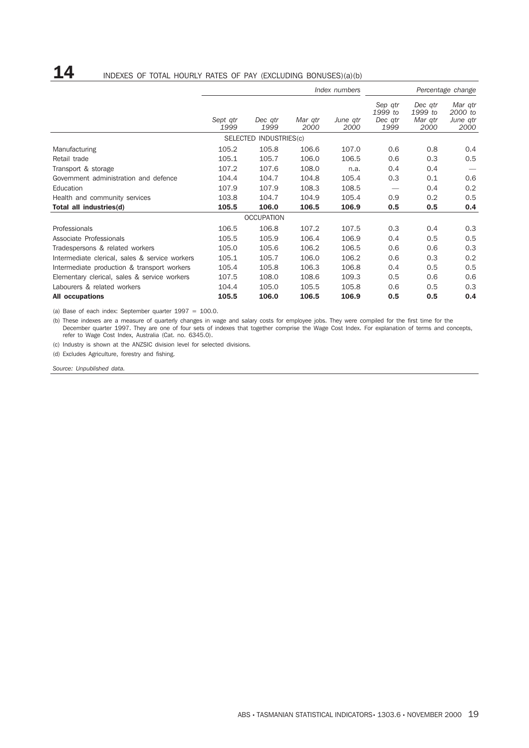## **14** INDEXES OF TOTAL HOURLY RATES OF PAY (EXCLUDING BONUSES)(a)(b)

|                                                | Index numbers    |                        |                 |                  |                                       |                                       | Percentage change                      |
|------------------------------------------------|------------------|------------------------|-----------------|------------------|---------------------------------------|---------------------------------------|----------------------------------------|
|                                                | Sept atr<br>1999 | Dec atr<br>1999        | Mar gtr<br>2000 | June atr<br>2000 | Sep qtr<br>1999 to<br>Dec qtr<br>1999 | Dec atr<br>1999 to<br>Mar qtr<br>2000 | Mar qtr<br>2000 to<br>June qtr<br>2000 |
|                                                |                  | SELECTED INDUSTRIES(c) |                 |                  |                                       |                                       |                                        |
| Manufacturing                                  | 105.2            | 105.8                  | 106.6           | 107.0            | 0.6                                   | 0.8                                   | 0.4                                    |
| Retail trade                                   | 105.1            | 105.7                  | 106.0           | 106.5            | 0.6                                   | 0.3                                   | 0.5                                    |
| Transport & storage                            | 107.2            | 107.6                  | 108.0           | n.a.             | 0.4                                   | 0.4                                   |                                        |
| Government administration and defence          | 104.4            | 104.7                  | 104.8           | 105.4            | 0.3                                   | 0.1                                   | 0.6                                    |
| Education                                      | 107.9            | 107.9                  | 108.3           | 108.5            |                                       | 0.4                                   | 0.2                                    |
| Health and community services                  | 103.8            | 104.7                  | 104.9           | 105.4            | 0.9                                   | 0.2                                   | 0.5                                    |
| Total all industries(d)                        | 105.5            | 106.0                  | 106.5           | 106.9            | 0.5                                   | 0.5                                   | 0.4                                    |
|                                                |                  | <b>OCCUPATION</b>      |                 |                  |                                       |                                       |                                        |
| Professionals                                  | 106.5            | 106.8                  | 107.2           | 107.5            | 0.3                                   | 0.4                                   | 0.3                                    |
| Associate Professionals                        | 105.5            | 105.9                  | 106.4           | 106.9            | 0.4                                   | 0.5                                   | 0.5                                    |
| Tradespersons & related workers                | 105.0            | 105.6                  | 106.2           | 106.5            | 0.6                                   | 0.6                                   | 0.3                                    |
| Intermediate clerical, sales & service workers | 105.1            | 105.7                  | 106.0           | 106.2            | 0.6                                   | 0.3                                   | 0.2                                    |
| Intermediate production & transport workers    | 105.4            | 105.8                  | 106.3           | 106.8            | 0.4                                   | 0.5                                   | 0.5                                    |
| Elementary clerical, sales & service workers   | 107.5            | 108.0                  | 108.6           | 109.3            | 0.5                                   | 0.6                                   | 0.6                                    |
| Labourers & related workers                    | 104.4            | 105.0                  | 105.5           | 105.8            | 0.6                                   | 0.5                                   | 0.3                                    |
| All occupations                                | 105.5            | 106.0                  | 106.5           | 106.9            | 0.5                                   | 0.5                                   | 0.4                                    |

(a) Base of each index: September quarter  $1997 = 100.0$ .

(b) These indexes are a measure of quarterly changes in wage and salary costs for employee jobs. They were compiled for the first time for the December quarter 1997. They are one of four sets of indexes that together comprise the Wage Cost Index. For explanation of terms and concepts, refer to Wage Cost Index, Australia (Cat. no. 6345.0).

(c) Industry is shown at the ANZSIC division level for selected divisions.

(d) Excludes Agriculture, forestry and fishing.

*Source: Unpublished data.*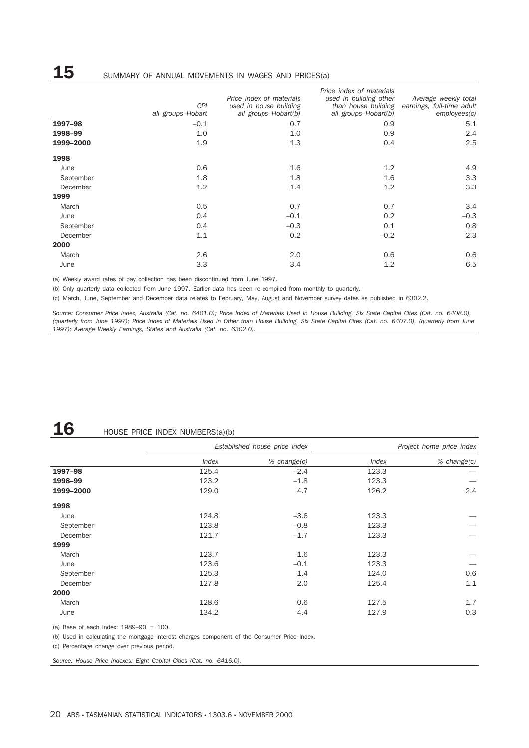### **15** SUMMARY OF ANNUAL MOVEMENTS IN WAGES AND PRICES(a)

|           | <b>CPI</b><br>all groups-Hobart | Price index of materials<br>used in house building<br>all groups-Hobart(b) | Price index of materials<br>used in building other<br>all groups-Hobart(b) | Average weekly total<br>than house building earnings, full-time adult<br>employees(c) |
|-----------|---------------------------------|----------------------------------------------------------------------------|----------------------------------------------------------------------------|---------------------------------------------------------------------------------------|
| 1997-98   | $-0.1$                          | 0.7                                                                        | 0.9                                                                        | 5.1                                                                                   |
| 1998-99   | 1.0                             | 1.0                                                                        | 0.9                                                                        | 2.4                                                                                   |
| 1999-2000 | 1.9                             | 1.3                                                                        | 0.4                                                                        | 2.5                                                                                   |
| 1998      |                                 |                                                                            |                                                                            |                                                                                       |
| June      | 0.6                             | 1.6                                                                        | 1.2                                                                        | 4.9                                                                                   |
| September | 1.8                             | 1.8                                                                        | 1.6                                                                        | 3.3                                                                                   |
| December  | 1.2                             | 1.4                                                                        | 1.2                                                                        | 3.3                                                                                   |
| 1999      |                                 |                                                                            |                                                                            |                                                                                       |
| March     | 0.5                             | 0.7                                                                        | 0.7                                                                        | 3.4                                                                                   |
| June      | 0.4                             | $-0.1$                                                                     | 0.2                                                                        | $-0.3$                                                                                |
| September | 0.4                             | $-0.3$                                                                     | 0.1                                                                        | 0.8                                                                                   |
| December  | 1.1                             | 0.2                                                                        | $-0.2$                                                                     | 2.3                                                                                   |
| 2000      |                                 |                                                                            |                                                                            |                                                                                       |
| March     | 2.6                             | 2.0                                                                        | 0.6                                                                        | 0.6                                                                                   |
| June      | 3.3                             | 3.4                                                                        | 1.2                                                                        | 6.5                                                                                   |

(a) Weekly award rates of pay collection has been discontinued from June 1997.

(b) Only quarterly data collected from June 1997. Earlier data has been re-compiled from monthly to quarterly.

(c) March, June, September and December data relates to February, May, August and November survey dates as published in 6302.2.

*Source: Consumer Price Index, Australia (Cat. no. 6401.0); Price Index of Materials Used in House Building, Six State Capital Cites (Cat. no. 6408.0), (quarterly from June 1997); Price Index of Materials Used in Other than House Building, Six State Capital Cites (Cat. no. 6407.0), (quarterly from June 1997); Average Weekly Earnings, States and Australia (Cat. no. 6302.0).*

# **16** HOUSE PRICE INDEX NUMBERS(a)(b)

|           |       | Established house price index |       | Project home price index |
|-----------|-------|-------------------------------|-------|--------------------------|
|           | Index | % change(c)                   | Index | % change(c)              |
| 1997-98   | 125.4 | $-2.4$                        | 123.3 |                          |
| 1998-99   | 123.2 | $-1.8$                        | 123.3 |                          |
| 1999-2000 | 129.0 | 4.7                           | 126.2 | 2.4                      |
| 1998      |       |                               |       |                          |
| June      | 124.8 | $-3.6$                        | 123.3 |                          |
| September | 123.8 | $-0.8$                        | 123.3 |                          |
| December  | 121.7 | $-1.7$                        | 123.3 |                          |
| 1999      |       |                               |       |                          |
| March     | 123.7 | 1.6                           | 123.3 |                          |
| June      | 123.6 | $-0.1$                        | 123.3 |                          |
| September | 125.3 | 1.4                           | 124.0 | 0.6                      |
| December  | 127.8 | 2.0                           | 125.4 | 1.1                      |
| 2000      |       |                               |       |                          |
| March     | 128.6 | 0.6                           | 127.5 | 1.7                      |
| June      | 134.2 | 4.4                           | 127.9 | 0.3                      |

(a) Base of each Index: 1989–90 = 100.

(b) Used in calculating the mortgage interest charges component of the Consumer Price Index.

(c) Percentage change over previous period.

*Source: House Price Indexes: Eight Capital Cities (Cat. no. 6416.0).*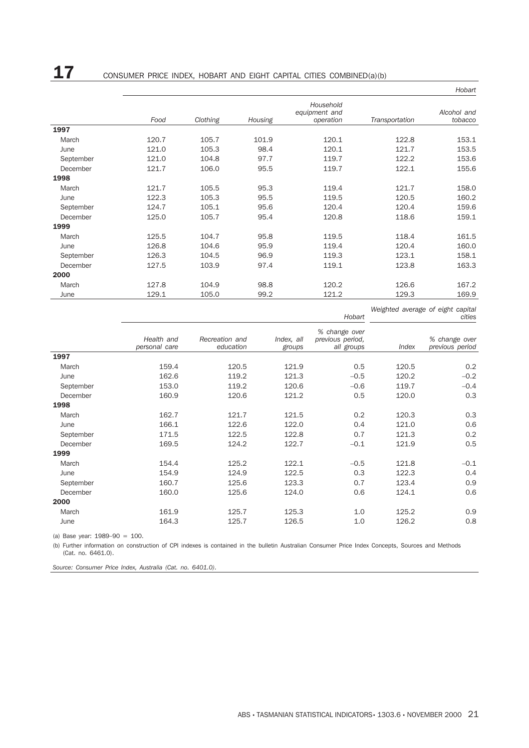|           |       |          |         |                                         |                | Hobart                 |
|-----------|-------|----------|---------|-----------------------------------------|----------------|------------------------|
|           | Food  | Clothing | Housing | Household<br>equipment and<br>operation | Transportation | Alcohol and<br>tobacco |
| 1997      |       |          |         |                                         |                |                        |
| March     | 120.7 | 105.7    | 101.9   | 120.1                                   | 122.8          | 153.1                  |
| June      | 121.0 | 105.3    | 98.4    | 120.1                                   | 121.7          | 153.5                  |
| September | 121.0 | 104.8    | 97.7    | 119.7                                   | 122.2          | 153.6                  |
| December  | 121.7 | 106.0    | 95.5    | 119.7                                   | 122.1          | 155.6                  |
| 1998      |       |          |         |                                         |                |                        |
| March     | 121.7 | 105.5    | 95.3    | 119.4                                   | 121.7          | 158.0                  |
| June      | 122.3 | 105.3    | 95.5    | 119.5                                   | 120.5          | 160.2                  |
| September | 124.7 | 105.1    | 95.6    | 120.4                                   | 120.4          | 159.6                  |
| December  | 125.0 | 105.7    | 95.4    | 120.8                                   | 118.6          | 159.1                  |
| 1999      |       |          |         |                                         |                |                        |
| March     | 125.5 | 104.7    | 95.8    | 119.5                                   | 118.4          | 161.5                  |
| June      | 126.8 | 104.6    | 95.9    | 119.4                                   | 120.4          | 160.0                  |
| September | 126.3 | 104.5    | 96.9    | 119.3                                   | 123.1          | 158.1                  |
| December  | 127.5 | 103.9    | 97.4    | 119.1                                   | 123.8          | 163.3                  |
| 2000      |       |          |         |                                         |                |                        |
| March     | 127.8 | 104.9    | 98.8    | 120.2                                   | 126.6          | 167.2                  |
| June      | 129.1 | 105.0    | 99.2    | 121.2                                   | 129.3          | 169.9                  |

*Weighted average of eight capital*

*cities*

*Hobart*

|           | Health and<br>personal care | Recreation and<br>education | Index, all<br>groups | % change over<br>previous period.<br>all groups | Index | % change over<br>previous period |
|-----------|-----------------------------|-----------------------------|----------------------|-------------------------------------------------|-------|----------------------------------|
| 1997      |                             |                             |                      |                                                 |       |                                  |
| March     | 159.4                       | 120.5                       | 121.9                | 0.5                                             | 120.5 | 0.2                              |
| June      | 162.6                       | 119.2                       | 121.3                | $-0.5$                                          | 120.2 | $-0.2$                           |
| September | 153.0                       | 119.2                       | 120.6                | $-0.6$                                          | 119.7 | $-0.4$                           |
| December  | 160.9                       | 120.6                       | 121.2                | 0.5                                             | 120.0 | 0.3                              |
| 1998      |                             |                             |                      |                                                 |       |                                  |
| March     | 162.7                       | 121.7                       | 121.5                | 0.2                                             | 120.3 | 0.3                              |
| June      | 166.1                       | 122.6                       | 122.0                | 0.4                                             | 121.0 | 0.6                              |
| September | 171.5                       | 122.5                       | 122.8                | 0.7                                             | 121.3 | 0.2                              |
| December  | 169.5                       | 124.2                       | 122.7                | $-0.1$                                          | 121.9 | 0.5                              |
| 1999      |                             |                             |                      |                                                 |       |                                  |
| March     | 154.4                       | 125.2                       | 122.1                | $-0.5$                                          | 121.8 | $-0.1$                           |
| June      | 154.9                       | 124.9                       | 122.5                | 0.3                                             | 122.3 | 0.4                              |
| September | 160.7                       | 125.6                       | 123.3                | 0.7                                             | 123.4 | 0.9                              |
| December  | 160.0                       | 125.6                       | 124.0                | 0.6                                             | 124.1 | 0.6                              |
| 2000      |                             |                             |                      |                                                 |       |                                  |
| March     | 161.9                       | 125.7                       | 125.3                | 1.0                                             | 125.2 | 0.9                              |
| June      | 164.3                       | 125.7                       | 126.5                | 1.0                                             | 126.2 | 0.8                              |
|           |                             |                             |                      |                                                 |       |                                  |

(a) Base year: 1989–90 = 100.

(b) Further information on construction of CPI indexes is contained in the bulletin Australian Consumer Price Index Concepts, Sources and Methods (Cat. no. 6461.0).

*Source: Consumer Price Index, Australia (Cat. no. 6401.0).*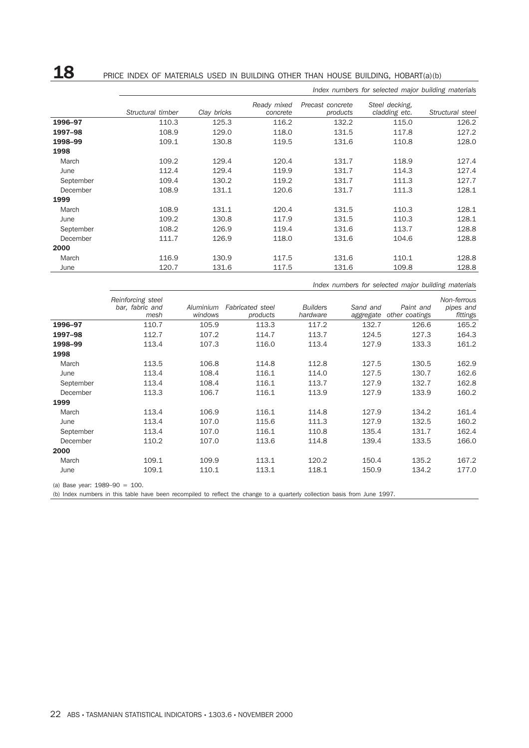# **18** PRICE INDEX OF MATERIALS USED IN BUILDING OTHER THAN HOUSE BUILDING, HOBART(a)(b)

|           |                   |             |                         |                              | Index numbers for selected major building materials |                  |
|-----------|-------------------|-------------|-------------------------|------------------------------|-----------------------------------------------------|------------------|
|           | Structural timber | Clay bricks | Ready mixed<br>concrete | Precast concrete<br>products | Steel decking.<br>cladding etc.                     | Structural steel |
| 1996-97   | 110.3             | 125.3       | 116.2                   | 132.2                        | 115.0                                               | 126.2            |
| 1997-98   | 108.9             | 129.0       | 118.0                   | 131.5                        | 117.8                                               | 127.2            |
| 1998-99   | 109.1             | 130.8       | 119.5                   | 131.6                        | 110.8                                               | 128.0            |
| 1998      |                   |             |                         |                              |                                                     |                  |
| March     | 109.2             | 129.4       | 120.4                   | 131.7                        | 118.9                                               | 127.4            |
| June      | 112.4             | 129.4       | 119.9                   | 131.7                        | 114.3                                               | 127.4            |
| September | 109.4             | 130.2       | 119.2                   | 131.7                        | 111.3                                               | 127.7            |
| December  | 108.9             | 131.1       | 120.6                   | 131.7                        | 111.3                                               | 128.1            |
| 1999      |                   |             |                         |                              |                                                     |                  |
| March     | 108.9             | 131.1       | 120.4                   | 131.5                        | 110.3                                               | 128.1            |
| June      | 109.2             | 130.8       | 117.9                   | 131.5                        | 110.3                                               | 128.1            |
| September | 108.2             | 126.9       | 119.4                   | 131.6                        | 113.7                                               | 128.8            |
| December  | 111.7             | 126.9       | 118.0                   | 131.6                        | 104.6                                               | 128.8            |
| 2000      |                   |             |                         |                              |                                                     |                  |
| March     | 116.9             | 130.9       | 117.5                   | 131.6                        | 110.1                                               | 128.8            |
| June      | 120.7             | 131.6       | 117.5                   | 131.6                        | 109.8                                               | 128.8            |

*Index numbers for selected major building materials*

|           | Reinforcing steel |           |                         |                 |           |                | Non-ferrous |
|-----------|-------------------|-----------|-------------------------|-----------------|-----------|----------------|-------------|
|           | bar, fabric and   | Aluminium | <b>Fabricated</b> steel | <b>Builders</b> | Sand and  | Paint and      | pipes and   |
|           | mesh              | windows   | products                | hardware        | aggregate | other coatings | fittings    |
| 1996-97   | 110.7             | 105.9     | 113.3                   | 117.2           | 132.7     | 126.6          | 165.2       |
| 1997-98   | 112.7             | 107.2     | 114.7                   | 113.7           | 124.5     | 127.3          | 164.3       |
| 1998-99   | 113.4             | 107.3     | 116.0                   | 113.4           | 127.9     | 133.3          | 161.2       |
| 1998      |                   |           |                         |                 |           |                |             |
| March     | 113.5             | 106.8     | 114.8                   | 112.8           | 127.5     | 130.5          | 162.9       |
| June      | 113.4             | 108.4     | 116.1                   | 114.0           | 127.5     | 130.7          | 162.6       |
| September | 113.4             | 108.4     | 116.1                   | 113.7           | 127.9     | 132.7          | 162.8       |
| December  | 113.3             | 106.7     | 116.1                   | 113.9           | 127.9     | 133.9          | 160.2       |
| 1999      |                   |           |                         |                 |           |                |             |
| March     | 113.4             | 106.9     | 116.1                   | 114.8           | 127.9     | 134.2          | 161.4       |
| June      | 113.4             | 107.0     | 115.6                   | 111.3           | 127.9     | 132.5          | 160.2       |
| September | 113.4             | 107.0     | 116.1                   | 110.8           | 135.4     | 131.7          | 162.4       |
| December  | 110.2             | 107.0     | 113.6                   | 114.8           | 139.4     | 133.5          | 166.0       |
| 2000      |                   |           |                         |                 |           |                |             |
| March     | 109.1             | 109.9     | 113.1                   | 120.2           | 150.4     | 135.2          | 167.2       |
| June      | 109.1             | 110.1     | 113.1                   | 118.1           | 150.9     | 134.2          | 177.0       |

(a) Base year: 1989–90 = 100.

(b) Index numbers in this table have been recompiled to reflect the change to a quarterly collection basis from June 1997.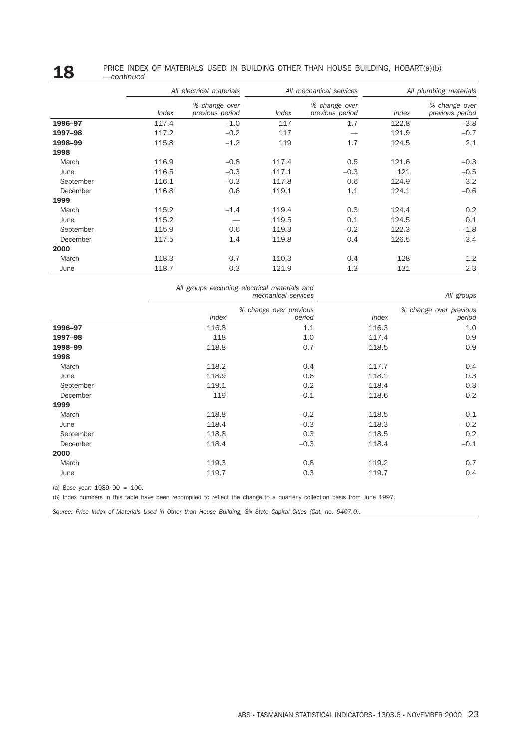#### **18** PRICE INDEX OF MATERIALS USED IN BUILDING OTHER THAN HOUSE BUILDING, HOBART(a)(b) —*continued*

|           |       | All electrical materials         |       | All mechanical services          |       | All plumbing materials           |  |
|-----------|-------|----------------------------------|-------|----------------------------------|-------|----------------------------------|--|
|           | Index | % change over<br>previous period | Index | % change over<br>previous period | Index | % change over<br>previous period |  |
| 1996-97   | 117.4 | $-1.0$                           | 117   | 1.7                              | 122.8 | $-3.8$                           |  |
| 1997-98   | 117.2 | $-0.2$                           | 117   |                                  | 121.9 | $-0.7$                           |  |
| 1998-99   | 115.8 | $-1.2$                           | 119   | 1.7                              | 124.5 | 2.1                              |  |
| 1998      |       |                                  |       |                                  |       |                                  |  |
| March     | 116.9 | $-0.8$                           | 117.4 | 0.5                              | 121.6 | $-0.3$                           |  |
| June      | 116.5 | $-0.3$                           | 117.1 | $-0.3$                           | 121   | $-0.5$                           |  |
| September | 116.1 | $-0.3$                           | 117.8 | 0.6                              | 124.9 | 3.2                              |  |
| December  | 116.8 | 0.6                              | 119.1 | 1.1                              | 124.1 | $-0.6$                           |  |
| 1999      |       |                                  |       |                                  |       |                                  |  |
| March     | 115.2 | $-1.4$                           | 119.4 | 0.3                              | 124.4 | 0.2                              |  |
| June      | 115.2 |                                  | 119.5 | 0.1                              | 124.5 | 0.1                              |  |
| September | 115.9 | 0.6                              | 119.3 | $-0.2$                           | 122.3 | $-1.8$                           |  |
| December  | 117.5 | 1.4                              | 119.8 | 0.4                              | 126.5 | 3.4                              |  |
| 2000      |       |                                  |       |                                  |       |                                  |  |
| March     | 118.3 | 0.7                              | 110.3 | 0.4                              | 128   | 1.2                              |  |
| June      | 118.7 | 0.3                              | 121.9 | 1.3                              | 131   | 2.3                              |  |

|           | All groups excluding electrical materials and | mechanical services              | All groups |                                  |  |
|-----------|-----------------------------------------------|----------------------------------|------------|----------------------------------|--|
|           | Index                                         | % change over previous<br>period | Index      | % change over previous<br>period |  |
| 1996-97   | 116.8                                         | 1.1                              | 116.3      | 1.0                              |  |
| 1997-98   | 118                                           | 1.0                              | 117.4      | 0.9                              |  |
| 1998-99   | 118.8                                         | 0.7                              | 118.5      | 0.9                              |  |
| 1998      |                                               |                                  |            |                                  |  |
| March     | 118.2                                         | 0.4                              | 117.7      | 0.4                              |  |
| June      | 118.9                                         | 0.6                              | 118.1      | 0.3                              |  |
| September | 119.1                                         | 0.2                              | 118.4      | 0.3                              |  |
| December  | 119                                           | $-0.1$                           | 118.6      | 0.2                              |  |
| 1999      |                                               |                                  |            |                                  |  |
| March     | 118.8                                         | $-0.2$                           | 118.5      | $-0.1$                           |  |
| June      | 118.4                                         | $-0.3$                           | 118.3      | $-0.2$                           |  |
| September | 118.8                                         | 0.3                              | 118.5      | 0.2                              |  |
| December  | 118.4                                         | $-0.3$                           | 118.4      | $-0.1$                           |  |
| 2000      |                                               |                                  |            |                                  |  |
| March     | 119.3                                         | 0.8                              | 119.2      | 0.7                              |  |
| June      | 119.7                                         | 0.3                              | 119.7      | 0.4                              |  |

(a) Base year: 1989–90 = 100.

(b) Index numbers in this table have been recompiled to reflect the change to a quarterly collection basis from June 1997.

*Source: Price Index of Materials Used in Other than House Building, Six State Capital Cities (Cat. no. 6407.0).*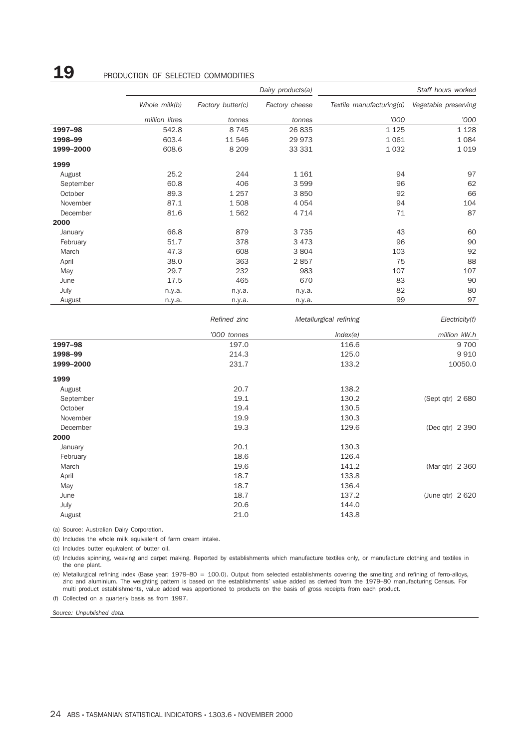### **19** PRODUCTION OF SELECTED COMMODITIES

|           |                |                   | Dairy products(a) | Staff hours worked       |                      |  |
|-----------|----------------|-------------------|-------------------|--------------------------|----------------------|--|
|           | Whole milk(b)  | Factory butter(c) | Factory cheese    | Textile manufacturing(d) | Vegetable preserving |  |
|           | million litres | tonnes            | tonnes            | '000                     | '000                 |  |
| 1997-98   | 542.8          | 8 7 4 5           | 26 835            | 1 1 2 5                  | 1 1 2 8              |  |
| 1998-99   | 603.4          | 11 546            | 29 973            | 1061                     | 1 0 8 4              |  |
| 1999-2000 | 608.6          | 8 2 0 9           | 33 331            | 1032                     | 1 0 1 9              |  |
| 1999      |                |                   |                   |                          |                      |  |
| August    | 25.2           | 244               | 1 1 6 1           |                          | 94<br>97             |  |
| September | 60.8           | 406               | 3 5 9 9           |                          | 96<br>62             |  |
| October   | 89.3           | 1 2 5 7           | 3850              |                          | 92<br>66             |  |
| November  | 87.1           | 1508              | 4 0 5 4           |                          | 94<br>104            |  |
| December  | 81.6           | 1562              | 4 7 1 4           |                          | 71<br>87             |  |
| 2000      |                |                   |                   |                          |                      |  |
| January   | 66.8           | 879               | 3 7 3 5           |                          | 43<br>60             |  |
| February  | 51.7           | 378               | 3 4 7 3           |                          | 96<br>90             |  |
| March     | 47.3           | 608               | 3 8 0 4           | 103                      | 92                   |  |
| April     | 38.0           | 363               | 2857              |                          | 75<br>88             |  |
| May       | 29.7           | 232               | 983               | 107                      | 107                  |  |
| June      | 17.5           | 465               | 670               |                          | 83<br>90             |  |
| July      | n.y.a.         | n.y.a.            | n.y.a.            |                          | 82<br>80             |  |
| August    | n.y.a.         | n.y.a.            | n.y.a.            |                          | 99<br>97             |  |
|           |                | Refined zinc      |                   | Metallurgical refining   | Electricity(f)       |  |
|           |                | '000 tonnes       |                   | Index(e)                 | million kW.h         |  |
| 1997-98   |                | 197.0             |                   | 116.6                    | 9 700                |  |
| 1998-99   |                | 214.3             |                   | 125.0                    | 9910                 |  |
| 1999-2000 |                | 231.7             |                   | 133.2                    | 10050.0              |  |
| 1999      |                |                   |                   |                          |                      |  |
| August    |                | 20.7              |                   | 138.2                    |                      |  |
| September |                | 19.1              |                   | 130.2                    | (Sept qtr) 2 680     |  |
| October   |                | 19.4              |                   | 130.5                    |                      |  |
| November  |                | 19.9              |                   | 130.3                    |                      |  |
| December  |                | 19.3              |                   | 129.6                    | (Dec qtr) 2 390      |  |
| 2000      |                |                   |                   |                          |                      |  |
| January   |                | 20.1              |                   | 130.3                    |                      |  |
| February  |                | 18.6              |                   | 126.4                    |                      |  |
| March     |                | 19.6              |                   | 141.2                    | (Mar qtr) 2 360      |  |
| April     |                | 18.7              |                   | 133.8                    |                      |  |
| May       |                | 18.7              |                   | 136.4                    |                      |  |
| June      |                | 18.7              |                   | 137.2                    | (June qtr) 2 620     |  |
| July      |                | 20.6              |                   | 144.0                    |                      |  |
| August    |                | 21.0              |                   | 143.8                    |                      |  |

(a) Source: Australian Dairy Corporation.

(b) Includes the whole milk equivalent of farm cream intake.

(c) Includes butter equivalent of butter oil.

(d) Includes spinning, weaving and carpet making. Reported by establishments which manufacture textiles only, or manufacture clothing and textiles in the one plant.

(e) Metallurgical refining index (Base year: 1979–80 = 100.0). Output from selected establishments covering the smelting and refining of ferro-alloys, zinc and aluminium. The weighting pattern is based on the establishments' value added as derived from the 1979–80 manufacturing Census. For multi product establishments, value added was apportioned to products on the basis of gross receipts from each product.

(f) Collected on a quarterly basis as from 1997.

*Source: Unpublished data.*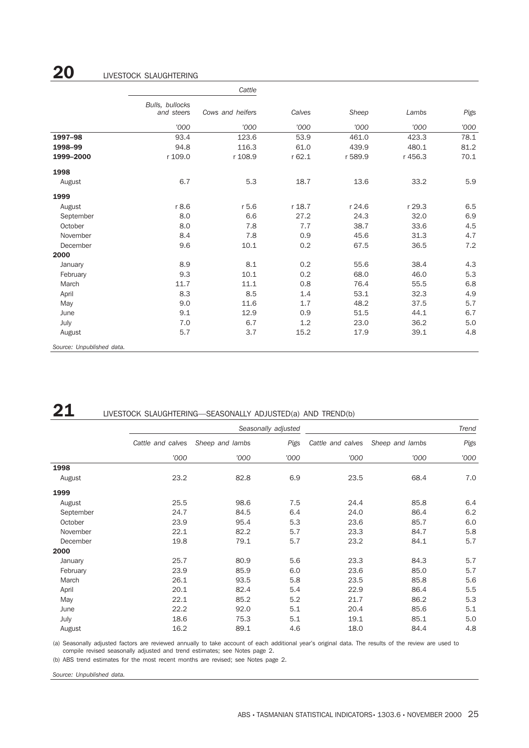### **20** LIVESTOCK SLAUGHTERING

|                           |                               | Cattle           |        |         |         |      |
|---------------------------|-------------------------------|------------------|--------|---------|---------|------|
|                           | Bulls, bullocks<br>and steers | Cows and heifers | Calves | Sheep   | Lambs   | Pigs |
|                           | '000                          | '000             | '000   | '000    | '000    | '000 |
| 1997-98                   | 93.4                          | 123.6            | 53.9   | 461.0   | 423.3   | 78.1 |
| 1998-99                   | 94.8                          | 116.3            | 61.0   | 439.9   | 480.1   | 81.2 |
| 1999-2000                 | r 109.0                       | r 108.9          | r 62.1 | r 589.9 | r 456.3 | 70.1 |
| 1998                      |                               |                  |        |         |         |      |
| August                    | 6.7                           | 5.3              | 18.7   | 13.6    | 33.2    | 5.9  |
| 1999                      |                               |                  |        |         |         |      |
| August                    | r 8.6                         | r 5.6            | r 18.7 | r 24.6  | r 29.3  | 6.5  |
| September                 | 8.0                           | 6.6              | 27.2   | 24.3    | 32.0    | 6.9  |
| October                   | 8.0                           | 7.8              | 7.7    | 38.7    | 33.6    | 4.5  |
| November                  | 8.4                           | 7.8              | 0.9    | 45.6    | 31.3    | 4.7  |
| December                  | 9.6                           | 10.1             | 0.2    | 67.5    | 36.5    | 7.2  |
| 2000                      |                               |                  |        |         |         |      |
| January                   | 8.9                           | 8.1              | 0.2    | 55.6    | 38.4    | 4.3  |
| February                  | 9.3                           | 10.1             | 0.2    | 68.0    | 46.0    | 5.3  |
| March                     | 11.7                          | 11.1             | 0.8    | 76.4    | 55.5    | 6.8  |
| April                     | 8.3                           | 8.5              | 1.4    | 53.1    | 32.3    | 4.9  |
| May                       | 9.0                           | 11.6             | 1.7    | 48.2    | 37.5    | 5.7  |
| June                      | 9.1                           | 12.9             | 0.9    | 51.5    | 44.1    | 6.7  |
| July                      | 7.0                           | 6.7              | 1.2    | 23.0    | 36.2    | 5.0  |
| August                    | 5.7                           | 3.7              | 15.2   | 17.9    | 39.1    | 4.8  |
| Source: Unpublished data. |                               |                  |        |         |         |      |

# **21** LIVESTOCK SLAUGHTERING—SEASONALLY ADJUSTED(a) AND TREND(b)

|           |                   |                 | Seasonally adjusted | Trend             |                 |      |
|-----------|-------------------|-----------------|---------------------|-------------------|-----------------|------|
|           | Cattle and calves | Sheep and lambs | Pigs                | Cattle and calves | Sheep and lambs | Pigs |
|           | '000              | '000            | '000                | '000              | '000            | '000 |
| 1998      |                   |                 |                     |                   |                 |      |
| August    | 23.2              | 82.8            | 6.9                 | 23.5              | 68.4            | 7.0  |
| 1999      |                   |                 |                     |                   |                 |      |
| August    | 25.5              | 98.6            | 7.5                 | 24.4              | 85.8            | 6.4  |
| September | 24.7              | 84.5            | 6.4                 | 24.0              | 86.4            | 6.2  |
| October   | 23.9              | 95.4            | 5.3                 | 23.6              | 85.7            | 6.0  |
| November  | 22.1              | 82.2            | 5.7                 | 23.3              | 84.7            | 5.8  |
| December  | 19.8              | 79.1            | 5.7                 | 23.2              | 84.1            | 5.7  |
| 2000      |                   |                 |                     |                   |                 |      |
| January   | 25.7              | 80.9            | 5.6                 | 23.3              | 84.3            | 5.7  |
| February  | 23.9              | 85.9            | 6.0                 | 23.6              | 85.0            | 5.7  |
| March     | 26.1              | 93.5            | 5.8                 | 23.5              | 85.8            | 5.6  |
| April     | 20.1              | 82.4            | 5.4                 | 22.9              | 86.4            | 5.5  |
| May       | 22.1              | 85.2            | 5.2                 | 21.7              | 86.2            | 5.3  |
| June      | 22.2              | 92.0            | 5.1                 | 20.4              | 85.6            | 5.1  |
| July      | 18.6              | 75.3            | 5.1                 | 19.1              | 85.1            | 5.0  |
| August    | 16.2              | 89.1            | 4.6                 | 18.0              | 84.4            | 4.8  |

(a) Seasonally adjusted factors are reviewed annually to take account of each additional year's original data. The results of the review are used to compile revised seasonally adjusted and trend estimates; see Notes page 2.

(b) ABS trend estimates for the most recent months are revised; see Notes page 2.

*Source: Unpublished data.*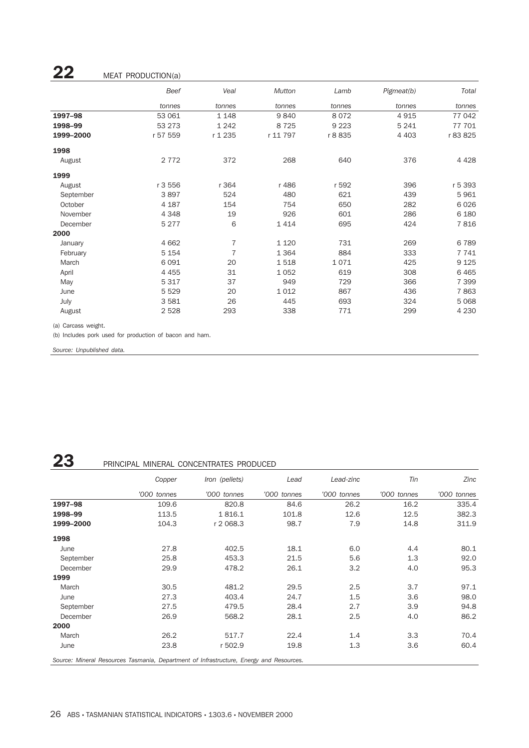## **22** MEAT PRODUCTION(a)

|           | Beef     | Veal           | <b>Mutton</b> | Lamb    | Pigmeat(b) | Total    |
|-----------|----------|----------------|---------------|---------|------------|----------|
|           | tonnes   | tonnes         | tonnes        | tonnes  | tonnes     | tonnes   |
| 1997-98   | 53 061   | 1 1 4 8        | 9840          | 8072    | 4915       | 77 042   |
| 1998-99   | 53 273   | 1 2 4 2        | 8 7 2 5       | 9 2 2 3 | 5 2 4 1    | 77 701   |
| 1999-2000 | r 57 559 | r 1 235        | r 11 797      | r 8 835 | 4 4 0 3    | r 83 825 |
| 1998      |          |                |               |         |            |          |
| August    | 2 7 7 2  | 372            | 268           | 640     | 376        | 4 4 2 8  |
| 1999      |          |                |               |         |            |          |
| August    | r 3 556  | r 364          | r 486         | r 592   | 396        | r 5 393  |
| September | 3897     | 524            | 480           | 621     | 439        | 5961     |
| October   | 4 187    | 154            | 754           | 650     | 282        | 6 0 2 6  |
| November  | 4 3 4 8  | 19             | 926           | 601     | 286        | 6 1 8 0  |
| December  | 5 2 7 7  | 6              | 1414          | 695     | 424        | 7816     |
| 2000      |          |                |               |         |            |          |
| January   | 4 6 6 2  | 7              | 1 1 2 0       | 731     | 269        | 6789     |
| February  | 5 1 5 4  | $\overline{7}$ | 1 3 6 4       | 884     | 333        | 7741     |
| March     | 6 0 9 1  | 20             | 1518          | 1071    | 425        | 9 1 25   |
| April     | 4 4 5 5  | 31             | 1 0 5 2       | 619     | 308        | 6465     |
| May       | 5 3 1 7  | 37             | 949           | 729     | 366        | 7 3 9 9  |
| June      | 5 5 2 9  | 20             | 1 0 1 2       | 867     | 436        | 7863     |
| July      | 3581     | 26             | 445           | 693     | 324        | 5 0 68   |
| August    | 2528     | 293            | 338           | 771     | 299        | 4 2 3 0  |

(a) Carcass weight.

(b) Includes pork used for production of bacon and ham.

*Source: Unpublished data.*

### 23 PRINCIPAL MINERAL CONCENTRATES PRODUCED

|                                                                                         | Copper      | Iron (pellets) | Lead        | Lead-zinc   | Tin         | Zinc        |  |  |  |
|-----------------------------------------------------------------------------------------|-------------|----------------|-------------|-------------|-------------|-------------|--|--|--|
|                                                                                         | '000 tonnes | '000 tonnes    | '000 tonnes | '000 tonnes | '000 tonnes | '000 tonnes |  |  |  |
| 1997-98                                                                                 | 109.6       | 820.8          | 84.6        | 26.2        | 16.2        | 335.4       |  |  |  |
| 1998-99                                                                                 | 113.5       | 1816.1         | 101.8       | 12.6        | 12.5        | 382.3       |  |  |  |
| 1999-2000                                                                               | 104.3       | r 2 068.3      | 98.7        | 7.9         | 14.8        | 311.9       |  |  |  |
| 1998                                                                                    |             |                |             |             |             |             |  |  |  |
| June                                                                                    | 27.8        | 402.5          | 18.1        | 6.0         | 4.4         | 80.1        |  |  |  |
| September                                                                               | 25.8        | 453.3          | 21.5        | 5.6         | 1.3         | 92.0        |  |  |  |
| December                                                                                | 29.9        | 478.2          | 26.1        | 3.2         | 4.0         | 95.3        |  |  |  |
| 1999                                                                                    |             |                |             |             |             |             |  |  |  |
| March                                                                                   | 30.5        | 481.2          | 29.5        | 2.5         | 3.7         | 97.1        |  |  |  |
| June                                                                                    | 27.3        | 403.4          | 24.7        | 1.5         | 3.6         | 98.0        |  |  |  |
| September                                                                               | 27.5        | 479.5          | 28.4        | 2.7         | 3.9         | 94.8        |  |  |  |
| December                                                                                | 26.9        | 568.2          | 28.1        | 2.5         | 4.0         | 86.2        |  |  |  |
| 2000                                                                                    |             |                |             |             |             |             |  |  |  |
| March                                                                                   | 26.2        | 517.7          | 22.4        | 1.4         | 3.3         | 70.4        |  |  |  |
| June                                                                                    | 23.8        | r 502.9        | 19.8        | 1.3         | 3.6         | 60.4        |  |  |  |
| Source: Mineral Resources Tasmania, Department of Infrastructure, Energy and Resources. |             |                |             |             |             |             |  |  |  |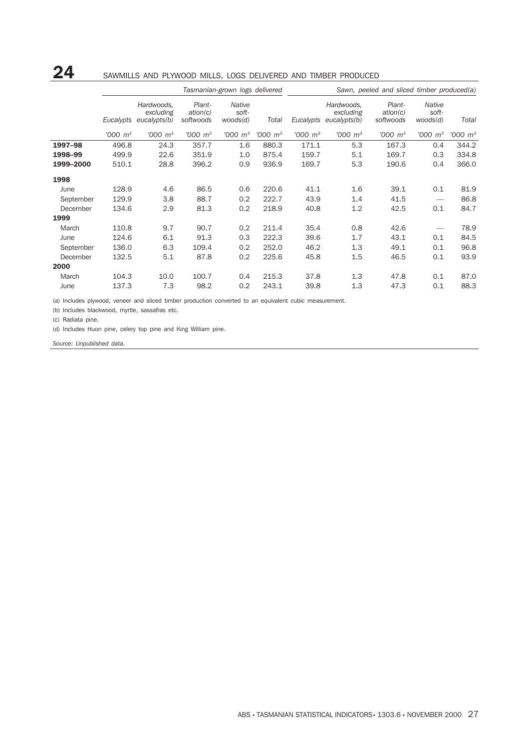### 24 SAWMILLS AND PLYWOOD MILLS, LOGS DELIVERED AND TIMBER PRODUCED

|           | Tasmanian-grown logs delivered |                                         |                                 |                             |               | Sawn, peeled and sliced timber produced(a) |                                         |                                 |                             |               |
|-----------|--------------------------------|-----------------------------------------|---------------------------------|-----------------------------|---------------|--------------------------------------------|-----------------------------------------|---------------------------------|-----------------------------|---------------|
|           | Eucalypts                      | Hardwoods,<br>excluding<br>eucalypts(b) | Plant-<br>ation(c)<br>softwoods | Native<br>soft-<br>woods(d) | Total         | Eucalypts                                  | Hardwoods,<br>excluding<br>eucalypts(b) | Plant-<br>ation(c)<br>softwoods | Native<br>soft-<br>woods(d) | Total         |
|           | $'000 \; m^3$                  | $1000 \, m^3$                           | $1000 \; \text{m}^3$            | $'000 \; m^3$               | $'000 \, m^3$ | $1000 \; \text{m}^3$                       | $1000 \, m^3$                           | $1000 \; \mathrm{m}^3$          | $1000 \; \text{m}^3$        | $'000 \; m^3$ |
| 1997-98   | 496.8                          | 24.3                                    | 357.7                           | 1.6                         | 880.3         | 171.1                                      | 5.3                                     | 167.3                           | 0.4                         | 344.2         |
| 1998-99   | 499.9                          | 22.6                                    | 351.9                           | 1.0                         | 875.4         | 159.7                                      | 5.1                                     | 169.7                           | 0.3                         | 334.8         |
| 1999-2000 | 510.1                          | 28.8                                    | 396.2                           | 0.9                         | 936.9         | 169.7                                      | 5.3                                     | 190.6                           | 0.4                         | 366.0         |
| 1998      |                                |                                         |                                 |                             |               |                                            |                                         |                                 |                             |               |
| June      | 128.9                          | 4.6                                     | 86.5                            | 0.6                         | 220.6         | 41.1                                       | 1.6                                     | 39.1                            | 0.1                         | 81.9          |
| September | 129.9                          | 3.8                                     | 88.7                            | 0.2                         | 222.7         | 43.9                                       | 1.4                                     | 41.5                            |                             | 86.8          |
| December  | 134.6                          | 2.9                                     | 81.3                            | 0.2                         | 218.9         | 40.8                                       | 1.2                                     | 42.5                            | 0.1                         | 84.7          |
| 1999      |                                |                                         |                                 |                             |               |                                            |                                         |                                 |                             |               |
| March     | 110.8                          | 9.7                                     | 90.7                            | 0.2                         | 211.4         | 35.4                                       | 0.8                                     | 42.6                            |                             | 78.9          |
| June      | 124.6                          | 6.1                                     | 91.3                            | 0.3                         | 222.3         | 39.6                                       | 1.7                                     | 43.1                            | 0.1                         | 84.5          |
| September | 136.0                          | 6.3                                     | 109.4                           | 0.2                         | 252.0         | 46.2                                       | 1.3                                     | 49.1                            | 0.1                         | 96.8          |
| December  | 132.5                          | 5.1                                     | 87.8                            | 0.2                         | 225.6         | 45.8                                       | 1.5                                     | 46.5                            | 0.1                         | 93.9          |
| 2000      |                                |                                         |                                 |                             |               |                                            |                                         |                                 |                             |               |
| March     | 104.3                          | 10.0                                    | 100.7                           | 0.4                         | 215.3         | 37.8                                       | 1.3                                     | 47.8                            | 0.1                         | 87.0          |
| June      | 137.3                          | 7.3                                     | 98.2                            | 0.2                         | 243.1         | 39.8                                       | 1.3                                     | 47.3                            | 0.1                         | 88.3          |

(a) Includes plywood, veneer and sliced timber production converted to an equivalent cubic measurement.

(b) Includes blackwood, myrtle, sassafras etc.

(c) Radiata pine.

(d) Includes Huon pine, celery top pine and King William pine.

*Source: Unpublished data.*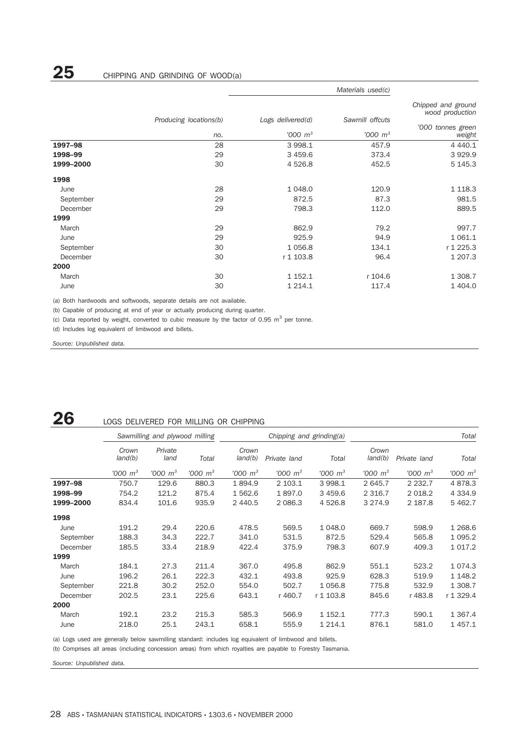|           | Producing locations(b) | Logs delivered(d) | Sawmill offcuts | Chipped and ground<br>wood production |
|-----------|------------------------|-------------------|-----------------|---------------------------------------|
|           |                        | $'000 \; m^3$     | $1000 \, m^3$   | '000 tonnes green                     |
|           | no.                    |                   |                 | weight                                |
| 1997-98   | 28                     | 3 998.1           | 457.9           | 4 4 4 0.1                             |
| 1998-99   | 29                     | 3 4 5 9.6         | 373.4           | 3 9 2 9.9                             |
| 1999-2000 | 30                     | 4 5 2 6.8         | 452.5           | 5 145.3                               |
| 1998      |                        |                   |                 |                                       |
| June      | 28                     | 1 0 4 8.0         | 120.9           | 1 1 18.3                              |
| September | 29                     | 872.5             | 87.3            | 981.5                                 |
| December  | 29                     | 798.3             | 112.0           | 889.5                                 |
| 1999      |                        |                   |                 |                                       |
| March     | 29                     | 862.9             | 79.2            | 997.7                                 |
| June      | 29                     | 925.9             | 94.9            | 1 0 6 1.1                             |
| September | 30                     | 1 0 5 6.8         | 134.1           | r 1 225.3                             |
| December  | 30                     | r 1 103.8         | 96.4            | 1 207.3                               |
| 2000      |                        |                   |                 |                                       |
| March     | 30                     | 1 152.1           | r 104.6         | 1 308.7                               |
| June      | 30                     | 1 2 1 4 . 1       | 117.4           | 1 404.0                               |

(a) Both hardwoods and softwoods, separate details are not available.

(b) Capable of producing at end of year or actually producing during quarter.

(c) Data reported by weight, converted to cubic measure by the factor of 0.95  $m^3$  per tonne.

(d) Includes log equivalent of limbwood and billets.

*Source: Unpublished data.*

### **26** LOGS DELIVERED FOR MILLING OR CHIPPING

|           |                  | Sawmilling and plywood milling |               | Chipping and grinding(a) |                        |                        | Total            |                        |                      |
|-----------|------------------|--------------------------------|---------------|--------------------------|------------------------|------------------------|------------------|------------------------|----------------------|
|           | Crown<br>land(b) | Private<br>land                | Total         | Crown<br>land(b)         | Private land           | Total                  | Crown<br>land(b) | Private land           | Total                |
|           | $1000 \, m^3$    | $1000 \; \mathrm{m}^3$         | $1000 \, m^3$ | $1000 \, m^3$            | $1000 \; \mathrm{m}^3$ | $1000 \; \mathrm{m}^3$ | $1000 \, m^3$    | $1000 \; \mathrm{m}^3$ | $1000 \; \text{m}^3$ |
| 1997-98   | 750.7            | 129.6                          | 880.3         | 1894.9                   | 2 103.1                | 3 998.1                | 2 645.7          | 2 2 3 2.7              | 4878.3               |
| 1998-99   | 754.2            | 121.2                          | 875.4         | 1 562.6                  | 1897.0                 | 3 4 5 9.6              | 2 3 1 6.7        | 2 0 18.2               | 4 3 3 4 .9           |
| 1999-2000 | 834.4            | 101.6                          | 935.9         | 2 440.5                  | 2 0 8 6.3              | 4 5 2 6.8              | 3 2 7 4 .9       | 2 187.8                | 5 4 6 2.7            |
| 1998      |                  |                                |               |                          |                        |                        |                  |                        |                      |
| June      | 191.2            | 29.4                           | 220.6         | 478.5                    | 569.5                  | 1 0 4 8.0              | 669.7            | 598.9                  | 1 268.6              |
| September | 188.3            | 34.3                           | 222.7         | 341.0                    | 531.5                  | 872.5                  | 529.4            | 565.8                  | 1 0 9 5.2            |
| December  | 185.5            | 33.4                           | 218.9         | 422.4                    | 375.9                  | 798.3                  | 607.9            | 409.3                  | 1 0 1 7 . 2          |
| 1999      |                  |                                |               |                          |                        |                        |                  |                        |                      |
| March     | 184.1            | 27.3                           | 211.4         | 367.0                    | 495.8                  | 862.9                  | 551.1            | 523.2                  | 1 0 7 4 . 3          |
| June      | 196.2            | 26.1                           | 222.3         | 432.1                    | 493.8                  | 925.9                  | 628.3            | 519.9                  | 1 1 48.2             |
| September | 221.8            | 30.2                           | 252.0         | 554.0                    | 502.7                  | 1056.8                 | 775.8            | 532.9                  | 1 308.7              |
| December  | 202.5            | 23.1                           | 225.6         | 643.1                    | r 460.7                | r 1 103.8              | 845.6            | r 483.8                | r 1 329.4            |
| 2000      |                  |                                |               |                          |                        |                        |                  |                        |                      |
| March     | 192.1            | 23.2                           | 215.3         | 585.3                    | 566.9                  | 1 152.1                | 777.3            | 590.1                  | 1 3 6 7 . 4          |
| June      | 218.0            | 25.1                           | 243.1         | 658.1                    | 555.9                  | 1 2 1 4 . 1            | 876.1            | 581.0                  | 1 457.1              |

(a) Logs used are generally below sawmilling standard: includes log equivalent of limbwood and billets.

(b) Comprises all areas (including concession areas) from which royalties are payable to Forestry Tasmania.

*Source: Unpublished data.*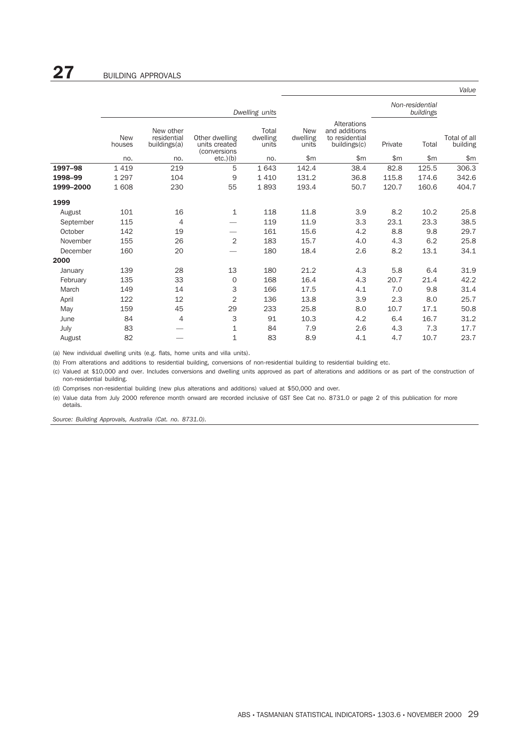|           |                             |                                                 |                                                            | Dwelling units                    | Non-residential<br>buildings             |                                                                       |                  |                |                                 |
|-----------|-----------------------------|-------------------------------------------------|------------------------------------------------------------|-----------------------------------|------------------------------------------|-----------------------------------------------------------------------|------------------|----------------|---------------------------------|
|           | <b>New</b><br>houses<br>no. | New other<br>residential<br>buildings(a)<br>no. | Other dwelling<br>units created<br>(conversions<br>etc.(b) | Total<br>dwelling<br>units<br>no. | <b>New</b><br>dwelling<br>units<br>\$m\$ | Alterations<br>and additions<br>to residential<br>buildings(c)<br>\$m | Private<br>\$m\$ | Total<br>\$m\$ | Total of all<br>building<br>\$m |
| 1997-98   | 1 4 1 9                     | 219                                             | 5                                                          | 1643                              | 142.4                                    | 38.4                                                                  | 82.8             | 125.5          | 306.3                           |
| 1998-99   | 1 2 9 7                     | 104                                             | 9                                                          | 1 4 1 0                           | 131.2                                    | 36.8                                                                  | 115.8            | 174.6          | 342.6                           |
| 1999-2000 | 1608                        | 230                                             | 55                                                         | 1893                              | 193.4                                    | 50.7                                                                  | 120.7            | 160.6          | 404.7                           |
| 1999      |                             |                                                 |                                                            |                                   |                                          |                                                                       |                  |                |                                 |
| August    | 101                         | 16                                              | 1                                                          | 118                               | 11.8                                     | 3.9                                                                   | 8.2              | 10.2           | 25.8                            |
| September | 115                         | $\overline{4}$                                  |                                                            | 119                               | 11.9                                     | 3.3                                                                   | 23.1             | 23.3           | 38.5                            |
| October   | 142                         | 19                                              | $\overline{\phantom{0}}$                                   | 161                               | 15.6                                     | 4.2                                                                   | 8.8              | 9.8            | 29.7                            |
| November  | 155                         | 26                                              | 2                                                          | 183                               | 15.7                                     | 4.0                                                                   | 4.3              | 6.2            | 25.8                            |
| December  | 160                         | 20                                              |                                                            | 180                               | 18.4                                     | 2.6                                                                   | 8.2              | 13.1           | 34.1                            |
| 2000      |                             |                                                 |                                                            |                                   |                                          |                                                                       |                  |                |                                 |
| January   | 139                         | 28                                              | 13                                                         | 180                               | 21.2                                     | 4.3                                                                   | 5.8              | 6.4            | 31.9                            |
| February  | 135                         | 33                                              | 0                                                          | 168                               | 16.4                                     | 4.3                                                                   | 20.7             | 21.4           | 42.2                            |
| March     | 149                         | 14                                              | 3                                                          | 166                               | 17.5                                     | 4.1                                                                   | 7.0              | 9.8            | 31.4                            |
| April     | 122                         | 12                                              | 2                                                          | 136                               | 13.8                                     | 3.9                                                                   | 2.3              | 8.0            | 25.7                            |
| May       | 159                         | 45                                              | 29                                                         | 233                               | 25.8                                     | 8.0                                                                   | 10.7             | 17.1           | 50.8                            |
| June      | 84                          | $\overline{4}$                                  | З                                                          | 91                                | 10.3                                     | 4.2                                                                   | 6.4              | 16.7           | 31.2                            |
| July      | 83                          |                                                 | 1                                                          | 84                                | 7.9                                      | 2.6                                                                   | 4.3              | 7.3            | 17.7                            |
| August    | 82                          |                                                 | 1                                                          | 83                                | 8.9                                      | 4.1                                                                   | 4.7              | 10.7           | 23.7                            |

*Value*

(a) New individual dwelling units (e.g. flats, home units and villa units).

(b) From alterations and additions to residential building, conversions of non-residential building to residential building etc.

(c) Valued at \$10,000 and over. Includes conversions and dwelling units approved as part of alterations and additions or as part of the construction of non-residential building.

(d) Comprises non-residential building (new plus alterations and additions) valued at \$50,000 and over.

(e) Value data from July 2000 reference month onward are recorded inclusive of GST See Cat no. 8731.0 or page 2 of this publication for more details.

*Source: Building Approvals, Australia (Cat. no. 8731.0).*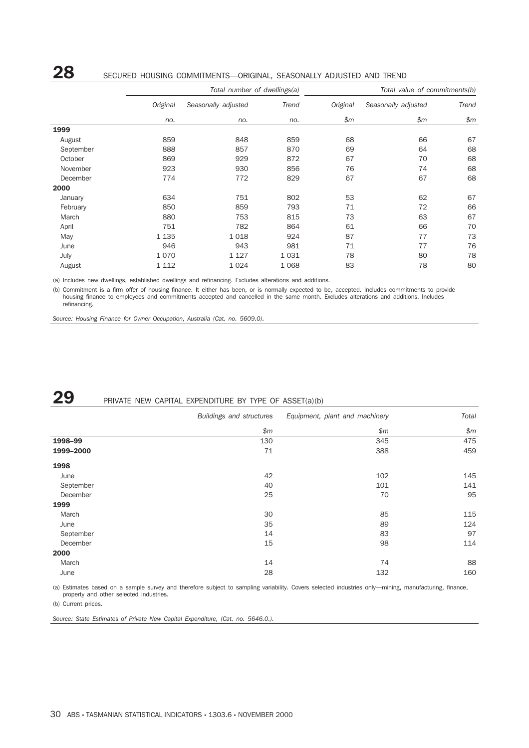### 28 SECURED HOUSING COMMITMENTS—ORIGINAL, SEASONALLY ADJUSTED AND TREND

|           |          | Total number of dwellings(a) |         | Total value of commitments(b) |                     |       |  |
|-----------|----------|------------------------------|---------|-------------------------------|---------------------|-------|--|
|           | Original | Seasonally adjusted          | Trend   | Original                      | Seasonally adjusted | Trend |  |
|           | no.      | no.                          | no.     | \$m                           | \$m\$               | \$m\$ |  |
| 1999      |          |                              |         |                               |                     |       |  |
| August    | 859      | 848                          | 859     | 68                            | 66                  | 67    |  |
| September | 888      | 857                          | 870     | 69                            | 64                  | 68    |  |
| October   | 869      | 929                          | 872     | 67                            | 70                  | 68    |  |
| November  | 923      | 930                          | 856     | 76                            | 74                  | 68    |  |
| December  | 774      | 772                          | 829     | 67                            | 67                  | 68    |  |
| 2000      |          |                              |         |                               |                     |       |  |
| January   | 634      | 751                          | 802     | 53                            | 62                  | 67    |  |
| February  | 850      | 859                          | 793     | 71                            | 72                  | 66    |  |
| March     | 880      | 753                          | 815     | 73                            | 63                  | 67    |  |
| April     | 751      | 782                          | 864     | 61                            | 66                  | 70    |  |
| May       | 1 1 3 5  | 1018                         | 924     | 87                            | 77                  | 73    |  |
| June      | 946      | 943                          | 981     | 71                            | 77                  | 76    |  |
| July      | 1070     | 1 1 2 7                      | 1031    | 78                            | 80                  | 78    |  |
| August    | 1 1 1 2  | 1 0 2 4                      | 1 0 6 8 | 83                            | 78                  | 80    |  |

(a) Includes new dwellings, established dwellings and refinancing. Excludes alterations and additions.

(b) Commitment is a firm offer of housing finance. It either has been, or is normally expected to be, accepted. Includes commitments to provide housing finance to employees and commitments accepted and cancelled in the same month. Excludes alterations and additions. Includes refinancing.

*Source: Housing Finance for Owner Occupation, Australia (Cat. no. 5609.0).*

## **29** PRIVATE NEW CAPITAL EXPENDITURE BY TYPE OF ASSET(a)(b)

|           | Buildings and structures | Equipment, plant and machinery | Total |
|-----------|--------------------------|--------------------------------|-------|
|           | \$m\$                    | \$m\$                          | \$m\$ |
| 1998-99   | 130                      | 345                            | 475   |
| 1999-2000 | 71                       | 388                            | 459   |
| 1998      |                          |                                |       |
| June      | 42                       | 102                            | 145   |
| September | 40                       | 101                            | 141   |
| December  | 25                       | 70                             | 95    |
| 1999      |                          |                                |       |
| March     | 30                       | 85                             | 115   |
| June      | 35                       | 89                             | 124   |
| September | 14                       | 83                             | 97    |
| December  | 15                       | 98                             | 114   |
| 2000      |                          |                                |       |
| March     | 14                       | 74                             | 88    |
| June      | 28                       | 132                            | 160   |

(a) Estimates based on a sample survey and therefore subject to sampling variability. Covers selected industries only—mining, manufacturing, finance, property and other selected industries.

(b) Current prices.

*Source: State Estimates of Private New Capital Expenditure, (Cat. no. 5646.0.).*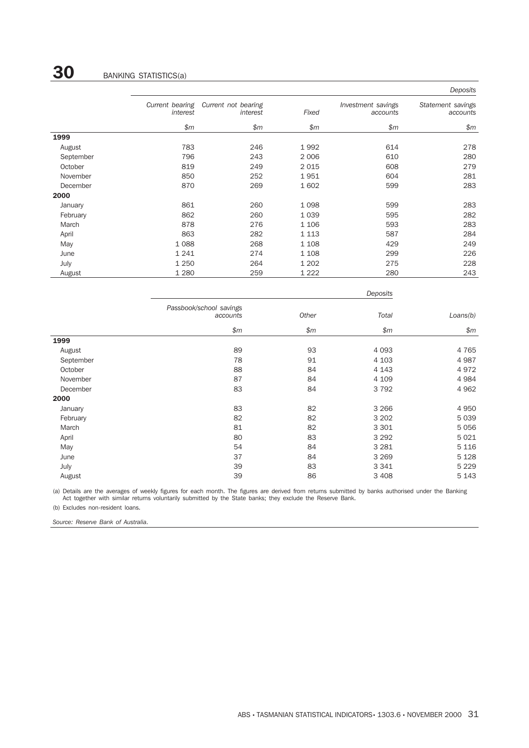# **30** BANKING STATISTICS(a)

|           |                             |                                 |         |                                | Deposits                      |  |
|-----------|-----------------------------|---------------------------------|---------|--------------------------------|-------------------------------|--|
|           | Current bearing<br>interest | Current not bearing<br>interest | Fixed   | Investment savings<br>accounts | Statement savings<br>accounts |  |
|           | \$m\$                       | \$m\$                           | \$m\$   | \$m\$                          | \$m                           |  |
| 1999      |                             |                                 |         |                                |                               |  |
| August    | 783                         | 246                             | 1992    | 614                            | 278                           |  |
| September | 796                         | 243                             | 2 0 0 6 | 610                            | 280                           |  |
| October   | 819                         | 249                             | 2 0 1 5 | 608                            | 279                           |  |
| November  | 850                         | 252                             | 1951    | 604                            | 281                           |  |
| December  | 870                         | 269                             | 1602    | 599                            | 283                           |  |
| 2000      |                             |                                 |         |                                |                               |  |
| January   | 861                         | 260                             | 1 0 9 8 | 599                            | 283                           |  |
| February  | 862                         | 260                             | 1 0 3 9 | 595                            | 282                           |  |
| March     | 878                         | 276                             | 1 1 0 6 | 593                            | 283                           |  |
| April     | 863                         | 282                             | 1 1 1 3 | 587                            | 284                           |  |
| May       | 1088                        | 268                             | 1 1 0 8 | 429                            | 249                           |  |
| June      | 1 2 4 1                     | 274                             | 1 1 0 8 | 299                            | 226                           |  |
| July      | 1 2 5 0                     | 264                             | 1 2 0 2 | 275                            | 228                           |  |
| August    | 1 2 8 0                     | 259                             | 1 2 2 2 | 280                            | 243                           |  |

|           |                                     |       | Deposits |          |  |
|-----------|-------------------------------------|-------|----------|----------|--|
|           | Passbook/school savings<br>accounts | Other | Total    | Loans(b) |  |
|           | \$m\$                               | \$m\$ | \$m\$    | \$m\$    |  |
| 1999      |                                     |       |          |          |  |
| August    | 89                                  | 93    | 4 0 9 3  | 4 7 6 5  |  |
| September | 78                                  | 91    | 4 1 0 3  | 4987     |  |
| October   | 88                                  | 84    | 4 1 4 3  | 4972     |  |
| November  | 87                                  | 84    | 4 1 0 9  | 4 9 8 4  |  |
| December  | 83                                  | 84    | 3 7 9 2  | 4 9 6 2  |  |
| 2000      |                                     |       |          |          |  |
| January   | 83                                  | 82    | 3 2 6 6  | 4 9 5 0  |  |
| February  | 82                                  | 82    | 3 2 0 2  | 5039     |  |
| March     | 81                                  | 82    | 3 3 0 1  | 5056     |  |
| April     | 80                                  | 83    | 3 2 9 2  | 5 0 2 1  |  |
| May       | 54                                  | 84    | 3 2 8 1  | 5 1 1 6  |  |
| June      | 37                                  | 84    | 3 2 6 9  | 5 1 2 8  |  |
| July      | 39                                  | 83    | 3 3 4 1  | 5 2 2 9  |  |
| August    | 39                                  | 86    | 3 4 0 8  | 5 1 4 3  |  |

(a) Details are the averages of weekly figures for each month. The figures are derived from returns submitted by banks authorised under the Banking Act together with similar returns voluntarily submitted by the State banks; they exclude the Reserve Bank.

(b) Excludes non-resident loans.

*Source: Reserve Bank of Australia.*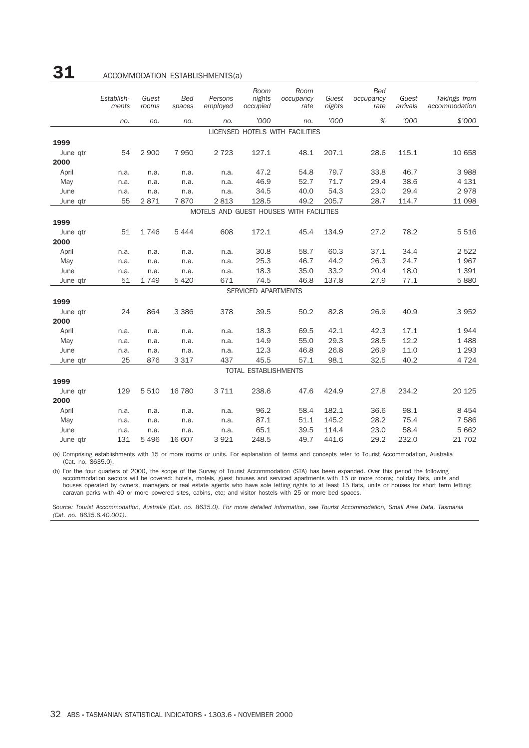### **31** ACCOMMODATION ESTABLISHMENTS(a)

|          | Establish-<br>ments | Guest<br>rooms | Bed<br>spaces | Persons<br>employed | Room<br>nights<br>occupied  | Room<br>occupancy<br>rate               | Guest<br>nights | <b>Bed</b><br>occupancy<br>rate | Guest<br>arrivals | Takings from<br>accommodation |
|----------|---------------------|----------------|---------------|---------------------|-----------------------------|-----------------------------------------|-----------------|---------------------------------|-------------------|-------------------------------|
|          | no.                 | no.            | no.           | no.                 | '000                        | no.                                     | '000            | %                               | '000              | \$'000                        |
|          |                     |                |               |                     |                             | LICENSED HOTELS WITH FACILITIES         |                 |                                 |                   |                               |
| 1999     |                     |                |               |                     |                             |                                         |                 |                                 |                   |                               |
| June gtr | 54                  | 2 9 0 0        | 7950          | 2 7 2 3             | 127.1                       | 48.1                                    | 207.1           | 28.6                            | 115.1             | 10 658                        |
| 2000     |                     |                |               |                     |                             |                                         |                 |                                 |                   |                               |
| April    | n.a.                | n.a.           | n.a.          | n.a.                | 47.2                        | 54.8                                    | 79.7            | 33.8                            | 46.7              | 3 9 8 8                       |
| May      | n.a.                | n.a.           | n.a.          | n.a.                | 46.9                        | 52.7                                    | 71.7            | 29.4                            | 38.6              | 4 1 3 1                       |
| June     | n.a.                | n.a.           | n.a.          | n.a.                | 34.5                        | 40.0                                    | 54.3            | 23.0                            | 29.4              | 2978                          |
| June qtr | 55                  | 2871           | 7870          | 2813                | 128.5                       | 49.2                                    | 205.7           | 28.7                            | 114.7             | 11 098                        |
|          |                     |                |               |                     |                             | MOTELS AND GUEST HOUSES WITH FACILITIES |                 |                                 |                   |                               |
| 1999     |                     |                |               |                     |                             |                                         |                 |                                 |                   |                               |
| June gtr | 51                  | 1746           | 5444          | 608                 | 172.1                       | 45.4                                    | 134.9           | 27.2                            | 78.2              | 5516                          |
| 2000     |                     |                |               |                     |                             |                                         |                 |                                 |                   |                               |
| April    | n.a.                | n.a.           | n.a.          | n.a.                | 30.8                        | 58.7                                    | 60.3            | 37.1                            | 34.4              | 2522                          |
| May      | n.a.                | n.a.           | n.a.          | n.a.                | 25.3                        | 46.7                                    | 44.2            | 26.3                            | 24.7              | 1967                          |
| June     | n.a.                | n.a.           | n.a.          | n.a.                | 18.3                        | 35.0                                    | 33.2            | 20.4                            | 18.0              | 1 3 9 1                       |
| June gtr | 51                  | 1 7 4 9        | 5 4 2 0       | 671                 | 74.5                        | 46.8                                    | 137.8           | 27.9                            | 77.1              | 5880                          |
|          |                     |                |               |                     | SERVICED APARTMENTS         |                                         |                 |                                 |                   |                               |
| 1999     |                     |                |               |                     |                             |                                         |                 |                                 |                   |                               |
| June gtr | 24                  | 864            | 3 3 8 6       | 378                 | 39.5                        | 50.2                                    | 82.8            | 26.9                            | 40.9              | 3952                          |
| 2000     |                     |                |               |                     |                             |                                         |                 |                                 |                   |                               |
| April    | n.a.                | n.a.           | n.a.          | n.a.                | 18.3                        | 69.5                                    | 42.1            | 42.3                            | 17.1              | 1944                          |
| May      | n.a.                | n.a.           | n.a.          | n.a.                | 14.9                        | 55.0                                    | 29.3            | 28.5                            | 12.2              | 1488                          |
| June     | n.a.                | n.a.           | n.a.          | n.a.                | 12.3                        | 46.8                                    | 26.8            | 26.9                            | 11.0              | 1 2 9 3                       |
| June qtr | 25                  | 876            | 3 3 1 7       | 437                 | 45.5                        | 57.1                                    | 98.1            | 32.5                            | 40.2              | 4 7 2 4                       |
|          |                     |                |               |                     | <b>TOTAL ESTABLISHMENTS</b> |                                         |                 |                                 |                   |                               |
| 1999     |                     |                |               |                     |                             |                                         |                 |                                 |                   |                               |
| June qtr | 129                 | 5 5 1 0        | 16 780        | 3 7 1 1             | 238.6                       | 47.6                                    | 424.9           | 27.8                            | 234.2             | 20 1 25                       |
| 2000     |                     |                |               |                     |                             |                                         |                 |                                 |                   |                               |
| April    | n.a.                | n.a.           | n.a.          | n.a.                | 96.2                        | 58.4                                    | 182.1           | 36.6                            | 98.1              | 8 4 5 4                       |
| May      | n.a.                | n.a.           | n.a.          | n.a.                | 87.1                        | 51.1                                    | 145.2           | 28.2                            | 75.4              | 7 5 8 6                       |
| June     | n.a.                | n.a.           | n.a.          | n.a.                | 65.1                        | 39.5                                    | 114.4           | 23.0                            | 58.4              | 5 6 6 2                       |
| June qtr | 131                 | 5 4 9 6        | 16 607        | 3 9 2 1             | 248.5                       | 49.7                                    | 441.6           | 29.2                            | 232.0             | 21 702                        |

(a) Comprising establishments with 15 or more rooms or units. For explanation of terms and concepts refer to Tourist Accommodation, Australia (Cat. no. 8635.0).

(b) For the four quarters of 2000, the scope of the Survey of Tourist Accommodation (STA) has been expanded. Over this period the following accommodation sectors will be covered: hotels, motels, guest houses and serviced apartments with 15 or more rooms; holiday flats, units and houses operated by owners, managers or real estate agents who have sole letting rights to at least 15 flats, units or houses for short term letting; caravan parks with 40 or more powered sites, cabins, etc; and visitor hostels with 25 or more bed spaces.

*Source: Tourist Accommodation, Australia (Cat. no. 8635.0). For more detailed information, see Tourist Accommodation, Small Area Data, Tasmania (Cat. no. 8635.6.40.001).*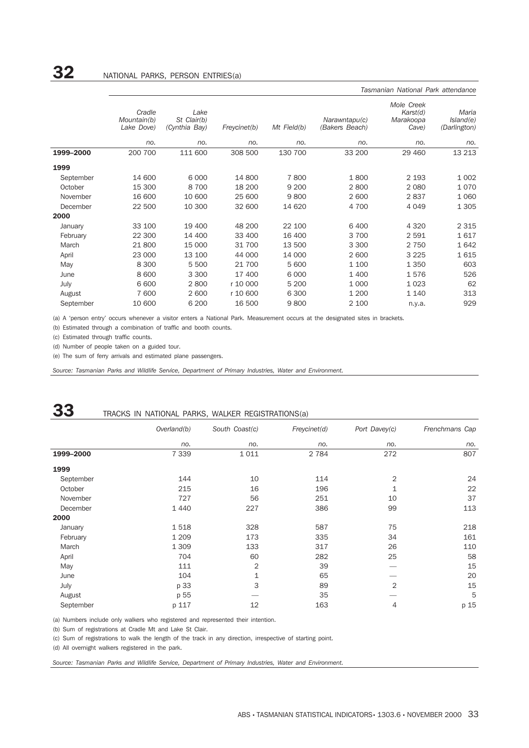|           |                                     |                                      |              |             |                                 | Tasmanian National Park attendance           |                                    |
|-----------|-------------------------------------|--------------------------------------|--------------|-------------|---------------------------------|----------------------------------------------|------------------------------------|
|           | Cradle<br>Mountain(b)<br>Lake Dove) | Lake<br>St Clair(b)<br>(Cynthia Bay) | Freycinet(b) | Mt Field(b) | Narawntapu(c)<br>(Bakers Beach) | Mole Creek<br>Karst(d)<br>Marakoopa<br>Cave) | Maria<br>Island(e)<br>(Darlington) |
|           | no.                                 | no.                                  | no.          | no.         | no.                             | no.                                          | no.                                |
| 1999-2000 | 200 700                             | 111 600                              | 308 500      | 130 700     | 33 200                          | 29 460                                       | 13 213                             |
| 1999      |                                     |                                      |              |             |                                 |                                              |                                    |
| September | 14 600                              | 6 0 0 0                              | 14 800       | 7800        | 1800                            | 2 1 9 3                                      | 1 0 0 2                            |
| October   | 15 300                              | 8700                                 | 18 200       | 9 2 0 0     | 2800                            | 2 0 8 0                                      | 1070                               |
| November  | 16 600                              | 10 600                               | 25 600       | 9800        | 2 600                           | 2837                                         | 1 0 6 0                            |
| December  | 22 500                              | 10 300                               | 32 600       | 14 6 20     | 4 700                           | 4 0 4 9                                      | 1 3 0 5                            |
| 2000      |                                     |                                      |              |             |                                 |                                              |                                    |
| January   | 33 100                              | 19 400                               | 48 200       | 22 100      | 6 4 0 0                         | 4 3 2 0                                      | 2 3 1 5                            |
| February  | 22 300                              | 14 400                               | 33 400       | 16 400      | 3 700                           | 2 5 9 1                                      | 1617                               |
| March     | 21 800                              | 15 000                               | 31 700       | 13 500      | 3 3 0 0                         | 2 7 5 0                                      | 1642                               |
| April     | 23 000                              | 13 100                               | 44 000       | 14 000      | 2 600                           | 3 2 2 5                                      | 1615                               |
| May       | 8 3 0 0                             | 5 500                                | 21 700       | 5 600       | 1 100                           | 1 3 5 0                                      | 603                                |
| June      | 8 600                               | 3 3 0 0                              | 17 400       | 6 0 0 0     | 1 400                           | 1576                                         | 526                                |
| July      | 6 600                               | 2800                                 | r 10 000     | 5 200       | 1 0 0 0                         | 1 0 2 3                                      | 62                                 |
| August    | 7 600                               | 2 600                                | r 10 600     | 6 300       | 1 200                           | 1 1 4 0                                      | 313                                |
| September | 10 600                              | 6 200                                | 16 500       | 9800        | 2 100                           | n.v.a.                                       | 929                                |

(a) A 'person entry' occurs whenever a visitor enters a National Park. Measurement occurs at the designated sites in brackets.

(b) Estimated through a combination of traffic and booth counts.

(c) Estimated through traffic counts.

(d) Number of people taken on a guided tour.

(e) The sum of ferry arrivals and estimated plane passengers.

*Source: Tasmanian Parks and Wildlife Service, Department of Primary Industries, Water and Environment.*

|           | TRACKS IN NATIONAL PARKS, WALKER REGISTRATIONS(a) |                |              |               |                |  |  |  |  |  |  |
|-----------|---------------------------------------------------|----------------|--------------|---------------|----------------|--|--|--|--|--|--|
|           | Overland(b)                                       | South Coast(c) | Freycinet(d) | Port Davey(c) | Frenchmans Cap |  |  |  |  |  |  |
|           | no.                                               | no.            | no.          | no.           | no.            |  |  |  |  |  |  |
| 1999-2000 | 7 3 3 9                                           | 1011           | 2 7 8 4      | 272           | 807            |  |  |  |  |  |  |
| 1999      |                                                   |                |              |               |                |  |  |  |  |  |  |
| September | 144                                               | 10             | 114          | 2             | 24             |  |  |  |  |  |  |
| October   | 215                                               | 16             | 196          | $\mathbf{1}$  | 22             |  |  |  |  |  |  |
| November  | 727                                               | 56             | 251          | 10            | 37             |  |  |  |  |  |  |
| December  | 1 4 4 0                                           | 227            | 386          | 99            | 113            |  |  |  |  |  |  |
| 2000      |                                                   |                |              |               |                |  |  |  |  |  |  |
| January   | 1518                                              | 328            | 587          | 75            | 218            |  |  |  |  |  |  |
| February  | 1 2 0 9                                           | 173            | 335          | 34            | 161            |  |  |  |  |  |  |
| March     | 1 3 0 9                                           | 133            | 317          | 26            | 110            |  |  |  |  |  |  |
| April     | 704                                               | 60             | 282          | 25            | 58             |  |  |  |  |  |  |
| May       | 111                                               | 2              | 39           |               | 15             |  |  |  |  |  |  |
| June      | 104                                               | 1              | 65           |               | 20             |  |  |  |  |  |  |
| July      | p 33                                              | 3              | 89           | 2             | 15             |  |  |  |  |  |  |
| August    | p 55                                              |                | 35           |               | 5              |  |  |  |  |  |  |
| September | p 117                                             | 12             | 163          | 4             | p 15           |  |  |  |  |  |  |

(a) Numbers include only walkers who registered and represented their intention.

(b) Sum of registrations at Cradle Mt and Lake St Clair.

(c) Sum of registrations to walk the length of the track in any direction, irrespective of starting point.

(d) All overnight walkers registered in the park.

*Source: Tasmanian Parks and Wildlife Service, Department of Primary Industries, Water and Environment.*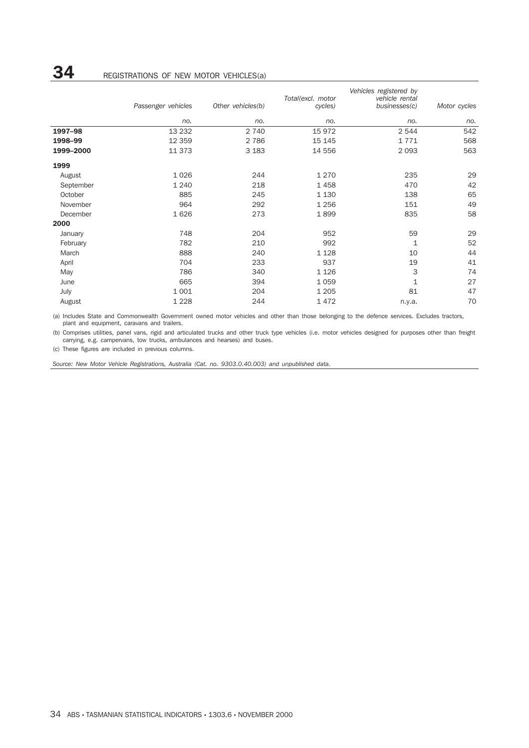|           |                    |                   |                              | Vehicles registered by          |              |  |
|-----------|--------------------|-------------------|------------------------------|---------------------------------|--------------|--|
|           | Passenger vehicles | Other vehicles(b) | Total(excl. motor<br>cycles) | vehicle rental<br>businesses(c) | Motor cycles |  |
|           | no.                | no.               | no.                          | no.                             | no.          |  |
| 1997-98   | 13 2 32            | 2 7 4 0           | 15972                        | 2 5 4 4                         | 542          |  |
| 1998-99   | 12 3 5 9           | 2 7 8 6           | 15 145                       | 1771                            | 568          |  |
| 1999-2000 | 11 373             | 3 1 8 3           | 14 556                       | 2 0 9 3                         | 563          |  |
| 1999      |                    |                   |                              |                                 |              |  |
| August    | 1026               | 244               | 1 2 7 0                      | 235                             | 29           |  |
| September | 1 2 4 0            | 218               | 1458                         | 470                             | 42           |  |
| October   | 885                | 245               | 1 1 3 0                      | 138                             | 65           |  |
| November  | 964                | 292               | 1 2 5 6                      | 151                             | 49           |  |
| December  | 1626               | 273               | 1899                         | 835                             | 58           |  |
| 2000      |                    |                   |                              |                                 |              |  |
| January   | 748                | 204               | 952                          | 59                              | 29           |  |
| February  | 782                | 210               | 992                          | 1                               | 52           |  |
| March     | 888                | 240               | 1 1 2 8                      | 10                              | 44           |  |
| April     | 704                | 233               | 937                          | 19                              | 41           |  |
| May       | 786                | 340               | 1 1 2 6                      | 3                               | 74           |  |
| June      | 665                | 394               | 1059                         | $\mathbf{1}$                    | 27           |  |
| July      | 1 0 0 1            | 204               | 1 2 0 5                      | 81                              | 47           |  |
| August    | 1 2 2 8            | 244               | 1472                         | n.y.a.                          | 70           |  |

(a) Includes State and Commonwealth Government owned motor vehicles and other than those belonging to the defence services. Excludes tractors, plant and equipment, caravans and trailers.

(b) Comprises utilities, panel vans, rigid and articulated trucks and other truck type vehicles (i.e. motor vehicles designed for purposes other than freight carrying, e.g. campervans, tow trucks, ambulances and hearses) and buses.

(c) These figures are included in previous columns.

*Source: New Motor Vehicle Registrations, Australia (Cat. no. 9303.0.40.003) and unpublished data.*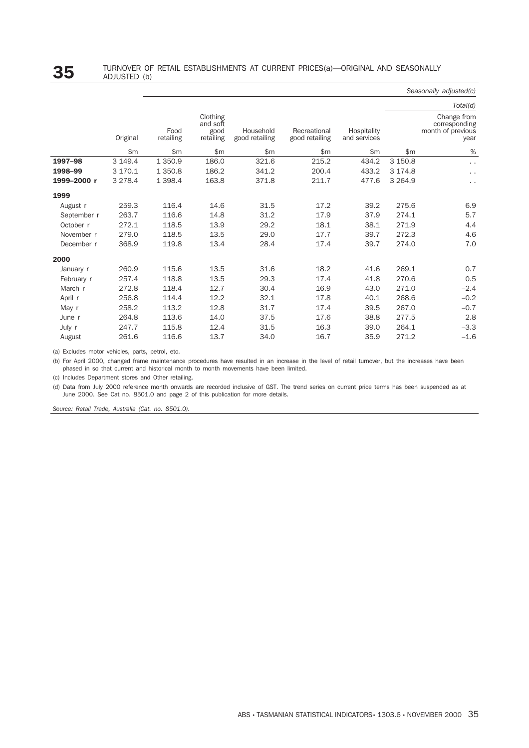|             |           |                   |                                           |                             |                                |                             |            | Seasonally adjusted(c)                                    |
|-------------|-----------|-------------------|-------------------------------------------|-----------------------------|--------------------------------|-----------------------------|------------|-----------------------------------------------------------|
|             |           |                   |                                           |                             |                                |                             |            | Total(d)                                                  |
|             | Original  | Food<br>retailing | Clothing<br>and soft<br>good<br>retailing | Household<br>good retailing | Recreational<br>good retailing | Hospitality<br>and services |            | Change from<br>corresponding<br>month of previous<br>year |
|             | \$m       | \$m               | \$m                                       | \$m                         | \$m                            | \$m                         | \$m        | $\%$                                                      |
| 1997-98     | 3 149.4   | 1 3 5 0.9         | 186.0                                     | 321.6                       | 215.2                          | 434.2                       | 3 150.8    | $\ddot{\phantom{0}}$                                      |
| 1998-99     | 3 170.1   | 1 3 5 0.8         | 186.2                                     | 341.2                       | 200.4                          | 433.2                       | 3 174.8    | . .                                                       |
| 1999-2000 r | 3 2 7 8.4 | 1 3 9 8.4         | 163.8                                     | 371.8                       | 211.7                          | 477.6                       | 3 2 6 4 .9 | $\ddot{\phantom{0}}$                                      |
| 1999        |           |                   |                                           |                             |                                |                             |            |                                                           |
| August r    | 259.3     | 116.4             | 14.6                                      | 31.5                        | 17.2                           | 39.2                        | 275.6      | 6.9                                                       |
| September r | 263.7     | 116.6             | 14.8                                      | 31.2                        | 17.9                           | 37.9                        | 274.1      | 5.7                                                       |
| October r   | 272.1     | 118.5             | 13.9                                      | 29.2                        | 18.1                           | 38.1                        | 271.9      | 4.4                                                       |
| November r  | 279.0     | 118.5             | 13.5                                      | 29.0                        | 17.7                           | 39.7                        | 272.3      | 4.6                                                       |
| December r  | 368.9     | 119.8             | 13.4                                      | 28.4                        | 17.4                           | 39.7                        | 274.0      | 7.0                                                       |
| 2000        |           |                   |                                           |                             |                                |                             |            |                                                           |
| January r   | 260.9     | 115.6             | 13.5                                      | 31.6                        | 18.2                           | 41.6                        | 269.1      | 0.7                                                       |
| February r  | 257.4     | 118.8             | 13.5                                      | 29.3                        | 17.4                           | 41.8                        | 270.6      | 0.5                                                       |
| March r     | 272.8     | 118.4             | 12.7                                      | 30.4                        | 16.9                           | 43.0                        | 271.0      | $-2.4$                                                    |
| April r     | 256.8     | 114.4             | 12.2                                      | 32.1                        | 17.8                           | 40.1                        | 268.6      | $-0.2$                                                    |
| May r       | 258.2     | 113.2             | 12.8                                      | 31.7                        | 17.4                           | 39.5                        | 267.0      | $-0.7$                                                    |
| June r      | 264.8     | 113.6             | 14.0                                      | 37.5                        | 17.6                           | 38.8                        | 277.5      | 2.8                                                       |
| July r      | 247.7     | 115.8             | 12.4                                      | 31.5                        | 16.3                           | 39.0                        | 264.1      | $-3.3$                                                    |
| August      | 261.6     | 116.6             | 13.7                                      | 34.0                        | 16.7                           | 35.9                        | 271.2      | $-1.6$                                                    |

(a) Excludes motor vehicles, parts, petrol, etc.

(b) For April 2000, changed frame maintenance procedures have resulted in an increase in the level of retail turnover, but the increases have been phased in so that current and historical month to month movements have been limited.

(c) Includes Department stores and Other retailing.

(d) Data from July 2000 reference month onwards are recorded inclusive of GST. The trend series on current price terms has been suspended as at June 2000. See Cat no. 8501.0 and page 2 of this publication for more details.

*Source: Retail Trade, Australia (Cat. no. 8501.0).*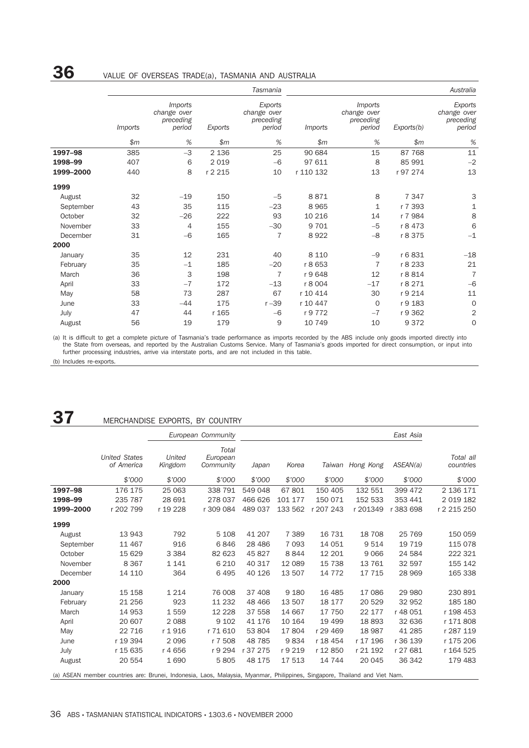# **36** VALUE OF OVERSEAS TRADE(a), TASMANIA AND AUSTRALIA

|           |                |                                                      |         | Tasmania                                      | Australia      |                                                      |            |                                               |  |
|-----------|----------------|------------------------------------------------------|---------|-----------------------------------------------|----------------|------------------------------------------------------|------------|-----------------------------------------------|--|
|           | <i>Imports</i> | <i>Imports</i><br>change over<br>preceding<br>period | Exports | Exports<br>change over<br>preceding<br>period | <i>Imports</i> | <i>Imports</i><br>change over<br>preceding<br>period | Exports(b) | Exports<br>change over<br>preceding<br>period |  |
|           | \$m\$          | $\%$                                                 | \$m\$   | $\%$                                          | \$m\$          | $\%$                                                 | \$m\$      | $\%$                                          |  |
| 1997-98   | 385            | $-3$                                                 | 2 1 3 6 | 25                                            | 90 684         | 15                                                   | 87 768     | 11                                            |  |
| 1998-99   | 407            | 6                                                    | 2 0 1 9 | $-6$                                          | 97 611         | 8                                                    | 85 991     | $-2$                                          |  |
| 1999-2000 | 440            | 8                                                    | r 2 215 | 10                                            | r 110 132      | 13                                                   | r 97 274   | 13                                            |  |
| 1999      |                |                                                      |         |                                               |                |                                                      |            |                                               |  |
| August    | 32             | $-19$                                                | 150     | $-5$                                          | 8871           | 8                                                    | 7 3 4 7    | 3                                             |  |
| September | 43             | 35                                                   | 115     | $-23$                                         | 8965           | 1                                                    | r 7 393    | $1\,$                                         |  |
| October   | 32             | $-26$                                                | 222     | 93                                            | 10 216         | 14                                                   | r 7 984    | 8                                             |  |
| November  | 33             | 4                                                    | 155     | $-30$                                         | 9 7 0 1        | $-5$                                                 | r 8 473    | 6                                             |  |
| December  | 31             | $-6$                                                 | 165     | $\overline{7}$                                | 8922           | $-8$                                                 | r 8 375    | $-1$                                          |  |
| 2000      |                |                                                      |         |                                               |                |                                                      |            |                                               |  |
| January   | 35             | 12                                                   | 231     | 40                                            | 8 1 1 0        | $-9$                                                 | r 6 831    | $-18$                                         |  |
| February  | 35             | $-1$                                                 | 185     | $-20$                                         | r 8 653        | $\overline{7}$                                       | r 8 233    | 21                                            |  |
| March     | 36             | 3                                                    | 198     | $\overline{7}$                                | r 9648         | 12                                                   | r 8 814    | $\overline{7}$                                |  |
| April     | 33             | $-7$                                                 | 172     | $-13$                                         | r 8 004        | $-17$                                                | r 8 271    | $-6$                                          |  |
| May       | 58             | 73                                                   | 287     | 67                                            | r 10 414       | 30                                                   | r 9 214    | 11                                            |  |
| June      | 33             | $-44$                                                | 175     | $r - 39$                                      | r 10 447       | $\circ$                                              | r 9 183    | $\mathbf 0$                                   |  |
| July      | 47             | 44                                                   | r 165   | $-6$                                          | r 9 772        | $-7$                                                 | r 9 362    | $\overline{2}$                                |  |
| August    | 56             | 19                                                   | 179     | 9                                             | 10 749         | 10                                                   | 9 3 7 2    | $\mathbf 0$                                   |  |

(a) It is difficult to get a complete picture of Tasmania's trade performance as imports recorded by the ABS include only goods imported directly into the State from overseas, and reported by the Australian Customs Service. Many of Tasmania's goods imported for direct consumption, or input into further processing industries, arrive via interstate ports, and are not included in this table.

(b) Includes re-exports.

# **37** MERCHANDISE EXPORTS, BY COUNTRY

|           |                                                                                                                            | European Community       |                                |          |         |           |                  | East Asia |                        |
|-----------|----------------------------------------------------------------------------------------------------------------------------|--------------------------|--------------------------------|----------|---------|-----------|------------------|-----------|------------------------|
|           | <b>United States</b><br>of America                                                                                         | <b>United</b><br>Kingdom | Total<br>European<br>Community | Japan    | Korea   |           | Taiwan Hong Kong | ASEAN(a)  | Total all<br>countries |
|           | \$7000                                                                                                                     | \$'000                   | \$7000                         | \$'000   | \$7000  | \$'000    | \$7000           | \$7000    | \$7000                 |
| 1997-98   | 176 175                                                                                                                    | 25 063                   | 338 791                        | 549 048  | 67801   | 150 405   | 132 551          | 399 472   | 2 136 171              |
| 1998-99   | 235 787                                                                                                                    | 28 691                   | 278 037                        | 466 626  | 101 177 | 150 071   | 152 533          | 353 441   | 2 0 1 9 1 8 2          |
| 1999-2000 | r 202 799                                                                                                                  | r 19 228                 | r 309 084                      | 489 037  | 133 562 | r 207 243 | r 201349         | r 383 698 | r 2 215 250            |
| 1999      |                                                                                                                            |                          |                                |          |         |           |                  |           |                        |
| August    | 13 943                                                                                                                     | 792                      | 5 1 0 8                        | 41 207   | 7 3 8 9 | 16 731    | 18 708           | 25 7 69   | 150 059                |
| September | 11 467                                                                                                                     | 916                      | 6846                           | 28 4 86  | 7 0 9 3 | 14 051    | 9514             | 19 7 19   | 115 078                |
| October   | 15 629                                                                                                                     | 3 3 8 4                  | 82 623                         | 45827    | 8844    | 12 201    | 9 0 6 6          | 24 584    | 222 321                |
| November  | 8 3 6 7                                                                                                                    | 1 1 4 1                  | 6 2 1 0                        | 40 317   | 12 089  | 15 7 38   | 13 761           | 32 597    | 155 142                |
| December  | 14 110                                                                                                                     | 364                      | 6495                           | 40 126   | 13 507  | 14 7 7 2  | 17 715           | 28 969    | 165 338                |
| 2000      |                                                                                                                            |                          |                                |          |         |           |                  |           |                        |
| January   | 15 158                                                                                                                     | 1 2 1 4                  | 76 008                         | 37 408   | 9 1 8 0 | 16 4 85   | 17 086           | 29 980    | 230 891                |
| February  | 21 25 6                                                                                                                    | 923                      | 11 232                         | 48 4 66  | 13 507  | 18 177    | 20 529           | 32 952    | 185 180                |
| March     | 14 953                                                                                                                     | 1559                     | 12 2 28                        | 37 558   | 14 667  | 17 750    | 22 177           | r 48 051  | r 198 453              |
| April     | 20 607                                                                                                                     | 2088                     | 9 1 0 2                        | 41 176   | 10 164  | 19 4 9 9  | 18893            | 32 636    | r 171 808              |
| May       | 22 7 16                                                                                                                    | r 1916                   | r 71 610                       | 53 804   | 17804   | r 29 469  | 18 987           | 41 285    | r 287 119              |
| June      | r 19 394                                                                                                                   | 2 0 9 6                  | r 7 508                        | 48 785   | 9834    | r 18 454  | r 17 196         | r 36 139  | r 175 206              |
| July      | r 15 635                                                                                                                   | r 4656                   | r 9 294                        | r 37 275 | r 9 219 | r 12 850  | r 21 192         | r 27 681  | r 164 525              |
| August    | 20 554                                                                                                                     | 1690                     | 5805                           | 48 175   | 17 513  | 14 744    | 20 045           | 36 342    | 179 483                |
|           | (a) ASEAN member countries are: Brunei, Indonesia, Laos, Malaysia, Myanmar, Philippines, Singapore, Thailand and Viet Nam. |                          |                                |          |         |           |                  |           |                        |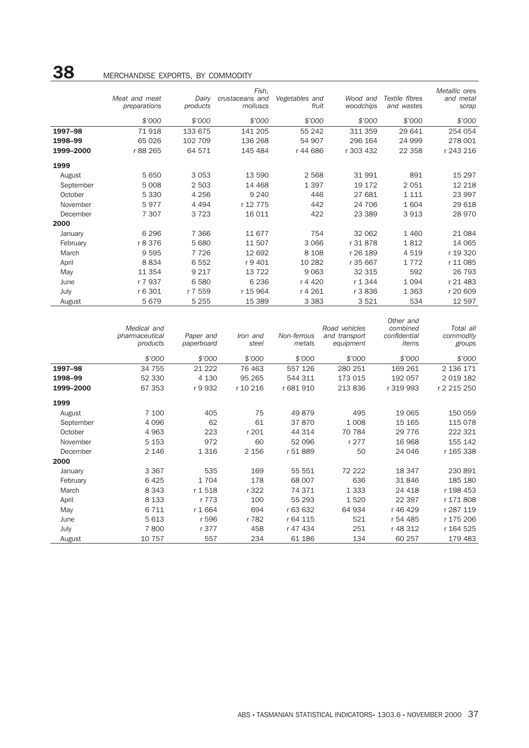# **38** MERCHANDISE EXPORTS, BY COMMODITY

|           | Meat and meat<br>preparations | Dairy<br>products | Fish,<br>crustaceans and<br>molluscs | Vegetables and<br>fruit | Wood and<br>woodchips | Textile fibres<br>and wastes | Metallic ores<br>and metal<br>scrap |
|-----------|-------------------------------|-------------------|--------------------------------------|-------------------------|-----------------------|------------------------------|-------------------------------------|
|           | \$'000                        | \$'000            | \$'000                               | \$'000                  | \$7000                | \$'000                       | \$'000                              |
| 1997-98   | 71918                         | 133 675           | 141 205                              | 55 24 2                 | 311 359               | 29 641                       | 254 054                             |
| 1998-99   | 65 0 26                       | 102 709           | 136 268                              | 54 907                  | 296 164               | 24 999                       | 278 001                             |
| 1999-2000 | r 88 265                      | 64 571            | 145 484                              | r 44 686                | r 303 432             | 22 3 5 8                     | r 243 216                           |
| 1999      |                               |                   |                                      |                         |                       |                              |                                     |
| August    | 5 6 5 0                       | 3 0 5 3           | 13 590                               | 2 5 6 8                 | 31 991                | 891                          | 15 297                              |
| September | 5 0 0 8                       | 2 5 0 3           | 14 4 68                              | 1 3 9 7                 | 19 172                | 2051                         | 12 218                              |
| October   | 5 3 3 0                       | 4 2 5 6           | 9 2 4 0                              | 446                     | 27 681                | 1 1 1 1                      | 23 997                              |
| November  | 5977                          | 4 4 9 4           | r 12 775                             | 442                     | 24 706                | 1604                         | 29 618                              |
| December  | 7 3 0 7                       | 3 7 2 3           | 16 011                               | 422                     | 23 389                | 3913                         | 28 970                              |
| 2000      |                               |                   |                                      |                         |                       |                              |                                     |
| January   | 6 2 9 6                       | 7 3 6 6           | 11 677                               | 754                     | 32 062                | 1 4 6 0                      | 21 084                              |
| February  | r 8 376                       | 5 6 8 0           | 11 507                               | 3 0 6 6                 | r 31 878              | 1812                         | 14 065                              |
| March     | 9595                          | 7 7 2 6           | 12 692                               | 8 1 0 8                 | r 26 189              | 4519                         | r 19 320                            |
| April     | 8834                          | 6 5 5 2           | r 9 401                              | 10 282                  | r 35 667              | 1772                         | r 11 085                            |
| May       | 11 354                        | 9 2 1 7           | 13 7 22                              | 9 0 6 3                 | 32 315                | 592                          | 26 793                              |
| June      | r 7 937                       | 6 5 8 0           | 6 2 3 6                              | r 4 420                 | r 1 344               | 1 0 9 4                      | r 21 483                            |
| July      | r 6 301                       | r 7 559           | r 15 964                             | r 4 261                 | r 3836                | 1 3 6 3                      | r 20 609                            |
| August    | 5679                          | 5 2 5 5           | 15 389                               | 3 3 8 3                 | 3521                  | 534                          | 12 597                              |
|           |                               |                   |                                      |                         |                       | Other and                    |                                     |

|           | Medical and<br>pharmaceutical<br>products | Paper and<br>paperboard | Iron and<br>steel | Non-ferrous<br>metals | Road vehicles<br>and transport<br>equipment | combined<br>confidential<br>items | Total all<br>commodity<br>groups |
|-----------|-------------------------------------------|-------------------------|-------------------|-----------------------|---------------------------------------------|-----------------------------------|----------------------------------|
|           | \$'000                                    | \$'000                  | \$'000            | \$'000                | \$7000                                      | \$'000                            | \$'000                           |
| 1997-98   | 34 755                                    | 21 222                  | 76 463            | 557 126               | 280 251                                     | 169 261                           | 2 136 171                        |
| 1998-99   | 52 330                                    | 4 1 3 0                 | 95 265            | 544 311               | 173 015                                     | 192 057                           | 2 0 19 18 2                      |
| 1999-2000 | 67 353                                    | r 9 932                 | r 10 216          | r 681 910             | 213 836                                     | r 319 993                         | r 2 215 250                      |
| 1999      |                                           |                         |                   |                       |                                             |                                   |                                  |
| August    | 7 100                                     | 405                     | 75                | 49 879                | 495                                         | 19 065                            | 150 059                          |
| September | 4 0 9 6                                   | 62                      | 61                | 37 870                | 1 0 0 8                                     | 15 165                            | 115 078                          |
| October   | 4 9 6 3                                   | 223                     | r 201             | 44 314                | 70 784                                      | 29 7 7 6                          | 222 321                          |
| November  | 5 1 5 3                                   | 972                     | 60                | 52 096                | r 277                                       | 16 968                            | 155 142                          |
| December  | 2 1 4 6                                   | 1 3 1 6                 | 2 1 5 6           | r 51 889              | 50                                          | 24 046                            | r 165 338                        |
| 2000      |                                           |                         |                   |                       |                                             |                                   |                                  |
| January   | 3 3 6 7                                   | 535                     | 169               | 55 551                | 72 222                                      | 18 347                            | 230 891                          |
| February  | 6425                                      | 1704                    | 178               | 68 007                | 636                                         | 31 846                            | 185 180                          |
| March     | 8 3 4 3                                   | r 1 518                 | r 322             | 74 371                | 1 3 3 3                                     | 24 4 18                           | r 198 453                        |
| April     | 8 1 3 3                                   | r 773                   | 100               | 55 293                | 1520                                        | 22 397                            | r 171 808                        |
| May       | 6 7 1 1                                   | r 1664                  | 694               | r 63 632              | 64 934                                      | r 46 429                          | r 287 119                        |
| June      | 5 6 1 3                                   | r 596                   | r 782             | r 64 115              | 521                                         | r 54 485                          | r 175 206                        |
| July      | 7800                                      | r 377                   | 458               | r 47 434              | 251                                         | r 48 312                          | r 164 525                        |
| August    | 10 757                                    | 557                     | 234               | 61 186                | 134                                         | 60 257                            | 179 483                          |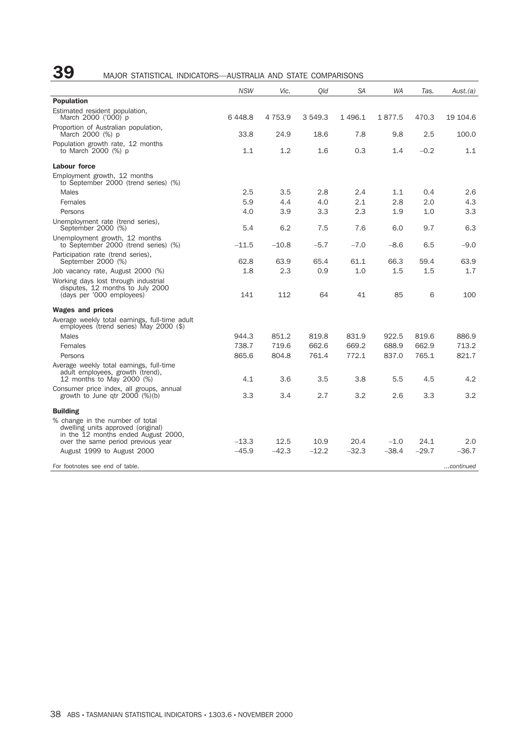# **39** MAJOR STATISTICAL INDICATORS—AUSTRALIA AND STATE COMPARISONS

|                                                                                                              | <b>NSW</b> | Vic.        | Old     | <b>SA</b> | <b>WA</b> | Tas.    | Aust.(a)  |
|--------------------------------------------------------------------------------------------------------------|------------|-------------|---------|-----------|-----------|---------|-----------|
| <b>Population</b>                                                                                            |            |             |         |           |           |         |           |
| Estimated resident population,<br>March 2000 ('000) p                                                        | 6448.8     | 4 7 5 3 . 9 | 3 549.3 | 1 4 9 6.1 | 1877.5    | 470.3   | 19 104.6  |
| Proportion of Australian population,<br>March 2000 (%) p                                                     | 33.8       | 24.9        | 18.6    | 7.8       | 9.8       | 2.5     | 100.0     |
| Population growth rate, 12 months<br>to March 2000 (%) p                                                     | 1.1        | 1.2         | 1.6     | 0.3       | 1.4       | $-0.2$  | 1.1       |
| <b>Labour force</b>                                                                                          |            |             |         |           |           |         |           |
| Employment growth, 12 months<br>to September 2000 (trend series) (%)                                         |            |             |         |           |           |         |           |
| Males                                                                                                        | 2.5        | 3.5         | 2.8     | 2.4       | 1.1       | 0.4     | 2.6       |
| Females                                                                                                      | 5.9        | 4.4         | 4.0     | 2.1       | 2.8       | 2.0     | 4.3       |
| Persons                                                                                                      | 4.0        | 3.9         | 3.3     | 2.3       | 1.9       | 1.0     | 3.3       |
| Unemployment rate (trend series),<br>September 2000 (%)                                                      | 5.4        | 6.2         | 7.5     | 7.6       | 6.0       | 9.7     | 6.3       |
| Unemployment growth, 12 months<br>to September 2000 (trend series) (%)                                       | $-11.5$    | $-10.8$     | $-5.7$  | $-7.0$    | $-8.6$    | 6.5     | $-9.0$    |
| Participation rate (trend series),<br>September 2000 (%)                                                     | 62.8       | 63.9        | 65.4    | 61.1      | 66.3      | 59.4    | 63.9      |
| Job vacancy rate, August 2000 (%)                                                                            | 1.8        | 2.3         | 0.9     | 1.0       | 1.5       | 1.5     | 1.7       |
| Working days lost through industrial<br>disputes, 12 months to July 2000<br>(days per '000 employees)        | 141        | 112         | 64      | 41        | 85        | 6       | 100       |
| <b>Wages and prices</b>                                                                                      |            |             |         |           |           |         |           |
| Average weekly total earnings, full-time adult<br>employees (trend series) May 2000 (\$)                     |            |             |         |           |           |         |           |
| <b>Males</b>                                                                                                 | 944.3      | 851.2       | 819.8   | 831.9     | 922.5     | 819.6   | 886.9     |
| Females                                                                                                      | 738.7      | 719.6       | 662.6   | 669.2     | 688.9     | 662.9   | 713.2     |
| Persons                                                                                                      | 865.6      | 804.8       | 761.4   | 772.1     | 837.0     | 765.1   | 821.7     |
| Average weekly total earnings, full-time<br>adult employees, growth (trend),<br>12 months to May 2000 (%)    | 4.1        | 3.6         | 3.5     | 3.8       | 5.5       | 4.5     | 4.2       |
| Consumer price index, all groups, annual                                                                     |            |             |         |           |           |         |           |
| growth to June qtr $2000$ $(\%)$ (b)                                                                         | 3.3        | 3.4         | 2.7     | 3.2       | 2.6       | 3.3     | 3.2       |
| <b>Building</b>                                                                                              |            |             |         |           |           |         |           |
| % change in the number of total<br>dwelling units approved (original)<br>in the 12 months ended August 2000, |            |             |         |           |           |         |           |
| over the same period previous year                                                                           | $-13.3$    | 12.5        | 10.9    | 20.4      | $-1.0$    | 24.1    | 2.0       |
| August 1999 to August 2000                                                                                   | $-45.9$    | $-42.3$     | $-12.2$ | $-32.3$   | $-38.4$   | $-29.7$ | $-36.7$   |
| For footnotes see end of table.                                                                              |            |             |         |           |           |         | continued |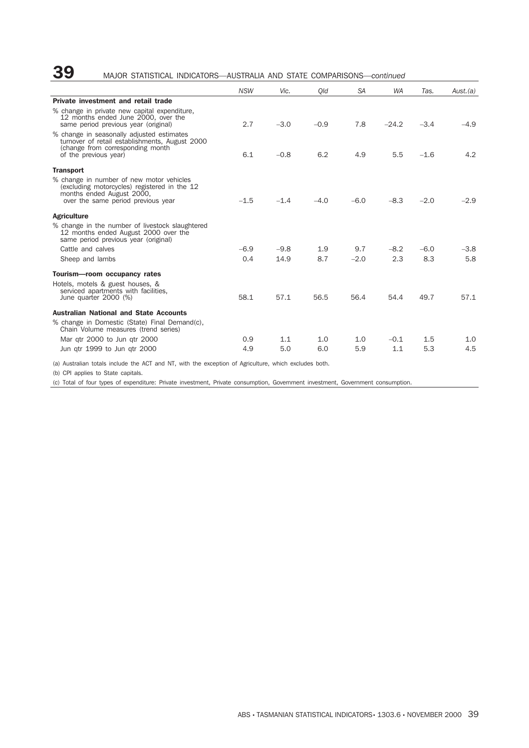### **39** MAJOR STATISTICAL INDICATORS—AUSTRALIA AND STATE COMPARISONS—*continued*

|                                                                                                                                                             | <b>NSW</b> | Vic.   | Old    | <b>SA</b> | <b>WA</b> | Tas.   | Aust.(a) |
|-------------------------------------------------------------------------------------------------------------------------------------------------------------|------------|--------|--------|-----------|-----------|--------|----------|
| Private investment and retail trade                                                                                                                         |            |        |        |           |           |        |          |
| % change in private new capital expenditure,<br>12 months ended June 2000, over the<br>same period previous year (original)                                 | 2.7        | $-3.0$ | $-0.9$ | 7.8       | $-24.2$   | $-3.4$ | $-4.9$   |
| % change in seasonally adjusted estimates<br>turnover of retail establishments, August 2000<br>(change from corresponding month<br>of the previous year)    | 6.1        | $-0.8$ | 6.2    | 4.9       | 5.5       | $-1.6$ | 4.2      |
| <b>Transport</b>                                                                                                                                            |            |        |        |           |           |        |          |
| % change in number of new motor vehicles<br>(excluding motorcycles) registered in the 12<br>months ended August 2000,<br>over the same period previous year | $-1.5$     | $-1.4$ | $-4.0$ | $-6.0$    | $-8.3$    | $-2.0$ | $-2.9$   |
| <b>Agriculture</b>                                                                                                                                          |            |        |        |           |           |        |          |
| % change in the number of livestock slaughtered<br>12 months ended August 2000 over the<br>same period previous year (original)                             |            |        |        |           |           |        |          |
| Cattle and calves                                                                                                                                           | $-6.9$     | $-9.8$ | 1.9    | 9.7       | $-8.2$    | $-6.0$ | $-3.8$   |
| Sheep and lambs                                                                                                                                             | 0.4        | 14.9   | 8.7    | $-2.0$    | 2.3       | 8.3    | 5.8      |
| Tourism-room occupancy rates                                                                                                                                |            |        |        |           |           |        |          |
| Hotels, motels & guest houses, &<br>serviced apartments with facilities,                                                                                    | 58.1       | 57.1   | 56.5   | 56.4      | 54.4      | 49.7   | 57.1     |
| June quarter 2000 (%)                                                                                                                                       |            |        |        |           |           |        |          |
| <b>Australian National and State Accounts</b>                                                                                                               |            |        |        |           |           |        |          |
| % change in Domestic (State) Final Demand(c),<br>Chain Volume measures (trend series)                                                                       |            |        |        |           |           |        |          |
| Mar gtr 2000 to Jun gtr 2000                                                                                                                                | 0.9        | 1.1    | 1.0    | 1.0       | $-0.1$    | 1.5    | 1.0      |
| Jun qtr 1999 to Jun qtr 2000                                                                                                                                | 4.9        | 5.0    | 6.0    | 5.9       | 1.1       | 5.3    | 4.5      |

(a) Australian totals include the ACT and NT, with the exception of Agriculture, which excludes both.

(b) CPI applies to State capitals.

(c) Total of four types of expenditure: Private investment, Private consumption, Government investment, Government consumption.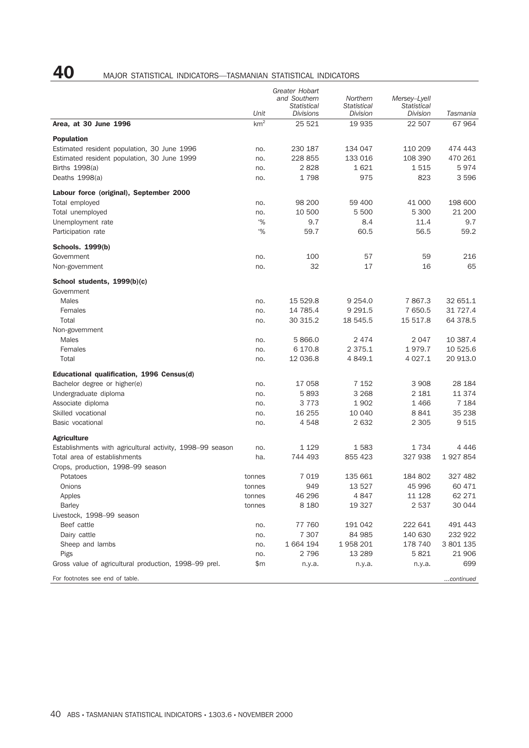# **40** MAJOR STATISTICAL INDICATORS—TASMANIAN STATISTICAL INDICATORS

|                                                                                 | Unit            | Greater Hobart<br>and Southern<br><b>Statistical</b><br><b>Divisions</b> | Northern<br><b>Statistical</b><br>Division | Mersey-Lyell<br><b>Statistical</b><br><b>Division</b> | Tasmania  |
|---------------------------------------------------------------------------------|-----------------|--------------------------------------------------------------------------|--------------------------------------------|-------------------------------------------------------|-----------|
| Area, at 30 June 1996                                                           | km <sup>2</sup> | 25 5 21                                                                  | 19 935                                     | 22 507                                                | 67 964    |
|                                                                                 |                 |                                                                          |                                            |                                                       |           |
| <b>Population</b><br>Estimated resident population, 30 June 1996                | no.             | 230 187                                                                  | 134 047                                    | 110 209                                               | 474 443   |
| Estimated resident population, 30 June 1999                                     | no.             | 228 855                                                                  | 133 016                                    | 108 390                                               | 470 261   |
| Births 1998(a)                                                                  | no.             | 2828                                                                     | 1621                                       | 1515                                                  | 5974      |
| Deaths 1998(a)                                                                  | no.             | 1798                                                                     | 975                                        | 823                                                   | 3 5 9 6   |
|                                                                                 |                 |                                                                          |                                            |                                                       |           |
| Labour force (original), September 2000                                         |                 |                                                                          |                                            |                                                       |           |
| Total employed                                                                  | no.             | 98 200                                                                   | 59 400                                     | 41 000                                                | 198 600   |
| Total unemployed                                                                | no.             | 10 500                                                                   | 5 500                                      | 5 300                                                 | 21 200    |
| Unemployment rate                                                               | $\frac{1}{2}$   | 9.7                                                                      | 8.4                                        | 11.4                                                  | 9.7       |
| Participation rate                                                              | $\frac{1}{2}$   | 59.7                                                                     | 60.5                                       | 56.5                                                  | 59.2      |
| <b>Schools. 1999(b)</b>                                                         |                 |                                                                          |                                            |                                                       |           |
| Government                                                                      | no.             | 100                                                                      | 57                                         | 59                                                    | 216       |
| Non-government                                                                  | no.             | 32                                                                       | 17                                         | 16                                                    | 65        |
| School students, 1999(b)(c)                                                     |                 |                                                                          |                                            |                                                       |           |
| Government                                                                      |                 |                                                                          |                                            |                                                       |           |
| <b>Males</b>                                                                    | no.             | 15 529.8                                                                 | 9 2 5 4 . 0                                | 7867.3                                                | 32 651.1  |
| Females                                                                         | no.             | 14 785.4                                                                 | 9 2 9 1.5                                  | 7 650.5                                               | 31 727.4  |
| Total                                                                           | no.             | 30 315.2                                                                 | 18 545.5                                   | 15 517.8                                              | 64 378.5  |
| Non-government                                                                  |                 |                                                                          |                                            |                                                       |           |
| Males                                                                           | no.             | 5866.0                                                                   | 2474                                       | 2047                                                  | 10 387.4  |
| Females                                                                         | no.             | 6 170.8                                                                  | 2 3 7 5 . 1                                | 1979.7                                                | 10 525.6  |
| Total                                                                           | no.             | 12 036.8                                                                 | 4 849.1                                    | 4 0 27.1                                              | 20 913.0  |
| Educational qualification, 1996 Census(d)                                       |                 |                                                                          |                                            |                                                       |           |
| Bachelor degree or higher(e)                                                    | no.             | 17 058                                                                   | 7 1 5 2                                    | 3 9 0 8                                               | 28 184    |
| Undergraduate diploma                                                           | no.             | 5893                                                                     | 3 2 6 8                                    | 2 181                                                 | 11 374    |
| Associate diploma                                                               | no.             | 3773                                                                     | 1902                                       | 1466                                                  | 7 1 8 4   |
| Skilled vocational                                                              | no.             | 16 255                                                                   | 10 040                                     | 8841                                                  | 35 238    |
| Basic vocational                                                                | no.             | 4548                                                                     | 2632                                       | 2 3 0 5                                               | 9 5 1 5   |
|                                                                                 |                 |                                                                          |                                            |                                                       |           |
| <b>Agriculture</b><br>Establishments with agricultural activity, 1998–99 season | no.             | 1 1 2 9                                                                  | 1583                                       | 1734                                                  | 4 4 4 6   |
| Total area of establishments                                                    | ha.             | 744 493                                                                  | 855 423                                    | 327 938                                               | 1927854   |
| Crops, production, 1998–99 season                                               |                 |                                                                          |                                            |                                                       |           |
| Potatoes                                                                        | tonnes          | 7019                                                                     | 135 661                                    | 184 802                                               | 327 482   |
| Onions                                                                          | tonnes          | 949                                                                      | 13 5 27                                    | 45 996                                                | 60 471    |
| Apples                                                                          | tonnes          | 46 296                                                                   | 4847                                       | 11 128                                                | 62 271    |
| <b>Barley</b>                                                                   | tonnes          | 8 1 8 0                                                                  | 19 327                                     | 2 5 3 7                                               | 30 044    |
| Livestock, 1998-99 season                                                       |                 |                                                                          |                                            |                                                       |           |
| Beef cattle                                                                     | no.             | 77 760                                                                   | 191 042                                    | 222 641                                               | 491 443   |
| Dairy cattle                                                                    | no.             | 7 3 0 7                                                                  | 84 985                                     | 140 630                                               | 232 922   |
| Sheep and lambs                                                                 | no.             | 1 664 194                                                                | 1958201                                    | 178 740                                               | 3 801 135 |
| Pigs                                                                            | no.             | 2 796                                                                    | 13 2 8 9                                   | 5821                                                  | 21 906    |
| Gross value of agricultural production, 1998-99 prel.                           | \$m             | n.y.a.                                                                   | n.y.a.                                     | n.y.a.                                                | 699       |
| For footnotes see end of table.                                                 |                 |                                                                          |                                            |                                                       | continued |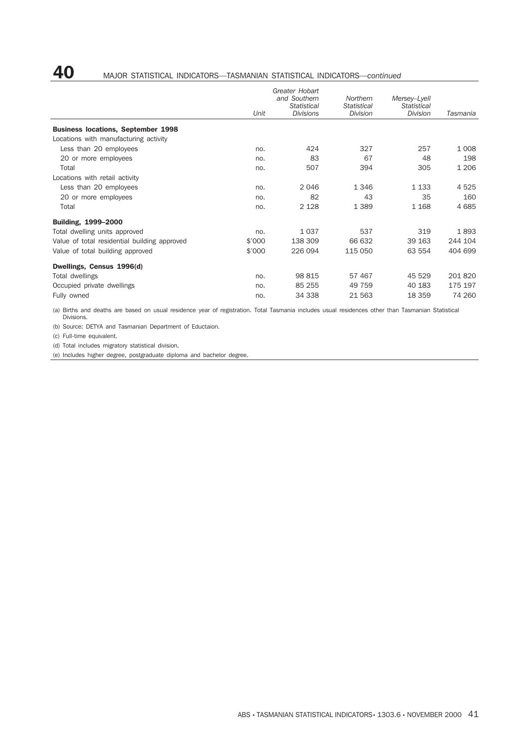# **40** MAJOR STATISTICAL INDICATORS—TASMANIAN STATISTICAL INDICATORS—*continued*

|                                              |        | Greater Hobart<br>and Southern<br><b>Statistical</b> | Northern<br><b>Statistical</b> | Mersey-Lyell<br><b>Statistical</b> |          |
|----------------------------------------------|--------|------------------------------------------------------|--------------------------------|------------------------------------|----------|
|                                              | Unit   | <b>Divisions</b>                                     | Division                       | Division                           | Tasmania |
| <b>Business locations, September 1998</b>    |        |                                                      |                                |                                    |          |
| Locations with manufacturing activity        |        |                                                      |                                |                                    |          |
| Less than 20 employees                       | no.    | 424                                                  | 327                            | 257                                | 1 0 0 8  |
| 20 or more employees                         | no.    | 83                                                   | 67                             | 48                                 | 198      |
| Total                                        | no.    | 507                                                  | 394                            | 305                                | 1 2 0 6  |
| Locations with retail activity               |        |                                                      |                                |                                    |          |
| Less than 20 employees                       | no.    | 2046                                                 | 1 3 4 6                        | 1 1 3 3                            | 4 5 2 5  |
| 20 or more employees                         | no.    | 82                                                   | 43                             | 35                                 | 160      |
| Total                                        | no.    | 2 1 2 8                                              | 1 3 8 9                        | 1 1 6 8                            | 4 6 8 5  |
| Building, 1999-2000                          |        |                                                      |                                |                                    |          |
| Total dwelling units approved                | no.    | 1 0 3 7                                              | 537                            | 319                                | 1893     |
| Value of total residential building approved | \$'000 | 138 309                                              | 66 632                         | 39 163                             | 244 104  |
| Value of total building approved             | \$'000 | 226 094                                              | 115 050                        | 63 554                             | 404 699  |
| Dwellings, Census 1996(d)                    |        |                                                      |                                |                                    |          |
| Total dwellings                              | no.    | 98 815                                               | 57 467                         | 45 529                             | 201 820  |
| Occupied private dwellings                   | no.    | 85 255                                               | 49 759                         | 40 183                             | 175 197  |
| Fully owned                                  | no.    | 34 338                                               | 21 5 63                        | 18 359                             | 74 260   |

(a) Births and deaths are based on usual residence year of registration. Total Tasmania includes usual residences other than Tasmanian Statistical Divisions.

(b) Source: DETYA and Tasmanian Department of Eductaion.

(c) Full-time equivalent.

(d) Total includes migratory statistical division.

(e) Includes higher degree, postgraduate diploma and bachelor degree.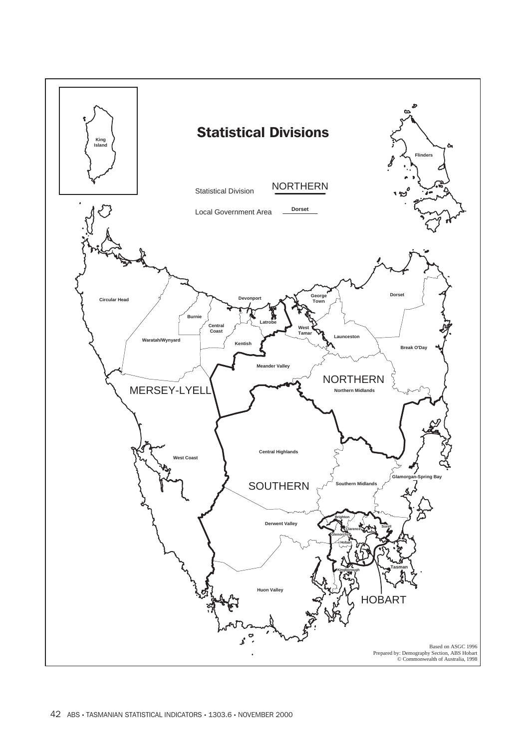